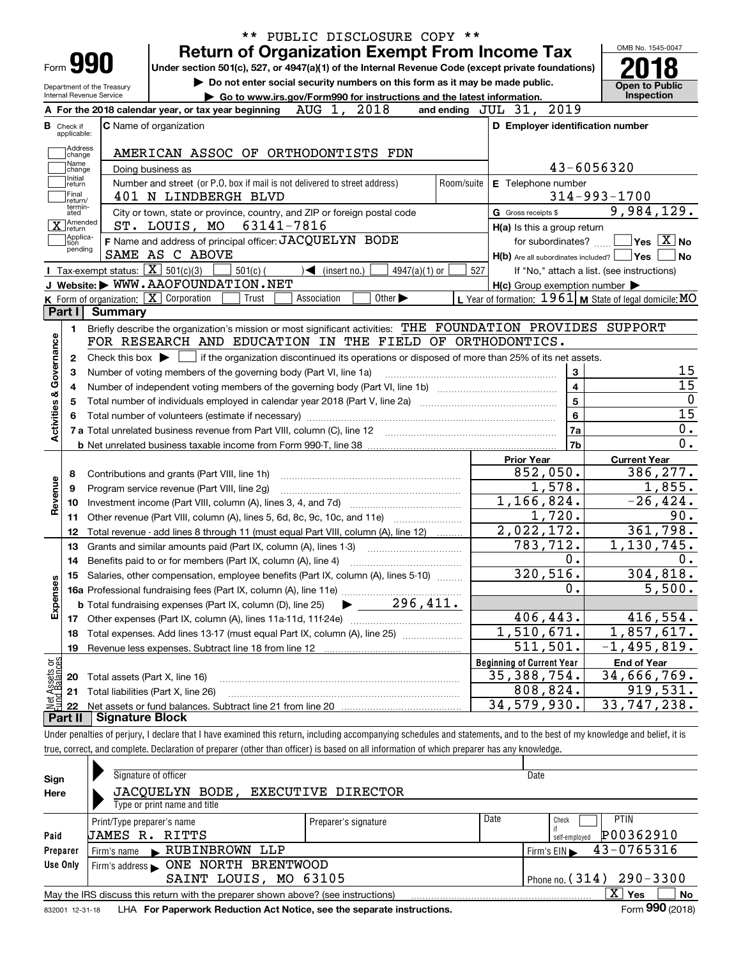| Form <b>990</b>                                        |                                                                                                               | <b>Return of Organization Exempt From Income Tax</b>                                                                                                                    |                                                                             |             |                                   |                             |                 |                         |                    |                     |                                                     | OMB No. 1545-0047                                                                                                                                  |
|--------------------------------------------------------|---------------------------------------------------------------------------------------------------------------|-------------------------------------------------------------------------------------------------------------------------------------------------------------------------|-----------------------------------------------------------------------------|-------------|-----------------------------------|-----------------------------|-----------------|-------------------------|--------------------|---------------------|-----------------------------------------------------|----------------------------------------------------------------------------------------------------------------------------------------------------|
|                                                        |                                                                                                               | Under section 501(c), 527, or 4947(a)(1) of the Internal Revenue Code (except private foundations)                                                                      | Do not enter social security numbers on this form as it may be made public. |             |                                   |                             |                 |                         |                    |                     |                                                     |                                                                                                                                                    |
| Department of the Treasury<br>Internal Revenue Service |                                                                                                               |                                                                                                                                                                         | Go to www.irs.gov/Form990 for instructions and the latest information.      |             |                                   |                             |                 |                         |                    |                     |                                                     | <b>Open to Public</b><br>Inspection                                                                                                                |
|                                                        |                                                                                                               | A For the 2018 calendar year, or tax year beginning                                                                                                                     |                                                                             | AUG 1,      |                                   | 2018                        |                 | and ending $JUL$ $31$ , |                    |                     | 2019                                                |                                                                                                                                                    |
| <b>B</b> Check if<br>applicable:                       |                                                                                                               | <b>C</b> Name of organization                                                                                                                                           |                                                                             |             |                                   |                             |                 |                         |                    |                     | D Employer identification number                    |                                                                                                                                                    |
| Address                                                |                                                                                                               |                                                                                                                                                                         |                                                                             |             |                                   |                             |                 |                         |                    |                     |                                                     |                                                                                                                                                    |
| change<br>Name                                         |                                                                                                               | AMERICAN ASSOC OF ORTHODONTISTS FDN                                                                                                                                     |                                                                             |             |                                   |                             |                 |                         |                    |                     | 43-6056320                                          |                                                                                                                                                    |
| change<br>Initial<br>return                            | Doing business as<br>Number and street (or P.O. box if mail is not delivered to street address)<br>Room/suite |                                                                                                                                                                         |                                                                             |             |                                   |                             |                 |                         | E Telephone number |                     |                                                     |                                                                                                                                                    |
| Final<br>return/                                       |                                                                                                               | 401 N LINDBERGH BLVD                                                                                                                                                    |                                                                             |             |                                   |                             |                 |                         |                    |                     |                                                     | $314 - 993 - 1700$                                                                                                                                 |
| termin-<br>ated                                        |                                                                                                               | City or town, state or province, country, and ZIP or foreign postal code                                                                                                |                                                                             |             |                                   |                             |                 |                         |                    | G Gross receipts \$ |                                                     | 9,984,129.                                                                                                                                         |
| ]Amended<br>$\bar{\mathbf{X}}$ return                  |                                                                                                               | ST. LOUIS, MO                                                                                                                                                           | 63141-7816                                                                  |             |                                   |                             |                 |                         |                    |                     | $H(a)$ is this a group return                       |                                                                                                                                                    |
| Applica-<br>tion                                       |                                                                                                               | F Name and address of principal officer: JACQUELYN BODE                                                                                                                 |                                                                             |             |                                   |                             |                 |                         |                    |                     | for subordinates?                                   | $\sqrt{}$ Yes $\sqrt{}$ X $\sqrt{}$ No                                                                                                             |
| pending                                                |                                                                                                               | SAME AS C ABOVE                                                                                                                                                         |                                                                             |             |                                   |                             |                 |                         |                    |                     |                                                     | $H(b)$ Are all subordinates included? $\Box$ Yes                                                                                                   |
|                                                        |                                                                                                               | Tax-exempt status: $\boxed{\mathbf{X}}$ 501(c)(3)                                                                                                                       | $501(c)$ (                                                                  |             | $\sqrt{\frac{1}{1}}$ (insert no.) |                             | $4947(a)(1)$ or |                         | 527                |                     |                                                     | If "No," attach a list. (see instructions)                                                                                                         |
|                                                        |                                                                                                               | J Website: WWW.AAOFOUNDATION.NET                                                                                                                                        |                                                                             |             |                                   |                             |                 |                         |                    |                     | $H(c)$ Group exemption number $\blacktriangleright$ |                                                                                                                                                    |
| Part I                                                 | <b>Summary</b>                                                                                                | $K$ Form of organization: $X$ Corporation                                                                                                                               | Trust                                                                       | Association |                                   | Other $\blacktriangleright$ |                 |                         |                    |                     |                                                     | L Year of formation: $1961$ M State of legal domicile: MO                                                                                          |
|                                                        |                                                                                                               |                                                                                                                                                                         |                                                                             |             |                                   |                             |                 |                         |                    |                     |                                                     |                                                                                                                                                    |
| 1.                                                     |                                                                                                               | Briefly describe the organization's mission or most significant activities: THE FOUNDATION PROVIDES SUPPORT<br>FOR RESEARCH AND EDUCATION IN THE FIELD OF ORTHODONTICS. |                                                                             |             |                                   |                             |                 |                         |                    |                     |                                                     |                                                                                                                                                    |
|                                                        |                                                                                                               |                                                                                                                                                                         |                                                                             |             |                                   |                             |                 |                         |                    |                     |                                                     |                                                                                                                                                    |
| $\mathbf{2}$                                           |                                                                                                               | Check this box $\blacktriangleright$ $\blacksquare$ if the organization discontinued its operations or disposed of more than 25% of its net assets.                     |                                                                             |             |                                   |                             |                 |                         |                    |                     |                                                     |                                                                                                                                                    |
|                                                        |                                                                                                               |                                                                                                                                                                         |                                                                             |             |                                   |                             |                 |                         |                    |                     |                                                     |                                                                                                                                                    |
| З                                                      |                                                                                                               | Number of voting members of the governing body (Part VI, line 1a)                                                                                                       |                                                                             |             |                                   |                             |                 |                         |                    |                     | 3                                                   |                                                                                                                                                    |
| 4                                                      |                                                                                                               |                                                                                                                                                                         |                                                                             |             |                                   |                             |                 |                         |                    |                     | 4                                                   |                                                                                                                                                    |
| 5                                                      |                                                                                                               |                                                                                                                                                                         |                                                                             |             |                                   |                             |                 |                         |                    |                     | 5                                                   |                                                                                                                                                    |
|                                                        |                                                                                                               |                                                                                                                                                                         |                                                                             |             |                                   |                             |                 |                         |                    |                     | 6                                                   |                                                                                                                                                    |
|                                                        |                                                                                                               |                                                                                                                                                                         |                                                                             |             |                                   |                             |                 |                         |                    |                     | 7a                                                  |                                                                                                                                                    |
|                                                        |                                                                                                               |                                                                                                                                                                         |                                                                             |             |                                   |                             |                 |                         |                    |                     | 7 <sub>b</sub>                                      |                                                                                                                                                    |
|                                                        |                                                                                                               |                                                                                                                                                                         |                                                                             |             |                                   |                             |                 |                         |                    | <b>Prior Year</b>   |                                                     | <b>Current Year</b>                                                                                                                                |
| 8                                                      |                                                                                                               | Contributions and grants (Part VIII, line 1h)                                                                                                                           |                                                                             |             |                                   |                             |                 |                         |                    |                     | 852,050.                                            |                                                                                                                                                    |
| 9                                                      |                                                                                                               | Program service revenue (Part VIII, line 2g)                                                                                                                            |                                                                             |             |                                   |                             |                 |                         |                    |                     | 1,578.                                              |                                                                                                                                                    |
| 10                                                     |                                                                                                               |                                                                                                                                                                         |                                                                             |             |                                   |                             |                 |                         |                    |                     | 1,166,824.                                          |                                                                                                                                                    |
| 11                                                     |                                                                                                               | Other revenue (Part VIII, column (A), lines 5, 6d, 8c, 9c, 10c, and 11e)                                                                                                |                                                                             |             |                                   |                             |                 |                         |                    |                     | 1,720.                                              |                                                                                                                                                    |
| 12                                                     |                                                                                                               | Total revenue - add lines 8 through 11 (must equal Part VIII, column (A), line 12)                                                                                      |                                                                             |             |                                   |                             |                 |                         |                    |                     | 2,022,172.                                          |                                                                                                                                                    |
| 13                                                     |                                                                                                               | Grants and similar amounts paid (Part IX, column (A), lines 1-3)                                                                                                        |                                                                             |             |                                   |                             |                 |                         |                    |                     | 783,712.                                            |                                                                                                                                                    |
| 14                                                     |                                                                                                               |                                                                                                                                                                         |                                                                             |             |                                   |                             |                 |                         |                    |                     | 0.                                                  |                                                                                                                                                    |
|                                                        |                                                                                                               | 15 Salaries, other compensation, employee benefits (Part IX, column (A), lines 5-10)                                                                                    |                                                                             |             |                                   |                             |                 |                         |                    |                     | 320,516.                                            |                                                                                                                                                    |
|                                                        |                                                                                                               |                                                                                                                                                                         |                                                                             |             |                                   |                             |                 |                         |                    |                     | 0.                                                  |                                                                                                                                                    |
|                                                        |                                                                                                               | <b>b</b> Total fundraising expenses (Part IX, column (D), line 25)                                                                                                      |                                                                             |             |                                   |                             | 296,411.        |                         |                    |                     |                                                     |                                                                                                                                                    |
| 17                                                     |                                                                                                               |                                                                                                                                                                         |                                                                             |             |                                   |                             |                 |                         |                    |                     | 406,443.                                            |                                                                                                                                                    |
| 18                                                     |                                                                                                               | Total expenses. Add lines 13-17 (must equal Part IX, column (A), line 25)                                                                                               |                                                                             |             |                                   |                             |                 |                         |                    |                     | $\overline{1,510}$ , 671.                           |                                                                                                                                                    |
| 19                                                     |                                                                                                               | Revenue less expenses. Subtract line 18 from line 12                                                                                                                    |                                                                             |             |                                   |                             |                 |                         |                    |                     | 511,501.                                            |                                                                                                                                                    |
|                                                        |                                                                                                               |                                                                                                                                                                         |                                                                             |             |                                   |                             |                 |                         |                    |                     | <b>Beginning of Current Year</b>                    | <b>End of Year</b>                                                                                                                                 |
| Activities & Governance<br>Revenue<br>Expenses<br>20   |                                                                                                               | Total assets (Part X, line 16)                                                                                                                                          |                                                                             |             |                                   |                             |                 |                         |                    |                     | 35, 388, 754.                                       | 386,277.<br>1,855.<br>$-26, 424.$<br>90.<br>361,798.<br>1,130,745.<br>304,818.<br>5,500.<br>416,554.<br>1,857,617.<br>$-1,495,819.$<br>34,666,769. |
| t Assets or<br>d Balances<br>21<br>22                  |                                                                                                               | Total liabilities (Part X, line 26)                                                                                                                                     |                                                                             |             |                                   |                             |                 |                         |                    |                     | 808,824.<br>34,579,930.                             | 919,531.<br>33,747,238.                                                                                                                            |

true, correct, and complete. Declaration of preparer (other than officer) is based on all information of which preparer has any knowledge.

| Sign            | Signature of officer                                                              | Date                 |      |                                                |  |  |  |  |
|-----------------|-----------------------------------------------------------------------------------|----------------------|------|------------------------------------------------|--|--|--|--|
| Here            | JACQUELYN BODE, EXECUTIVE DIRECTOR                                                |                      |      |                                                |  |  |  |  |
|                 | Type or print name and title                                                      |                      |      |                                                |  |  |  |  |
|                 | Print/Type preparer's name                                                        | Preparer's signature | Date | <b>PTIN</b><br>Check                           |  |  |  |  |
| Paid            | UAMES R. RITTS                                                                    |                      |      | P00362910<br>self-employed                     |  |  |  |  |
| Preparer        | Firm's name RUBINBROWN LLP                                                        |                      |      | 43-0765316<br>$Firm's EIN \blacktriangleright$ |  |  |  |  |
| Use Only        | ONE NORTH BRENTWOOD<br>Firm's address                                             |                      |      |                                                |  |  |  |  |
|                 | Phone no. $(314)$ 290 - 3300<br>SAINT LOUIS, MO 63105                             |                      |      |                                                |  |  |  |  |
|                 | May the IRS discuss this return with the preparer shown above? (see instructions) |                      |      | X<br>No<br>Yes                                 |  |  |  |  |
| 832001 12-31-18 | LHA For Paperwork Reduction Act Notice, see the separate instructions.            |                      |      | Form 990 (2018)                                |  |  |  |  |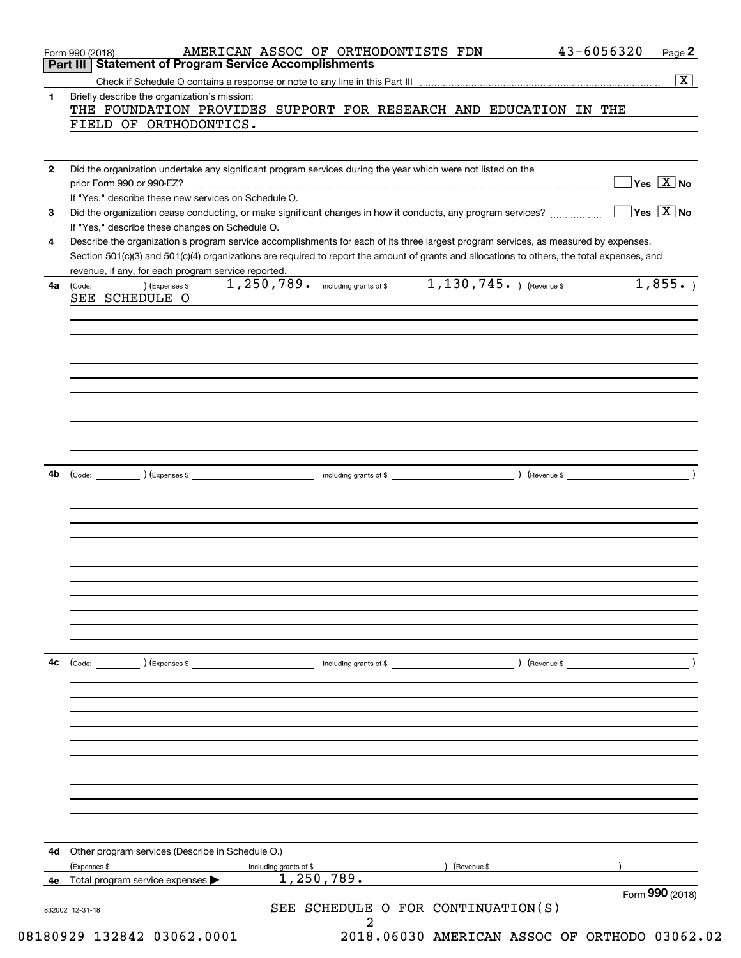|              |                                                                                                                                                                      |                        |                                                                                                                                                                                                                                                                                      | $\overline{\mathbf{x}}$                |
|--------------|----------------------------------------------------------------------------------------------------------------------------------------------------------------------|------------------------|--------------------------------------------------------------------------------------------------------------------------------------------------------------------------------------------------------------------------------------------------------------------------------------|----------------------------------------|
| 1            | Briefly describe the organization's mission:<br>FIELD OF ORTHODONTICS.                                                                                               |                        | THE FOUNDATION PROVIDES SUPPORT FOR RESEARCH AND EDUCATION IN THE                                                                                                                                                                                                                    |                                        |
|              |                                                                                                                                                                      |                        |                                                                                                                                                                                                                                                                                      |                                        |
| $\mathbf{2}$ | Did the organization undertake any significant program services during the year which were not listed on the<br>If "Yes," describe these new services on Schedule O. |                        |                                                                                                                                                                                                                                                                                      | $\sqrt{}$ Yes $\sqrt{}$ X $\sqrt{}$ No |
| 3            | If "Yes," describe these changes on Schedule O.                                                                                                                      |                        | Did the organization cease conducting, or make significant changes in how it conducts, any program services?                                                                                                                                                                         | $\sqrt{}$ Yes $\sqrt{}$ X $\sqrt{}$ No |
| 4            |                                                                                                                                                                      |                        | Describe the organization's program service accomplishments for each of its three largest program services, as measured by expenses.<br>Section 501(c)(3) and 501(c)(4) organizations are required to report the amount of grants and allocations to others, the total expenses, and |                                        |
| 4a           | revenue, if any, for each program service reported.<br>SEE SCHEDULE O                                                                                                |                        | $\frac{1}{250,789}$ including grants of \$ 1, 130, 745.                                                                                                                                                                                                                              | 1,855.                                 |
|              |                                                                                                                                                                      |                        |                                                                                                                                                                                                                                                                                      |                                        |
|              |                                                                                                                                                                      |                        |                                                                                                                                                                                                                                                                                      |                                        |
|              |                                                                                                                                                                      |                        |                                                                                                                                                                                                                                                                                      |                                        |
|              |                                                                                                                                                                      |                        |                                                                                                                                                                                                                                                                                      |                                        |
| 4b           |                                                                                                                                                                      |                        |                                                                                                                                                                                                                                                                                      |                                        |
|              |                                                                                                                                                                      |                        |                                                                                                                                                                                                                                                                                      |                                        |
|              |                                                                                                                                                                      |                        |                                                                                                                                                                                                                                                                                      |                                        |
|              |                                                                                                                                                                      |                        |                                                                                                                                                                                                                                                                                      |                                        |
|              |                                                                                                                                                                      |                        |                                                                                                                                                                                                                                                                                      |                                        |
| 4с           | $\left(\text{Code:} \right)$ $\left(\text{Expenses $}\right)$                                                                                                        | including grants of \$ | ) (Revenue \$                                                                                                                                                                                                                                                                        |                                        |
|              |                                                                                                                                                                      |                        |                                                                                                                                                                                                                                                                                      |                                        |
|              |                                                                                                                                                                      |                        |                                                                                                                                                                                                                                                                                      |                                        |
|              |                                                                                                                                                                      |                        |                                                                                                                                                                                                                                                                                      |                                        |
|              |                                                                                                                                                                      |                        |                                                                                                                                                                                                                                                                                      |                                        |
| 4d           | Other program services (Describe in Schedule O.)<br>(Expenses \$                                                                                                     | including grants of \$ | Revenue \$                                                                                                                                                                                                                                                                           |                                        |
| 4е           | Total program service expenses                                                                                                                                       | 1,250,789.             |                                                                                                                                                                                                                                                                                      |                                        |
|              |                                                                                                                                                                      |                        | SEE SCHEDULE O FOR CONTINUATION(S)                                                                                                                                                                                                                                                   | Form 990 (2018)                        |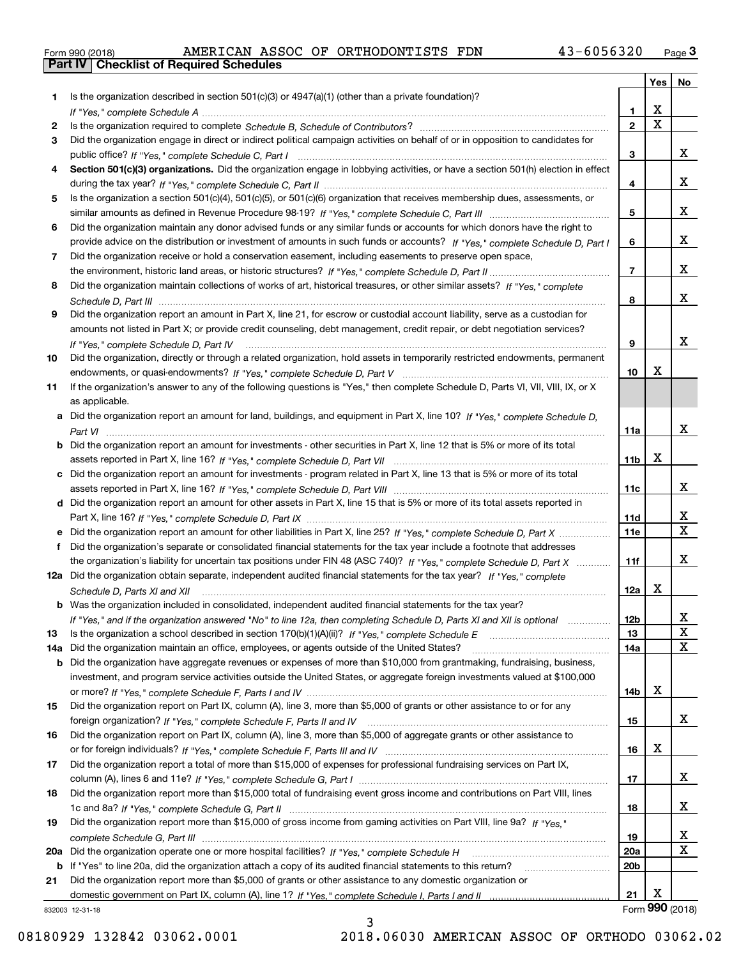|  | Form 990 (2018) |
|--|-----------------|

|     |                                                                                                                                                                         |                 | Yes                     | No                      |
|-----|-------------------------------------------------------------------------------------------------------------------------------------------------------------------------|-----------------|-------------------------|-------------------------|
| 1.  | Is the organization described in section $501(c)(3)$ or $4947(a)(1)$ (other than a private foundation)?                                                                 |                 |                         |                         |
|     |                                                                                                                                                                         | 1               | X                       |                         |
| 2   |                                                                                                                                                                         | $\overline{2}$  | $\overline{\mathbf{x}}$ |                         |
| 3   | Did the organization engage in direct or indirect political campaign activities on behalf of or in opposition to candidates for                                         |                 |                         |                         |
|     |                                                                                                                                                                         | 3               |                         | x                       |
| 4   | Section 501(c)(3) organizations. Did the organization engage in lobbying activities, or have a section 501(h) election in effect                                        |                 |                         |                         |
|     |                                                                                                                                                                         | 4               |                         | x                       |
| 5   | Is the organization a section 501(c)(4), 501(c)(5), or 501(c)(6) organization that receives membership dues, assessments, or                                            |                 |                         |                         |
|     |                                                                                                                                                                         | 5               |                         | x                       |
| 6   | Did the organization maintain any donor advised funds or any similar funds or accounts for which donors have the right to                                               |                 |                         | x                       |
|     | provide advice on the distribution or investment of amounts in such funds or accounts? If "Yes," complete Schedule D, Part I                                            | 6               |                         |                         |
| 7   | Did the organization receive or hold a conservation easement, including easements to preserve open space,                                                               | $\overline{7}$  |                         | x                       |
|     | Did the organization maintain collections of works of art, historical treasures, or other similar assets? If "Yes," complete                                            |                 |                         |                         |
| 8   |                                                                                                                                                                         | 8               |                         | x                       |
| 9   | Did the organization report an amount in Part X, line 21, for escrow or custodial account liability, serve as a custodian for                                           |                 |                         |                         |
|     | amounts not listed in Part X; or provide credit counseling, debt management, credit repair, or debt negotiation services?                                               |                 |                         |                         |
|     |                                                                                                                                                                         | 9               |                         | x                       |
| 10  | If "Yes," complete Schedule D, Part IV<br>Did the organization, directly or through a related organization, hold assets in temporarily restricted endowments, permanent |                 |                         |                         |
|     |                                                                                                                                                                         | 10              | X                       |                         |
| 11  | If the organization's answer to any of the following questions is "Yes," then complete Schedule D, Parts VI, VII, VIII, IX, or X                                        |                 |                         |                         |
|     | as applicable.                                                                                                                                                          |                 |                         |                         |
| а   | Did the organization report an amount for land, buildings, and equipment in Part X, line 10? If "Yes," complete Schedule D,                                             |                 |                         |                         |
|     |                                                                                                                                                                         | 11a             |                         | x                       |
| b   | Did the organization report an amount for investments - other securities in Part X, line 12 that is 5% or more of its total                                             |                 |                         |                         |
|     |                                                                                                                                                                         | 11 <sub>b</sub> | х                       |                         |
| c   | Did the organization report an amount for investments - program related in Part X, line 13 that is 5% or more of its total                                              |                 |                         |                         |
|     |                                                                                                                                                                         | 11c             |                         | x                       |
|     | d Did the organization report an amount for other assets in Part X, line 15 that is 5% or more of its total assets reported in                                          |                 |                         |                         |
|     |                                                                                                                                                                         | 11d             |                         | x                       |
|     | Did the organization report an amount for other liabilities in Part X, line 25? If "Yes," complete Schedule D, Part X                                                   | 11e             |                         | $\overline{\mathbf{X}}$ |
| f   | Did the organization's separate or consolidated financial statements for the tax year include a footnote that addresses                                                 |                 |                         |                         |
|     | the organization's liability for uncertain tax positions under FIN 48 (ASC 740)? If "Yes," complete Schedule D, Part X                                                  | 11f             |                         | x                       |
|     | 12a Did the organization obtain separate, independent audited financial statements for the tax year? If "Yes," complete                                                 |                 |                         |                         |
|     | Schedule D, Parts XI and XII                                                                                                                                            | 12a             | Х                       |                         |
|     | <b>b</b> Was the organization included in consolidated, independent audited financial statements for the tax year?                                                      |                 |                         |                         |
|     | If "Yes," and if the organization answered "No" to line 12a, then completing Schedule D, Parts XI and XII is optional                                                   | 12b             |                         | ▵                       |
| 13  |                                                                                                                                                                         | 13              |                         | X                       |
| 14a | Did the organization maintain an office, employees, or agents outside of the United States?                                                                             | 14a             |                         | $\mathbf X$             |
| b   | Did the organization have aggregate revenues or expenses of more than \$10,000 from grantmaking, fundraising, business,                                                 |                 |                         |                         |
|     | investment, and program service activities outside the United States, or aggregate foreign investments valued at \$100,000                                              |                 |                         |                         |
|     |                                                                                                                                                                         | 14b             | х                       |                         |
| 15  | Did the organization report on Part IX, column (A), line 3, more than \$5,000 of grants or other assistance to or for any                                               |                 |                         |                         |
|     |                                                                                                                                                                         | 15              |                         | x                       |
| 16  | Did the organization report on Part IX, column (A), line 3, more than \$5,000 of aggregate grants or other assistance to                                                |                 |                         |                         |
|     |                                                                                                                                                                         | 16              | х                       |                         |
| 17  | Did the organization report a total of more than \$15,000 of expenses for professional fundraising services on Part IX,                                                 |                 |                         |                         |
|     |                                                                                                                                                                         | 17              |                         | x                       |
| 18  | Did the organization report more than \$15,000 total of fundraising event gross income and contributions on Part VIII, lines                                            |                 |                         |                         |
|     |                                                                                                                                                                         | 18              |                         | X                       |
| 19  | Did the organization report more than \$15,000 of gross income from gaming activities on Part VIII, line 9a? If "Yes."                                                  |                 |                         |                         |
|     |                                                                                                                                                                         | 19              |                         | x                       |
| 20a |                                                                                                                                                                         | 20a             |                         | $\mathbf X$             |
|     | <b>b</b> If "Yes" to line 20a, did the organization attach a copy of its audited financial statements to this return?                                                   | 20b             |                         |                         |
| 21  | Did the organization report more than \$5,000 of grants or other assistance to any domestic organization or                                                             |                 |                         |                         |
|     |                                                                                                                                                                         | 21              | Х                       | Form 990 (2018)         |
|     | 832003 12-31-18                                                                                                                                                         |                 |                         |                         |

3

832003 12-31-18

08180929 132842 03062.0001 2018.06030 AMERICAN ASSOC OF ORTHODO 03062.02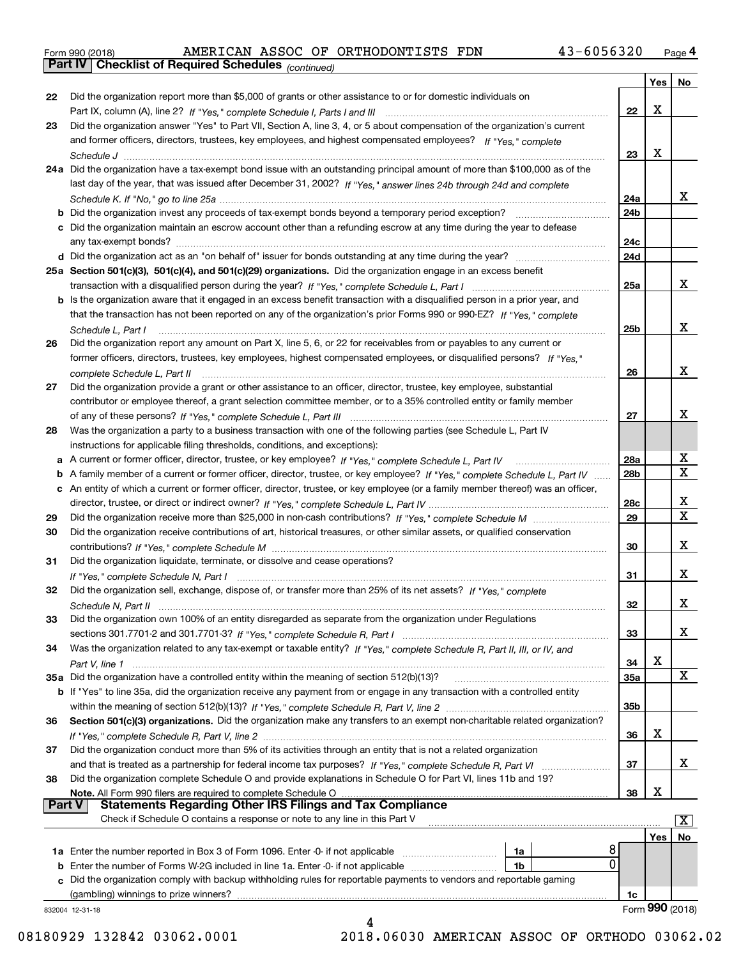|  | Form 990 (2018) |
|--|-----------------|
|  |                 |

*(continued)*

|               |                                                                                                                                   |                 | Yes | No              |
|---------------|-----------------------------------------------------------------------------------------------------------------------------------|-----------------|-----|-----------------|
| 22            | Did the organization report more than \$5,000 of grants or other assistance to or for domestic individuals on                     |                 |     |                 |
|               |                                                                                                                                   | 22              | х   |                 |
| 23            | Did the organization answer "Yes" to Part VII, Section A, line 3, 4, or 5 about compensation of the organization's current        |                 |     |                 |
|               | and former officers, directors, trustees, key employees, and highest compensated employees? If "Yes," complete                    |                 |     |                 |
|               |                                                                                                                                   | 23              | х   |                 |
|               | 24a Did the organization have a tax-exempt bond issue with an outstanding principal amount of more than \$100,000 as of the       |                 |     |                 |
|               | last day of the year, that was issued after December 31, 2002? If "Yes," answer lines 24b through 24d and complete                |                 |     |                 |
|               |                                                                                                                                   | 24a             |     | x               |
|               |                                                                                                                                   | 24 <sub>b</sub> |     |                 |
|               | c Did the organization maintain an escrow account other than a refunding escrow at any time during the year to defease            |                 |     |                 |
|               |                                                                                                                                   | 24c             |     |                 |
|               |                                                                                                                                   | 24d             |     |                 |
|               | 25a Section 501(c)(3), 501(c)(4), and 501(c)(29) organizations. Did the organization engage in an excess benefit                  |                 |     |                 |
|               |                                                                                                                                   | 25a             |     | x               |
|               | b Is the organization aware that it engaged in an excess benefit transaction with a disqualified person in a prior year, and      |                 |     |                 |
|               | that the transaction has not been reported on any of the organization's prior Forms 990 or 990-EZ? If "Yes," complete             |                 |     |                 |
|               | Schedule L, Part I                                                                                                                | 25 <sub>b</sub> |     | x               |
| 26            | Did the organization report any amount on Part X, line 5, 6, or 22 for receivables from or payables to any current or             |                 |     |                 |
|               | former officers, directors, trustees, key employees, highest compensated employees, or disqualified persons? If "Yes."            |                 |     |                 |
|               | complete Schedule L, Part II                                                                                                      | 26              |     | x               |
| 27            | Did the organization provide a grant or other assistance to an officer, director, trustee, key employee, substantial              |                 |     |                 |
|               | contributor or employee thereof, a grant selection committee member, or to a 35% controlled entity or family member               |                 |     |                 |
|               |                                                                                                                                   | 27              |     | x               |
| 28            | Was the organization a party to a business transaction with one of the following parties (see Schedule L, Part IV                 |                 |     |                 |
|               | instructions for applicable filing thresholds, conditions, and exceptions):                                                       |                 |     |                 |
|               | a A current or former officer, director, trustee, or key employee? If "Yes," complete Schedule L, Part IV                         | 28a             |     | X<br>X          |
| b             | A family member of a current or former officer, director, trustee, or key employee? If "Yes," complete Schedule L, Part IV        | 28 <sub>b</sub> |     |                 |
|               | c An entity of which a current or former officer, director, trustee, or key employee (or a family member thereof) was an officer, |                 |     |                 |
|               |                                                                                                                                   | 28c             |     | х<br>X.         |
| 29            |                                                                                                                                   | 29              |     |                 |
| 30            | Did the organization receive contributions of art, historical treasures, or other similar assets, or qualified conservation       |                 |     | х               |
|               |                                                                                                                                   | 30              |     |                 |
| 31            | Did the organization liquidate, terminate, or dissolve and cease operations?                                                      |                 |     | х               |
|               |                                                                                                                                   | 31              |     |                 |
| 32            | Did the organization sell, exchange, dispose of, or transfer more than 25% of its net assets? If "Yes," complete                  | 32              |     | х               |
|               |                                                                                                                                   |                 |     |                 |
| 33            | Did the organization own 100% of an entity disregarded as separate from the organization under Regulations                        | 33              |     | x               |
| 34            | Was the organization related to any tax-exempt or taxable entity? If "Yes," complete Schedule R, Part II, III, or IV, and         |                 |     |                 |
|               |                                                                                                                                   | 34              | х   |                 |
|               | 35a Did the organization have a controlled entity within the meaning of section 512(b)(13)?                                       | <b>35a</b>      |     | x               |
|               | b If "Yes" to line 35a, did the organization receive any payment from or engage in any transaction with a controlled entity       |                 |     |                 |
|               |                                                                                                                                   | 35b             |     |                 |
| 36            | Section 501(c)(3) organizations. Did the organization make any transfers to an exempt non-charitable related organization?        |                 |     |                 |
|               |                                                                                                                                   | 36              | х   |                 |
| 37            | Did the organization conduct more than 5% of its activities through an entity that is not a related organization                  |                 |     |                 |
|               | and that is treated as a partnership for federal income tax purposes? If "Yes," complete Schedule R, Part VI                      | 37              |     | X.              |
| 38            | Did the organization complete Schedule O and provide explanations in Schedule O for Part VI, lines 11b and 19?                    |                 |     |                 |
|               | Note. All Form 990 filers are required to complete Schedule O                                                                     | 38              | х   |                 |
| <b>Part V</b> | <b>Statements Regarding Other IRS Filings and Tax Compliance</b>                                                                  |                 |     |                 |
|               | Check if Schedule O contains a response or note to any line in this Part V                                                        |                 |     | x               |
|               |                                                                                                                                   |                 | Yes | No              |
|               | 8<br>1a                                                                                                                           |                 |     |                 |
|               | 0<br><b>b</b> Enter the number of Forms W-2G included in line 1a. Enter -0- if not applicable <i>manumerances</i><br>1b           |                 |     |                 |
|               | c Did the organization comply with backup withholding rules for reportable payments to vendors and reportable gaming              |                 |     |                 |
|               | (gambling) winnings to prize winners?                                                                                             | 1c              |     |                 |
|               | 832004 12-31-18                                                                                                                   |                 |     | Form 990 (2018) |
|               |                                                                                                                                   |                 |     |                 |

08180929 132842 03062.0001 2018.06030 AMERICAN ASSOC OF ORTHODO 03062.02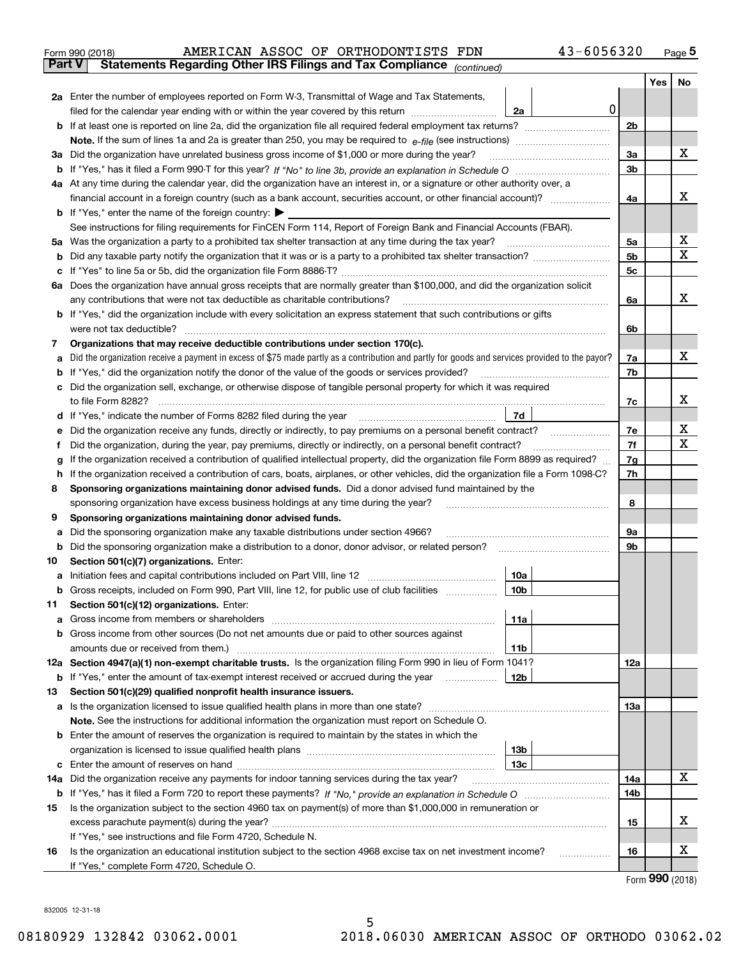|               | 43-6056320<br>AMERICAN ASSOC OF ORTHODONTISTS FDN<br>Form 990 (2018)                                                                                                                                                                   |     |     | $_{\text{Page}}$ 5 |
|---------------|----------------------------------------------------------------------------------------------------------------------------------------------------------------------------------------------------------------------------------------|-----|-----|--------------------|
| <b>Part V</b> | Statements Regarding Other IRS Filings and Tax Compliance (continued)                                                                                                                                                                  |     |     |                    |
|               |                                                                                                                                                                                                                                        |     | Yes | No                 |
|               | 2a Enter the number of employees reported on Form W-3, Transmittal of Wage and Tax Statements,                                                                                                                                         |     |     |                    |
|               | 0<br>filed for the calendar year ending with or within the year covered by this return<br>2a                                                                                                                                           |     |     |                    |
|               |                                                                                                                                                                                                                                        | 2b  |     |                    |
|               |                                                                                                                                                                                                                                        |     |     |                    |
|               | 3a Did the organization have unrelated business gross income of \$1,000 or more during the year?                                                                                                                                       | 3a  |     | х                  |
|               |                                                                                                                                                                                                                                        | 3b  |     |                    |
|               | 4a At any time during the calendar year, did the organization have an interest in, or a signature or other authority over, a                                                                                                           |     |     |                    |
|               |                                                                                                                                                                                                                                        | 4a  |     | х                  |
|               | <b>b</b> If "Yes," enter the name of the foreign country: $\blacktriangleright$                                                                                                                                                        |     |     |                    |
|               | See instructions for filing requirements for FinCEN Form 114, Report of Foreign Bank and Financial Accounts (FBAR).                                                                                                                    |     |     |                    |
|               |                                                                                                                                                                                                                                        | 5a  |     | х                  |
| b             |                                                                                                                                                                                                                                        | 5b  |     | X                  |
| c             |                                                                                                                                                                                                                                        | 5c  |     |                    |
|               | 6a Does the organization have annual gross receipts that are normally greater than \$100,000, and did the organization solicit                                                                                                         |     |     |                    |
|               |                                                                                                                                                                                                                                        | 6a  |     | x                  |
|               | <b>b</b> If "Yes," did the organization include with every solicitation an express statement that such contributions or gifts                                                                                                          |     |     |                    |
|               | were not tax deductible?                                                                                                                                                                                                               | 6b  |     |                    |
| 7             | Organizations that may receive deductible contributions under section 170(c).                                                                                                                                                          |     |     |                    |
| а             | Did the organization receive a payment in excess of \$75 made partly as a contribution and partly for goods and services provided to the payor?                                                                                        | 7a  |     | х                  |
|               | <b>b</b> If "Yes," did the organization notify the donor of the value of the goods or services provided?                                                                                                                               | 7b  |     |                    |
|               | c Did the organization sell, exchange, or otherwise dispose of tangible personal property for which it was required                                                                                                                    |     |     |                    |
|               |                                                                                                                                                                                                                                        | 7c  |     | х                  |
|               | 7d  <br>d If "Yes," indicate the number of Forms 8282 filed during the year manufactured in the set of the set of the water of Forms 8282 filed during the year manufactured in the set of the set of the set of the set of the set of |     |     |                    |
| е             |                                                                                                                                                                                                                                        | 7e  |     | х                  |
| f             | Did the organization, during the year, pay premiums, directly or indirectly, on a personal benefit contract?                                                                                                                           | 7f  |     | X                  |
| g             | If the organization received a contribution of qualified intellectual property, did the organization file Form 8899 as required?                                                                                                       | 7g  |     |                    |
| h.            | If the organization received a contribution of cars, boats, airplanes, or other vehicles, did the organization file a Form 1098-C?                                                                                                     | 7h  |     |                    |
| 8             | Sponsoring organizations maintaining donor advised funds. Did a donor advised fund maintained by the                                                                                                                                   |     |     |                    |
|               | sponsoring organization have excess business holdings at any time during the year?                                                                                                                                                     | 8   |     |                    |
| 9             | Sponsoring organizations maintaining donor advised funds.                                                                                                                                                                              |     |     |                    |
| а             | Did the sponsoring organization make any taxable distributions under section 4966?                                                                                                                                                     | 9а  |     |                    |
| b             |                                                                                                                                                                                                                                        | 9b  |     |                    |
| 10            | Section 501(c)(7) organizations. Enter:<br>10a                                                                                                                                                                                         |     |     |                    |
|               | 10b <br>Gross receipts, included on Form 990, Part VIII, line 12, for public use of club facilities                                                                                                                                    |     |     |                    |
| 11            | Section 501(c)(12) organizations. Enter:                                                                                                                                                                                               |     |     |                    |
| a             | Gross income from members or shareholders<br>11a                                                                                                                                                                                       |     |     |                    |
|               | b Gross income from other sources (Do not net amounts due or paid to other sources against                                                                                                                                             |     |     |                    |
|               | 11b                                                                                                                                                                                                                                    |     |     |                    |
|               | 12a Section 4947(a)(1) non-exempt charitable trusts. Is the organization filing Form 990 in lieu of Form 1041?                                                                                                                         | 12a |     |                    |
|               | 12b<br><b>b</b> If "Yes," enter the amount of tax-exempt interest received or accrued during the year                                                                                                                                  |     |     |                    |
| 13            | Section 501(c)(29) qualified nonprofit health insurance issuers.                                                                                                                                                                       |     |     |                    |
|               | a Is the organization licensed to issue qualified health plans in more than one state?                                                                                                                                                 | 13a |     |                    |
|               | Note. See the instructions for additional information the organization must report on Schedule O.                                                                                                                                      |     |     |                    |
|               | <b>b</b> Enter the amount of reserves the organization is required to maintain by the states in which the                                                                                                                              |     |     |                    |
|               | 13b                                                                                                                                                                                                                                    |     |     |                    |
|               | 13с                                                                                                                                                                                                                                    |     |     |                    |
| 14a           | Did the organization receive any payments for indoor tanning services during the tax year?                                                                                                                                             | 14a |     | x                  |
|               |                                                                                                                                                                                                                                        | 14b |     |                    |
| 15            | Is the organization subject to the section 4960 tax on payment(s) of more than \$1,000,000 in remuneration or                                                                                                                          |     |     |                    |
|               |                                                                                                                                                                                                                                        | 15  |     | х                  |
|               | If "Yes," see instructions and file Form 4720, Schedule N.                                                                                                                                                                             |     |     |                    |
| 16            | Is the organization an educational institution subject to the section 4968 excise tax on net investment income?                                                                                                                        | 16  |     | х                  |
|               | If "Yes," complete Form 4720, Schedule O.                                                                                                                                                                                              |     |     |                    |

Form (2018) **990**

832005 12-31-18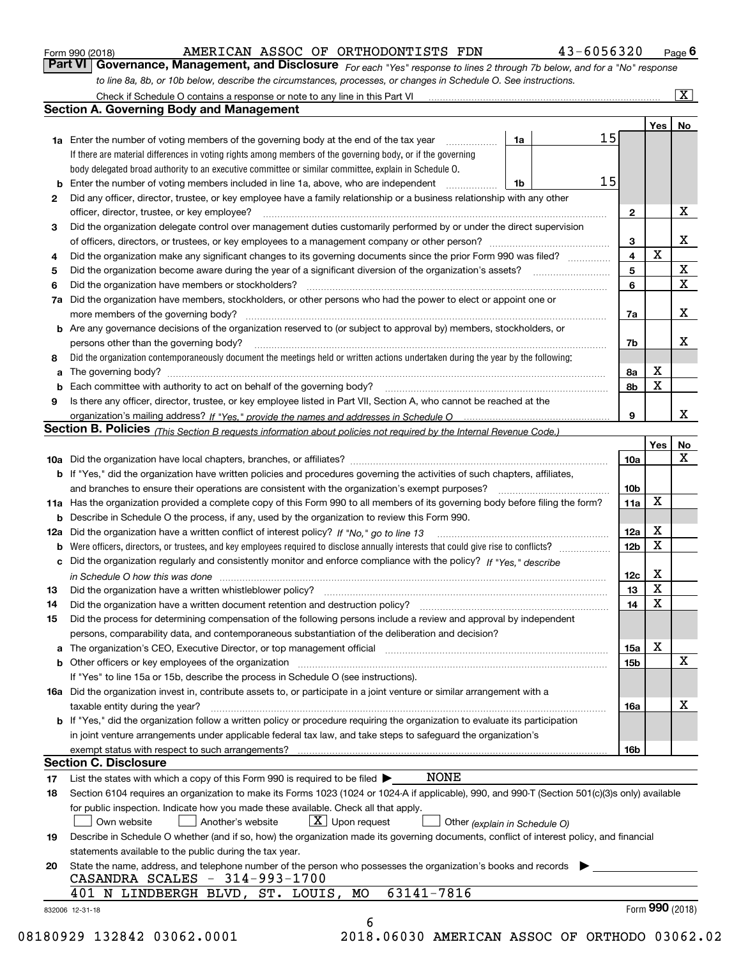|  | Form 990 (2018) |
|--|-----------------|
|  |                 |

# AMERICAN ASSOC OF ORTHODONTISTS FDN 43-6056320

*For each "Yes" response to lines 2 through 7b below, and for a "No" response to line 8a, 8b, or 10b below, describe the circumstances, processes, or changes in Schedule O. See instructions.* Form 990 (2018) **COMBAN ART ANDER LOOK ASSOC OF ORTHODONTISTS FDN** 43-6056320 Page 6<br>**Part VI Governance, Management, and Disclosure** For each "Yes" response to lines 2 through 7b below, and for a "No" response

|    | <b>1a</b> Enter the number of voting members of the governing body at the end of the tax year <i>manumum</i>                                                                  | 1a | 15                      | Yes             | No                      |
|----|-------------------------------------------------------------------------------------------------------------------------------------------------------------------------------|----|-------------------------|-----------------|-------------------------|
|    | If there are material differences in voting rights among members of the governing body, or if the governing                                                                   |    |                         |                 |                         |
|    | body delegated broad authority to an executive committee or similar committee, explain in Schedule O.                                                                         |    |                         |                 |                         |
| b  | Enter the number of voting members included in line 1a, above, who are independent                                                                                            | 1b | 15                      |                 |                         |
| 2  | Did any officer, director, trustee, or key employee have a family relationship or a business relationship with any other                                                      |    |                         |                 |                         |
|    | officer, director, trustee, or key employee?                                                                                                                                  |    | $\mathbf{2}$            |                 | X                       |
| 3  | Did the organization delegate control over management duties customarily performed by or under the direct supervision                                                         |    |                         |                 |                         |
|    |                                                                                                                                                                               |    | 3                       |                 | X                       |
| 4  | Did the organization make any significant changes to its governing documents since the prior Form 990 was filed?                                                              |    | $\overline{\mathbf{4}}$ | X               |                         |
| 5  |                                                                                                                                                                               |    | 5                       |                 | $\mathbf X$             |
| 6  |                                                                                                                                                                               |    | 6                       |                 | $\overline{\mathbf{x}}$ |
| 7a | Did the organization have members, stockholders, or other persons who had the power to elect or appoint one or                                                                |    |                         |                 |                         |
|    |                                                                                                                                                                               |    | 7a                      |                 | X                       |
|    | <b>b</b> Are any governance decisions of the organization reserved to (or subject to approval by) members, stockholders, or                                                   |    |                         |                 |                         |
|    | persons other than the governing body?                                                                                                                                        |    | 7b                      |                 | X                       |
| 8  | Did the organization contemporaneously document the meetings held or written actions undertaken during the year by the following:                                             |    |                         |                 |                         |
| a  |                                                                                                                                                                               |    | 8a                      | X               |                         |
| b  |                                                                                                                                                                               |    | 8b                      | X               |                         |
| 9  | Is there any officer, director, trustee, or key employee listed in Part VII, Section A, who cannot be reached at the                                                          |    |                         |                 |                         |
|    |                                                                                                                                                                               |    | 9                       |                 | х                       |
|    | Section B. Policies <sub>(This Section B requests information about policies not required by the Internal Revenue Code.)</sub>                                                |    |                         |                 |                         |
|    |                                                                                                                                                                               |    |                         | Yes             | No                      |
|    |                                                                                                                                                                               |    | 10a                     |                 | X                       |
|    | <b>b</b> If "Yes," did the organization have written policies and procedures governing the activities of such chapters, affiliates,                                           |    |                         |                 |                         |
|    |                                                                                                                                                                               |    |                         |                 |                         |
|    |                                                                                                                                                                               |    | 10b                     | X               |                         |
|    | 11a Has the organization provided a complete copy of this Form 990 to all members of its governing body before filing the form?                                               |    | 11a                     |                 |                         |
|    | <b>b</b> Describe in Schedule O the process, if any, used by the organization to review this Form 990.                                                                        |    |                         |                 |                         |
|    |                                                                                                                                                                               |    | 12a                     | X<br>X          |                         |
| b  |                                                                                                                                                                               |    | 12b                     |                 |                         |
| c  | Did the organization regularly and consistently monitor and enforce compliance with the policy? If "Yes," describe                                                            |    |                         |                 |                         |
|    | in Schedule O how this was done manufactured and contact the state of the state of the state of the state of t                                                                |    | 12c                     | X               |                         |
| 13 |                                                                                                                                                                               |    | 13                      | X               |                         |
| 14 | Did the organization have a written document retention and destruction policy? manufactured and the organization have a written document retention and destruction policy?    |    | 14                      | X               |                         |
| 15 | Did the process for determining compensation of the following persons include a review and approval by independent                                                            |    |                         |                 |                         |
|    | persons, comparability data, and contemporaneous substantiation of the deliberation and decision?                                                                             |    |                         |                 |                         |
| а  | The organization's CEO, Executive Director, or top management official manufactured content content of the organization's CEO, Executive Director, or top management official |    | 15a                     | X               |                         |
|    | <b>b</b> Other officers or key employees of the organization                                                                                                                  |    | 15b                     |                 | X                       |
|    | If "Yes" to line 15a or 15b, describe the process in Schedule O (see instructions).                                                                                           |    |                         |                 |                         |
|    | 16a Did the organization invest in, contribute assets to, or participate in a joint venture or similar arrangement with a                                                     |    |                         |                 |                         |
|    | taxable entity during the year?                                                                                                                                               |    | 16a                     |                 | X                       |
|    | b If "Yes," did the organization follow a written policy or procedure requiring the organization to evaluate its participation                                                |    |                         |                 |                         |
|    | in joint venture arrangements under applicable federal tax law, and take steps to safeguard the organization's                                                                |    |                         |                 |                         |
|    | exempt status with respect to such arrangements?                                                                                                                              |    | 16b                     |                 |                         |
|    | <b>Section C. Disclosure</b>                                                                                                                                                  |    |                         |                 |                         |
| 17 | <b>NONE</b><br>List the states with which a copy of this Form 990 is required to be filed $\blacktriangleright$                                                               |    |                         |                 |                         |
| 18 | Section 6104 requires an organization to make its Forms 1023 (1024 or 1024-A if applicable), 990, and 990-T (Section 501(c)(3)s only) available                               |    |                         |                 |                         |
|    | for public inspection. Indicate how you made these available. Check all that apply.                                                                                           |    |                         |                 |                         |
|    | $X$ Upon request<br>Another's website<br>Own website<br>Other (explain in Schedule O)                                                                                         |    |                         |                 |                         |
| 19 | Describe in Schedule O whether (and if so, how) the organization made its governing documents, conflict of interest policy, and financial                                     |    |                         |                 |                         |
|    | statements available to the public during the tax year.                                                                                                                       |    |                         |                 |                         |
| 20 | State the name, address, and telephone number of the person who possesses the organization's books and records<br>CASANDRA SCALES - 314-993-1700                              |    |                         |                 |                         |
|    | 63141-7816<br>401 N LINDBERGH BLVD, ST. LOUIS, MO                                                                                                                             |    |                         |                 |                         |
|    | 832006 12-31-18                                                                                                                                                               |    |                         | Form 990 (2018) |                         |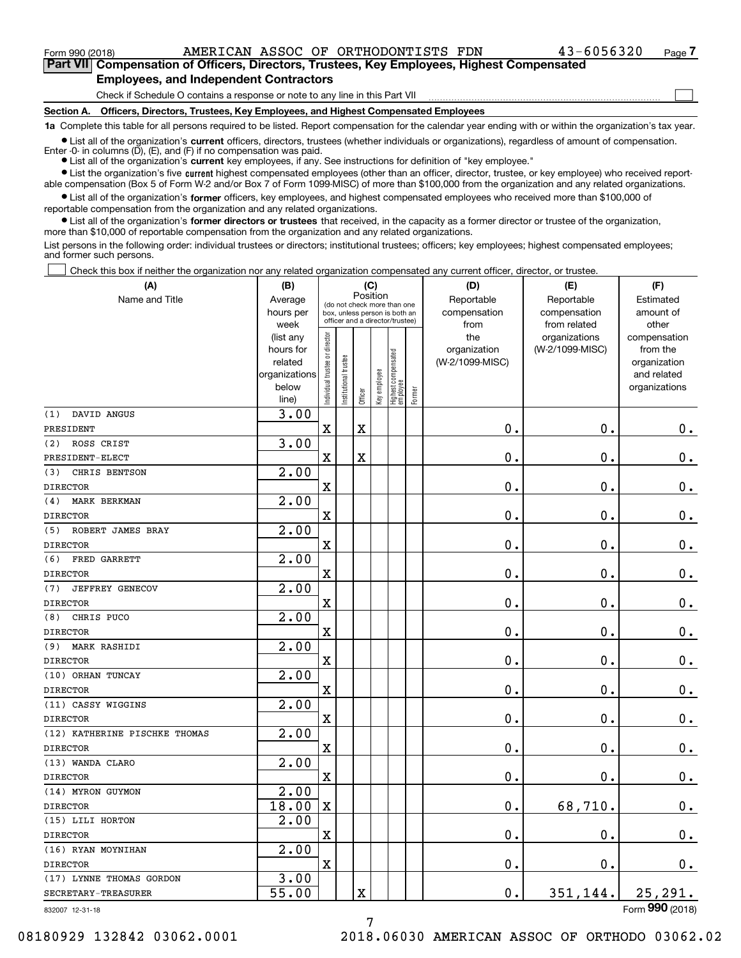**(A)**

 $\mathcal{L}^{\text{max}}$ 

**7Part VII Compensation of Officers, Directors, Trustees, Key Employees, Highest Compensated Employees, and Independent Contractors**

Check if Schedule O contains a response or note to any line in this Part VII

**Section A. Officers, Directors, Trustees, Key Employees, and Highest Compensated Employees**

**1a**  Complete this table for all persons required to be listed. Report compensation for the calendar year ending with or within the organization's tax year.

**•** List all of the organization's current officers, directors, trustees (whether individuals or organizations), regardless of amount of compensation. Enter -0- in columns  $(D)$ ,  $(E)$ , and  $(F)$  if no compensation was paid.

● List all of the organization's **current** key employees, if any. See instructions for definition of "key employee."

**•** List the organization's five current highest compensated employees (other than an officer, director, trustee, or key employee) who received reportable compensation (Box 5 of Form W-2 and/or Box 7 of Form 1099-MISC) of more than \$100,000 from the organization and any related organizations.

 $\bullet$  List all of the organization's **former** officers, key employees, and highest compensated employees who received more than \$100,000 of reportable compensation from the organization and any related organizations.

**•** List all of the organization's former directors or trustees that received, in the capacity as a former director or trustee of the organization, more than \$10,000 of reportable compensation from the organization and any related organizations.

List persons in the following order: individual trustees or directors; institutional trustees; officers; key employees; highest compensated employees; and former such persons.

Check this box if neither the organization nor any related organization compensated any current officer, director, or trustee.  $\mathcal{L}^{\text{max}}$ 

| (A)                           | (B)                                                                          | (C)                            |                                                                                                 |                         |              |                                   |        | (D)                                            | (E)                                              | (F)                                                                               |
|-------------------------------|------------------------------------------------------------------------------|--------------------------------|-------------------------------------------------------------------------------------------------|-------------------------|--------------|-----------------------------------|--------|------------------------------------------------|--------------------------------------------------|-----------------------------------------------------------------------------------|
| Name and Title                | Average<br>hours per                                                         |                                | (do not check more than one<br>box, unless person is both an<br>officer and a director/trustee) | Position                |              |                                   |        | Reportable<br>compensation                     | Reportable<br>compensation                       | Estimated<br>amount of                                                            |
|                               | week<br>(list any<br>hours for<br>related<br>organizations<br>below<br>line) | Individual trustee or director | Institutional trustee                                                                           | Officer                 | Key employee | Highest compensated<br>  employee | Former | from<br>the<br>organization<br>(W-2/1099-MISC) | from related<br>organizations<br>(W-2/1099-MISC) | other<br>compensation<br>from the<br>organization<br>and related<br>organizations |
| DAVID ANGUS<br>(1)            | 3.00                                                                         |                                |                                                                                                 |                         |              |                                   |        |                                                |                                                  |                                                                                   |
| PRESIDENT                     |                                                                              | X                              |                                                                                                 | $\overline{\mathbf{X}}$ |              |                                   |        | 0.                                             | $\mathbf 0$ .                                    | $\mathbf 0$ .                                                                     |
| ROSS CRIST<br>(2)             | 3.00                                                                         |                                |                                                                                                 |                         |              |                                   |        |                                                |                                                  |                                                                                   |
| PRESIDENT-ELECT               |                                                                              | X                              |                                                                                                 | $\rm X$                 |              |                                   |        | $\mathbf{0}$ .                                 | $\mathbf 0$ .                                    | 0.                                                                                |
| (3)<br>CHRIS BENTSON          | 2.00                                                                         |                                |                                                                                                 |                         |              |                                   |        |                                                |                                                  |                                                                                   |
| <b>DIRECTOR</b>               |                                                                              | $\overline{\mathbf{X}}$        |                                                                                                 |                         |              |                                   |        | 0.                                             | $\mathbf 0$ .                                    | $\mathbf 0$ .                                                                     |
| MARK BERKMAN<br>(4)           | 2.00                                                                         |                                |                                                                                                 |                         |              |                                   |        |                                                |                                                  |                                                                                   |
| <b>DIRECTOR</b>               |                                                                              | $\mathbf x$                    |                                                                                                 |                         |              |                                   |        | 0.                                             | 0.                                               | $\mathbf 0$ .                                                                     |
| (5)<br>ROBERT JAMES BRAY      | 2.00                                                                         |                                |                                                                                                 |                         |              |                                   |        |                                                |                                                  |                                                                                   |
| <b>DIRECTOR</b>               |                                                                              | X                              |                                                                                                 |                         |              |                                   |        | 0.                                             | 0.                                               | $\mathbf 0$ .                                                                     |
| FRED GARRETT<br>(6)           | 2.00                                                                         |                                |                                                                                                 |                         |              |                                   |        |                                                |                                                  |                                                                                   |
| <b>DIRECTOR</b>               |                                                                              | $\mathbf X$                    |                                                                                                 |                         |              |                                   |        | $\mathbf{0}$ .                                 | 0.                                               | $\mathbf 0$ .                                                                     |
| (7)<br><b>JEFFREY GENECOV</b> | 2.00                                                                         |                                |                                                                                                 |                         |              |                                   |        |                                                |                                                  |                                                                                   |
| <b>DIRECTOR</b>               |                                                                              | $\mathbf X$                    |                                                                                                 |                         |              |                                   |        | 0.                                             | 0.                                               | $\mathbf 0$ .                                                                     |
| CHRIS PUCO<br>(8)             | 2.00                                                                         |                                |                                                                                                 |                         |              |                                   |        |                                                |                                                  |                                                                                   |
| <b>DIRECTOR</b>               |                                                                              | $\mathbf x$                    |                                                                                                 |                         |              |                                   |        | 0.                                             | 0.                                               | $\mathbf 0$ .                                                                     |
| (9)<br><b>MARK RASHIDI</b>    | 2.00                                                                         |                                |                                                                                                 |                         |              |                                   |        |                                                |                                                  |                                                                                   |
| <b>DIRECTOR</b>               |                                                                              | X                              |                                                                                                 |                         |              |                                   |        | 0.                                             | $\mathbf 0$ .                                    | $0_{.}$                                                                           |
| (10) ORHAN TUNCAY             | $\overline{2.00}$                                                            |                                |                                                                                                 |                         |              |                                   |        |                                                |                                                  |                                                                                   |
| <b>DIRECTOR</b>               |                                                                              | X                              |                                                                                                 |                         |              |                                   |        | 0.                                             | $\mathbf 0$ .                                    | $\mathbf 0$ .                                                                     |
| (11) CASSY WIGGINS            | 2.00                                                                         |                                |                                                                                                 |                         |              |                                   |        |                                                |                                                  |                                                                                   |
| <b>DIRECTOR</b>               |                                                                              | $\rm X$                        |                                                                                                 |                         |              |                                   |        | 0.                                             | $\mathbf 0$ .                                    | $0_{.}$                                                                           |
| (12) KATHERINE PISCHKE THOMAS | 2.00                                                                         |                                |                                                                                                 |                         |              |                                   |        |                                                |                                                  |                                                                                   |
| <b>DIRECTOR</b>               |                                                                              | X                              |                                                                                                 |                         |              |                                   |        | $\mathbf 0$ .                                  | $\mathbf 0$ .                                    | $0_{.}$                                                                           |
| (13) WANDA CLARO              | 2.00                                                                         |                                |                                                                                                 |                         |              |                                   |        |                                                |                                                  |                                                                                   |
| <b>DIRECTOR</b>               |                                                                              | X                              |                                                                                                 |                         |              |                                   |        | 0.                                             | $\mathbf 0$ .                                    | $\mathbf 0$ .                                                                     |
| (14) MYRON GUYMON             | 2.00                                                                         |                                |                                                                                                 |                         |              |                                   |        |                                                |                                                  |                                                                                   |
| <b>DIRECTOR</b>               | 18.00                                                                        | $\overline{\text{X}}$          |                                                                                                 |                         |              |                                   |        | 0.                                             | 68,710.                                          | $\mathbf 0$ .                                                                     |
| (15) LILI HORTON              | 2.00                                                                         |                                |                                                                                                 |                         |              |                                   |        |                                                |                                                  |                                                                                   |
| <b>DIRECTOR</b>               |                                                                              | $\mathbf X$                    |                                                                                                 |                         |              |                                   |        | 0.                                             | 0.                                               | $\mathbf 0$ .                                                                     |
| (16) RYAN MOYNIHAN            | 2.00                                                                         |                                |                                                                                                 |                         |              |                                   |        |                                                |                                                  |                                                                                   |
| <b>DIRECTOR</b>               |                                                                              | $\mathbf X$                    |                                                                                                 |                         |              |                                   |        | $\mathbf 0$ .                                  | $\mathbf 0$ .                                    | 0.                                                                                |
| (17) LYNNE THOMAS GORDON      | 3.00                                                                         |                                |                                                                                                 |                         |              |                                   |        |                                                |                                                  |                                                                                   |
| SECRETARY-TREASURER           | 55.00                                                                        |                                |                                                                                                 | X                       |              |                                   |        | 0.                                             | 351,144.                                         | 25, 291.                                                                          |
| 832007 12-31-18               |                                                                              |                                |                                                                                                 |                         |              |                                   |        |                                                |                                                  | Form 990 (2018)                                                                   |

832007 12-31-18

08180929 132842 03062.0001 2018.06030 AMERICAN ASSOC OF ORTHODO 03062.02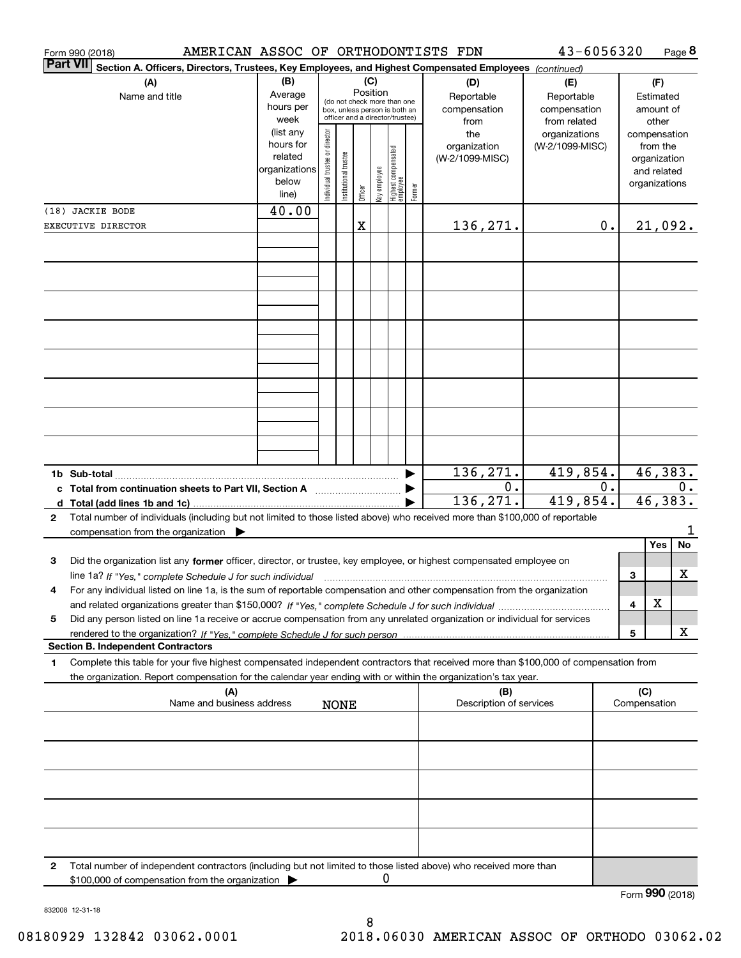|                 | AMERICAN ASSOC OF ORTHODONTISTS FDN<br>Form 990 (2018)                                                                                                                                                                                                 |                                                                                                                                                           |                               |                        |         |              |                                   |        |                                           | 43-6056320                                        |    |                     | Page 8                                                                   |
|-----------------|--------------------------------------------------------------------------------------------------------------------------------------------------------------------------------------------------------------------------------------------------------|-----------------------------------------------------------------------------------------------------------------------------------------------------------|-------------------------------|------------------------|---------|--------------|-----------------------------------|--------|-------------------------------------------|---------------------------------------------------|----|---------------------|--------------------------------------------------------------------------|
| <b>Part VII</b> | Section A. Officers, Directors, Trustees, Key Employees, and Highest Compensated Employees (continued)                                                                                                                                                 |                                                                                                                                                           |                               |                        | (C)     |              |                                   |        |                                           |                                                   |    |                     |                                                                          |
|                 | Name and title                                                                                                                                                                                                                                         | (B)<br>(A)<br>Position<br>Average<br>(do not check more than one<br>hours per<br>box, unless person is both an<br>officer and a director/trustee)<br>week |                               |                        |         |              |                                   |        | (D)<br>Reportable<br>compensation<br>from | (E)<br>Reportable<br>compensation<br>from related |    |                     | (F)<br>Estimated<br>amount of<br>other                                   |
|                 |                                                                                                                                                                                                                                                        | (list any<br>hours for<br>related<br>organizations<br>below<br>line)                                                                                      | ndividual trustee or director | In stitutional trustee | Officer | (ey employee | Highest compensated<br>  employee | Former | the<br>organization<br>(W-2/1099-MISC)    | organizations<br>(W-2/1099-MISC)                  |    |                     | compensation<br>from the<br>organization<br>and related<br>organizations |
|                 | (18) JACKIE BODE                                                                                                                                                                                                                                       | 40.00                                                                                                                                                     |                               |                        |         |              |                                   |        |                                           |                                                   |    |                     |                                                                          |
|                 | EXECUTIVE DIRECTOR                                                                                                                                                                                                                                     |                                                                                                                                                           |                               |                        | X       |              |                                   |        | 136,271.                                  |                                                   | 0. |                     | 21,092.                                                                  |
|                 |                                                                                                                                                                                                                                                        |                                                                                                                                                           |                               |                        |         |              |                                   |        |                                           |                                                   |    |                     |                                                                          |
|                 |                                                                                                                                                                                                                                                        |                                                                                                                                                           |                               |                        |         |              |                                   |        |                                           |                                                   |    |                     |                                                                          |
|                 |                                                                                                                                                                                                                                                        |                                                                                                                                                           |                               |                        |         |              |                                   |        |                                           |                                                   |    |                     |                                                                          |
|                 |                                                                                                                                                                                                                                                        |                                                                                                                                                           |                               |                        |         |              |                                   |        |                                           |                                                   |    |                     |                                                                          |
|                 | c Total from continuation sheets to Part VII, Section A                                                                                                                                                                                                |                                                                                                                                                           |                               |                        |         |              |                                   |        | 136,271.<br>0.<br>136,271.                | 419,854.<br>419,854.                              | 0. |                     | 46,383.<br>0.<br>46, 383.                                                |
| $\mathbf{2}$    | Total number of individuals (including but not limited to those listed above) who received more than \$100,000 of reportable<br>compensation from the organization                                                                                     |                                                                                                                                                           |                               |                        |         |              |                                   |        |                                           |                                                   |    |                     | No<br>Yes                                                                |
| 3               | Did the organization list any former officer, director, or trustee, key employee, or highest compensated employee on<br>line 1a? If "Yes," complete Schedule J for such individual                                                                     |                                                                                                                                                           |                               |                        |         |              |                                   |        |                                           |                                                   |    | 3                   | x                                                                        |
| 4               | For any individual listed on line 1a, is the sum of reportable compensation and other compensation from the organization                                                                                                                               |                                                                                                                                                           |                               |                        |         |              |                                   |        |                                           |                                                   |    | 4                   | х                                                                        |
| 5               | Did any person listed on line 1a receive or accrue compensation from any unrelated organization or individual for services                                                                                                                             |                                                                                                                                                           |                               |                        |         |              |                                   |        |                                           |                                                   |    | 5                   | x                                                                        |
|                 | <b>Section B. Independent Contractors</b>                                                                                                                                                                                                              |                                                                                                                                                           |                               |                        |         |              |                                   |        |                                           |                                                   |    |                     |                                                                          |
| 1               | Complete this table for your five highest compensated independent contractors that received more than \$100,000 of compensation from<br>the organization. Report compensation for the calendar year ending with or within the organization's tax year. |                                                                                                                                                           |                               |                        |         |              |                                   |        |                                           |                                                   |    |                     |                                                                          |
|                 | (A)<br>Name and business address                                                                                                                                                                                                                       |                                                                                                                                                           |                               | <b>NONE</b>            |         |              |                                   |        | (B)<br>Description of services            |                                                   |    | (C)<br>Compensation |                                                                          |
|                 |                                                                                                                                                                                                                                                        |                                                                                                                                                           |                               |                        |         |              |                                   |        |                                           |                                                   |    |                     |                                                                          |
|                 |                                                                                                                                                                                                                                                        |                                                                                                                                                           |                               |                        |         |              |                                   |        |                                           |                                                   |    |                     |                                                                          |
|                 |                                                                                                                                                                                                                                                        |                                                                                                                                                           |                               |                        |         |              |                                   |        |                                           |                                                   |    |                     |                                                                          |
| 2               | Total number of independent contractors (including but not limited to those listed above) who received more than<br>\$100,000 of compensation from the organization                                                                                    |                                                                                                                                                           |                               |                        |         | O            |                                   |        |                                           |                                                   |    | ההה                 |                                                                          |

Form (2018) **990**

832008 12-31-18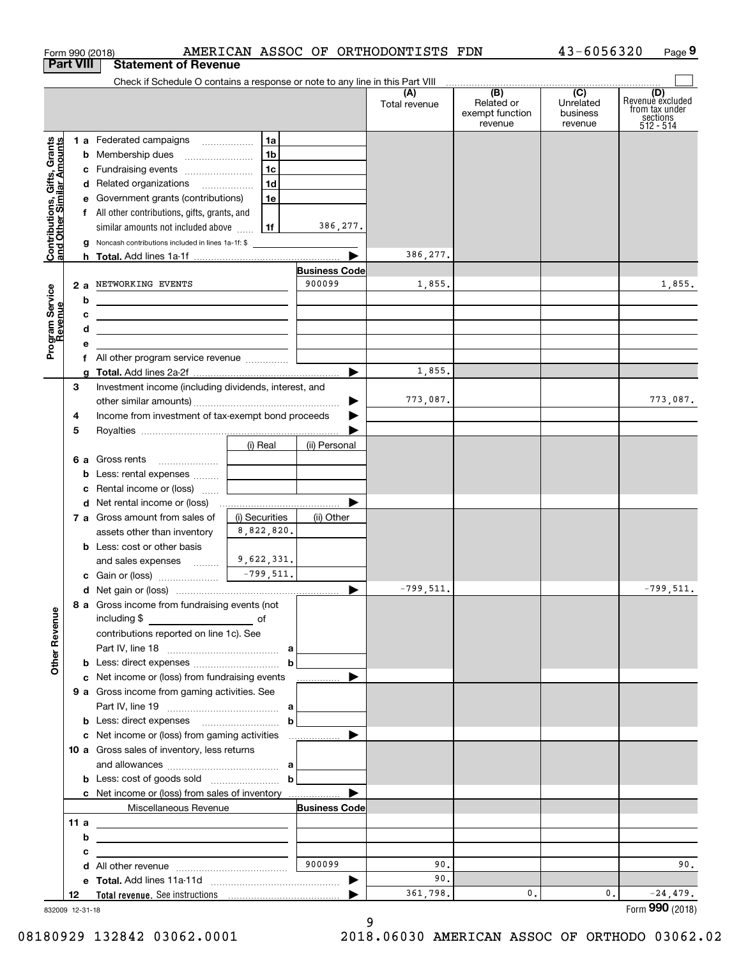| Form 990 (2018)                                           |                                                                                                                            |                |                                | AMERICAN ASSOC OF ORTHODONTISTS FDN |                                                 | 43-6056320                                           | Page 9                                                             |
|-----------------------------------------------------------|----------------------------------------------------------------------------------------------------------------------------|----------------|--------------------------------|-------------------------------------|-------------------------------------------------|------------------------------------------------------|--------------------------------------------------------------------|
| <b>Part VIII</b>                                          | <b>Statement of Revenue</b>                                                                                                |                |                                |                                     |                                                 |                                                      |                                                                    |
|                                                           | Check if Schedule O contains a response or note to any line in this Part VIII                                              |                |                                | (A)<br>Total revenue                | (B)<br>Related or<br>exempt function<br>revenue | $\overline{(C)}$<br>Unrelated<br>business<br>revenue | (D)<br>Revenue excluded<br>from tax under<br>sections<br>512 - 514 |
|                                                           | 1 a Federated campaigns                                                                                                    | 1a             |                                |                                     |                                                 |                                                      |                                                                    |
| Contributions, Gifts, Grants<br>and Other Similar Amounts | <b>b</b> Membership dues                                                                                                   | 1 <sub>b</sub> |                                |                                     |                                                 |                                                      |                                                                    |
|                                                           | c Fundraising events                                                                                                       | 1c             |                                |                                     |                                                 |                                                      |                                                                    |
|                                                           | d Related organizations                                                                                                    | 1d             |                                |                                     |                                                 |                                                      |                                                                    |
|                                                           | e Government grants (contributions)                                                                                        | 1e             |                                |                                     |                                                 |                                                      |                                                                    |
|                                                           | f All other contributions, gifts, grants, and                                                                              |                |                                |                                     |                                                 |                                                      |                                                                    |
|                                                           | similar amounts not included above                                                                                         | 1f             | 386,277.                       |                                     |                                                 |                                                      |                                                                    |
|                                                           | g Noncash contributions included in lines 1a-1f: \$                                                                        |                |                                | 386,277.                            |                                                 |                                                      |                                                                    |
|                                                           |                                                                                                                            |                |                                |                                     |                                                 |                                                      |                                                                    |
|                                                           |                                                                                                                            |                | <b>Business Code</b><br>900099 |                                     |                                                 |                                                      |                                                                    |
| Program Service<br>Revenue                                | 2 a NETWORKING EVENTS                                                                                                      |                |                                | 1,855.                              |                                                 |                                                      | 1,855.                                                             |
|                                                           | b<br><u> 1989 - Johann Stein, marwolaethau a bhann an t-Amhair an t-Amhair an t-Amhair an t-Amhair an t-Amhair an t-A</u>  |                |                                |                                     |                                                 |                                                      |                                                                    |
|                                                           | с<br><u> 2000 - Jan James James Barnett, amerikansk politik (</u>                                                          |                |                                |                                     |                                                 |                                                      |                                                                    |
|                                                           | d<br><u> 1989 - Johann John Stone, meil in der Stone aus der Stone aus der Stone aus der Stone aus der Stone aus der S</u> |                |                                |                                     |                                                 |                                                      |                                                                    |
|                                                           | е<br>f All other program service revenue                                                                                   |                |                                |                                     |                                                 |                                                      |                                                                    |
|                                                           | a                                                                                                                          |                |                                | 1,855.                              |                                                 |                                                      |                                                                    |
| З                                                         | Investment income (including dividends, interest, and                                                                      |                |                                |                                     |                                                 |                                                      |                                                                    |
|                                                           |                                                                                                                            |                |                                | 773,087.                            |                                                 |                                                      | 773,087.                                                           |
| 4                                                         | Income from investment of tax-exempt bond proceeds                                                                         |                |                                |                                     |                                                 |                                                      |                                                                    |
| 5                                                         |                                                                                                                            |                |                                |                                     |                                                 |                                                      |                                                                    |
|                                                           |                                                                                                                            | (i) Real       | (ii) Personal                  |                                     |                                                 |                                                      |                                                                    |
|                                                           | 6 a Gross rents                                                                                                            |                |                                |                                     |                                                 |                                                      |                                                                    |
|                                                           | <b>b</b> Less: rental expenses                                                                                             |                |                                |                                     |                                                 |                                                      |                                                                    |
|                                                           | <b>c</b> Rental income or (loss) $\ldots$                                                                                  |                |                                |                                     |                                                 |                                                      |                                                                    |
|                                                           |                                                                                                                            |                |                                |                                     |                                                 |                                                      |                                                                    |
|                                                           | 7 a Gross amount from sales of                                                                                             | (i) Securities | (ii) Other                     |                                     |                                                 |                                                      |                                                                    |
|                                                           | assets other than inventory                                                                                                | 8,822,820.     |                                |                                     |                                                 |                                                      |                                                                    |
|                                                           | <b>b</b> Less: cost or other basis                                                                                         |                |                                |                                     |                                                 |                                                      |                                                                    |
|                                                           | and sales expenses                                                                                                         | 9,622,331.     |                                |                                     |                                                 |                                                      |                                                                    |
|                                                           |                                                                                                                            | $-799,511.$    |                                |                                     |                                                 |                                                      |                                                                    |
|                                                           |                                                                                                                            |                |                                | $-799,511.$                         |                                                 |                                                      | $-799,511.$                                                        |
| <b>Other Revenue</b>                                      | 8 a Gross income from fundraising events (not<br>including \$                                                              |                |                                |                                     |                                                 |                                                      |                                                                    |
|                                                           | contributions reported on line 1c). See                                                                                    |                |                                |                                     |                                                 |                                                      |                                                                    |
|                                                           |                                                                                                                            |                |                                |                                     |                                                 |                                                      |                                                                    |
|                                                           |                                                                                                                            | $\mathbf b$    |                                |                                     |                                                 |                                                      |                                                                    |
|                                                           | c Net income or (loss) from fundraising events                                                                             |                | —————— ▶                       |                                     |                                                 |                                                      |                                                                    |
|                                                           | <b>9 a</b> Gross income from gaming activities. See                                                                        |                |                                |                                     |                                                 |                                                      |                                                                    |
|                                                           |                                                                                                                            |                |                                |                                     |                                                 |                                                      |                                                                    |
|                                                           |                                                                                                                            | $\mathbf b$    |                                |                                     |                                                 |                                                      |                                                                    |
|                                                           |                                                                                                                            |                |                                |                                     |                                                 |                                                      |                                                                    |
|                                                           | 10 a Gross sales of inventory, less returns                                                                                |                |                                |                                     |                                                 |                                                      |                                                                    |
|                                                           |                                                                                                                            |                |                                |                                     |                                                 |                                                      |                                                                    |
|                                                           |                                                                                                                            | $\mathbf b$    |                                |                                     |                                                 |                                                      |                                                                    |
|                                                           | <b>c</b> Net income or (loss) from sales of inventory                                                                      |                |                                |                                     |                                                 |                                                      |                                                                    |
|                                                           | Miscellaneous Revenue                                                                                                      |                | <b>Business Code</b>           |                                     |                                                 |                                                      |                                                                    |
| 11 a                                                      | <u> 1989 - Johann Barn, fransk politik (d. 1989)</u>                                                                       |                |                                |                                     |                                                 |                                                      |                                                                    |
|                                                           | b<br><u> 1989 - Johann Barbara, martxa eta idazlea (h. 1989).</u>                                                          |                |                                |                                     |                                                 |                                                      |                                                                    |
| с                                                         | <u> 1989 - John Harry Harry Harry Harry Harry Harry Harry Harry Harry Harry Harry Harry Harry Harry Harry Harry H</u>      |                |                                |                                     |                                                 |                                                      |                                                                    |
|                                                           |                                                                                                                            |                | 900099                         | 90.                                 |                                                 |                                                      | 90.                                                                |
|                                                           |                                                                                                                            |                |                                | 90.                                 |                                                 |                                                      |                                                                    |
| 12                                                        |                                                                                                                            |                |                                | 361,798.                            | 0.                                              | 0.                                                   | $-24,479.$                                                         |

9

832009 12-31-18

08180929 132842 03062.0001 2018.06030 AMERICAN ASSOC OF ORTHODO 03062.02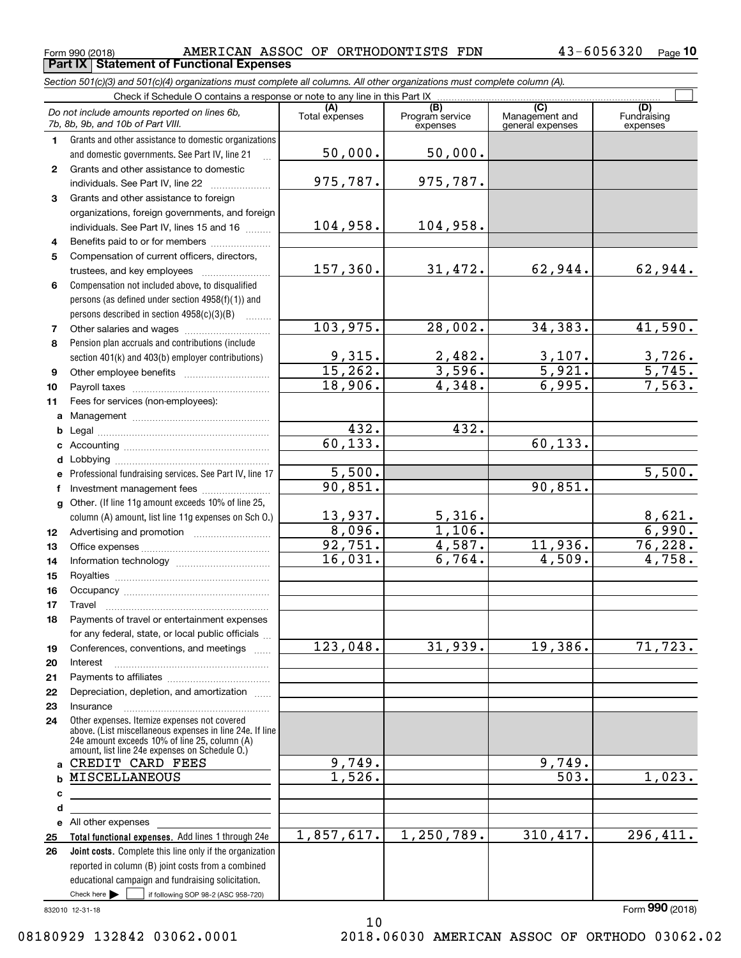$_{\rm Form}$  990 (2018) AMERICAN ASSOC OF ORTHODONTISTS FDN  $_{\rm 43-6056320~\,_{\rm Page}}$ **Part IX Statement of Functional Expenses**

*Section 501(c)(3) and 501(c)(4) organizations must complete all columns. All other organizations must complete column (A).*

 $\overline{\Box}$ 

|                  | Do not include amounts reported on lines 6b,<br>7b, 8b, 9b, and 10b of Part VIII.                                             | (A)<br>Total expenses | (B)<br>Program service<br>expenses | $\overline{(C)}$<br>Management and<br>general expenses | (D)<br>Fundraising<br>expenses |  |  |  |  |
|------------------|-------------------------------------------------------------------------------------------------------------------------------|-----------------------|------------------------------------|--------------------------------------------------------|--------------------------------|--|--|--|--|
| 1.               | Grants and other assistance to domestic organizations                                                                         |                       |                                    |                                                        |                                |  |  |  |  |
|                  | and domestic governments. See Part IV, line 21                                                                                | 50,000.               | 50,000.                            |                                                        |                                |  |  |  |  |
| $\mathbf{2}$     | Grants and other assistance to domestic                                                                                       |                       |                                    |                                                        |                                |  |  |  |  |
|                  | individuals. See Part IV, line 22                                                                                             | 975,787.              | 975,787.                           |                                                        |                                |  |  |  |  |
| 3                | Grants and other assistance to foreign                                                                                        |                       |                                    |                                                        |                                |  |  |  |  |
|                  | organizations, foreign governments, and foreign                                                                               |                       |                                    |                                                        |                                |  |  |  |  |
|                  | individuals. See Part IV, lines 15 and 16                                                                                     | 104,958.              | 104,958.                           |                                                        |                                |  |  |  |  |
| 4                | Benefits paid to or for members                                                                                               |                       |                                    |                                                        |                                |  |  |  |  |
| 5                | Compensation of current officers, directors,                                                                                  | 157, 360.             |                                    |                                                        |                                |  |  |  |  |
|                  | trustees, and key employees                                                                                                   |                       | 31,472.                            | 62,944.                                                | 62,944.                        |  |  |  |  |
| 6                | Compensation not included above, to disqualified                                                                              |                       |                                    |                                                        |                                |  |  |  |  |
|                  | persons (as defined under section 4958(f)(1)) and                                                                             |                       |                                    |                                                        |                                |  |  |  |  |
|                  | persons described in section $4958(c)(3)(B)$<br>$\sim$                                                                        | 103,975.              | 28,002.                            | 34, 383.                                               | 41,590.                        |  |  |  |  |
| 7<br>8           | Pension plan accruals and contributions (include                                                                              |                       |                                    |                                                        |                                |  |  |  |  |
|                  | section 401(k) and 403(b) employer contributions)                                                                             | 9,315.                | 2,482.                             |                                                        | 3,726.                         |  |  |  |  |
| 9                |                                                                                                                               | 15,262.               | 3,596.                             | $\frac{3,107}{5,921}$                                  | $\overline{5,745.}$            |  |  |  |  |
| 10               |                                                                                                                               | 18,906.               | 4,348.                             | 6,995.                                                 | 7,563.                         |  |  |  |  |
| 11               | Fees for services (non-employees):                                                                                            |                       |                                    |                                                        |                                |  |  |  |  |
| a                |                                                                                                                               |                       |                                    |                                                        |                                |  |  |  |  |
| b                |                                                                                                                               | 432.                  | 432.                               |                                                        |                                |  |  |  |  |
| c                |                                                                                                                               | 60, 133.              |                                    | 60, 133.                                               |                                |  |  |  |  |
| d                |                                                                                                                               |                       |                                    |                                                        |                                |  |  |  |  |
| е                | Professional fundraising services. See Part IV, line 17                                                                       | 5,500.                |                                    |                                                        | 5,500.                         |  |  |  |  |
| f                | Investment management fees                                                                                                    | 90,851.               |                                    | 90,851.                                                |                                |  |  |  |  |
| g                | Other. (If line 11g amount exceeds 10% of line 25,                                                                            |                       |                                    |                                                        |                                |  |  |  |  |
|                  | column (A) amount, list line 11g expenses on Sch O.)                                                                          | 13,937.               | 5,316.                             |                                                        | 8,621.                         |  |  |  |  |
| 12 <sup>12</sup> |                                                                                                                               | 8,096.                | 1,106.                             |                                                        | 6,990.                         |  |  |  |  |
| 13               |                                                                                                                               | 92,751.               | 4,587.                             | 11,936.                                                | 76,228.                        |  |  |  |  |
| 14               |                                                                                                                               | 16,031.               | 6,764.                             | $\overline{4,509}$ .                                   | 4,758.                         |  |  |  |  |
| 15               |                                                                                                                               |                       |                                    |                                                        |                                |  |  |  |  |
| 16               |                                                                                                                               |                       |                                    |                                                        |                                |  |  |  |  |
| 17               | Travel                                                                                                                        |                       |                                    |                                                        |                                |  |  |  |  |
| 18               | Payments of travel or entertainment expenses                                                                                  |                       |                                    |                                                        |                                |  |  |  |  |
|                  | for any federal, state, or local public officials<br>Conferences, conventions, and meetings                                   | 123,048.              | 31,939.                            | 19,386.                                                | 71, 723.                       |  |  |  |  |
| 19<br>20         | Interest                                                                                                                      |                       |                                    |                                                        |                                |  |  |  |  |
| 21               |                                                                                                                               |                       |                                    |                                                        |                                |  |  |  |  |
| 22               | Depreciation, depletion, and amortization                                                                                     |                       |                                    |                                                        |                                |  |  |  |  |
| 23               | Insurance                                                                                                                     |                       |                                    |                                                        |                                |  |  |  |  |
| 24               | Other expenses. Itemize expenses not covered                                                                                  |                       |                                    |                                                        |                                |  |  |  |  |
|                  | above. (List miscellaneous expenses in line 24e. If line<br>24e amount exceeds 10% of line 25, column (A)                     |                       |                                    |                                                        |                                |  |  |  |  |
|                  | amount, list line 24e expenses on Schedule O.)                                                                                |                       |                                    |                                                        |                                |  |  |  |  |
| a                | CREDIT CARD FEES                                                                                                              | 9,749.                |                                    | $\overline{9,749}$ .                                   |                                |  |  |  |  |
| b                | <b>MISCELLANEOUS</b>                                                                                                          | 1,526.                |                                    | 503.                                                   | 1,023.                         |  |  |  |  |
| с                |                                                                                                                               |                       |                                    |                                                        |                                |  |  |  |  |
| d                |                                                                                                                               |                       |                                    |                                                        |                                |  |  |  |  |
|                  | e All other expenses                                                                                                          |                       |                                    |                                                        |                                |  |  |  |  |
| 25               | Total functional expenses. Add lines 1 through 24e                                                                            | 1,857,617.            | 1,250,789.                         | 310,417.                                               | 296,411.                       |  |  |  |  |
| 26               | <b>Joint costs.</b> Complete this line only if the organization                                                               |                       |                                    |                                                        |                                |  |  |  |  |
|                  | reported in column (B) joint costs from a combined                                                                            |                       |                                    |                                                        |                                |  |  |  |  |
|                  | educational campaign and fundraising solicitation.<br>Check here $\blacktriangleright$<br>if following SOP 98-2 (ASC 958-720) |                       |                                    |                                                        |                                |  |  |  |  |
|                  |                                                                                                                               |                       |                                    |                                                        |                                |  |  |  |  |

832010 12-31-18

10 08180929 132842 03062.0001 2018.06030 AMERICAN ASSOC OF ORTHODO 03062.02

Form (2018) **990**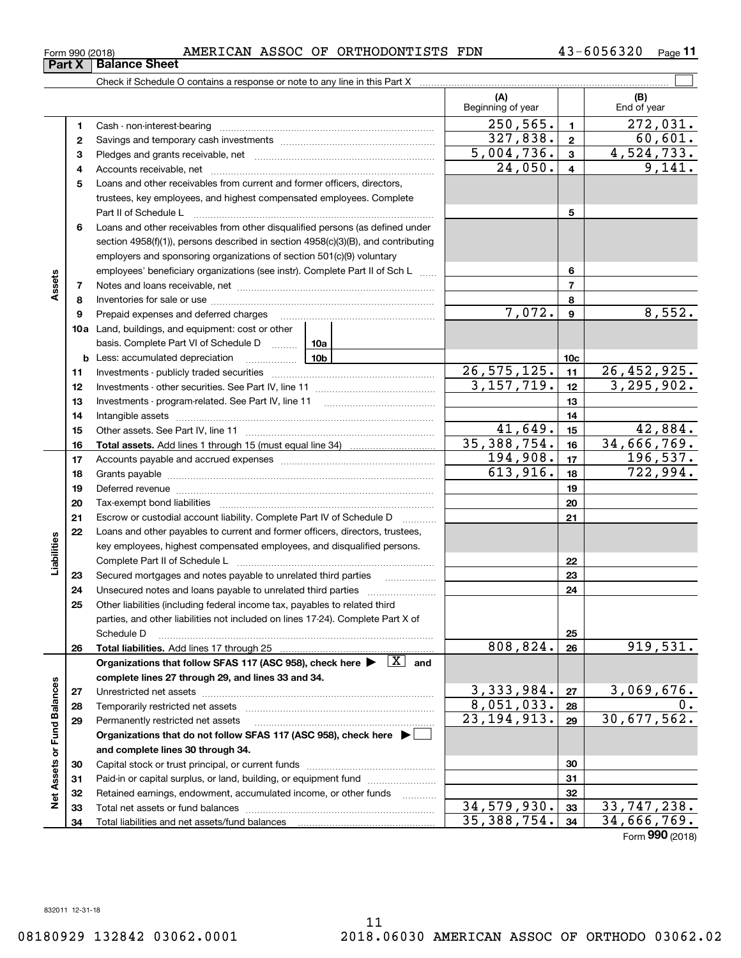| Form 990 (2018) |  |  |  | AMERICAN ASSOC OF ORTHODONTISTS | FDN | 43-6056320 | Page |
|-----------------|--|--|--|---------------------------------|-----|------------|------|
|-----------------|--|--|--|---------------------------------|-----|------------|------|

|                             |          |                                                                                                                                       | (A)<br>Beginning of year  |                         | (B)<br>End of year          |
|-----------------------------|----------|---------------------------------------------------------------------------------------------------------------------------------------|---------------------------|-------------------------|-----------------------------|
|                             | 1        |                                                                                                                                       | 250, 565.                 | $\mathbf{1}$            | $\overline{272,031}$ .      |
|                             | 2        |                                                                                                                                       | 327,838.                  | $\mathbf{2}$            | 60,601.                     |
|                             | з        |                                                                                                                                       | 5,004,736.                | $\mathbf{3}$            | 4,524,733.                  |
|                             | 4        |                                                                                                                                       | 24,050.                   | $\overline{\mathbf{4}}$ | 9,141.                      |
|                             | 5        | Loans and other receivables from current and former officers, directors,                                                              |                           |                         |                             |
|                             |          | trustees, key employees, and highest compensated employees. Complete                                                                  |                           |                         |                             |
|                             |          |                                                                                                                                       |                           | 5                       |                             |
|                             | 6        | Loans and other receivables from other disqualified persons (as defined under                                                         |                           |                         |                             |
|                             |          | section 4958(f)(1)), persons described in section 4958(c)(3)(B), and contributing                                                     |                           |                         |                             |
|                             |          | employers and sponsoring organizations of section 501(c)(9) voluntary                                                                 |                           |                         |                             |
|                             |          | employees' beneficiary organizations (see instr). Complete Part II of Sch L                                                           |                           | 6                       |                             |
| Assets                      | 7        |                                                                                                                                       |                           | $\overline{7}$          |                             |
|                             | 8        |                                                                                                                                       |                           | 8                       |                             |
|                             | 9        | Prepaid expenses and deferred charges<br>$\ldots \ldots \ldots \ldots \ldots \ldots \ldots \ldots \ldots \ldots \ldots \ldots \ldots$ | 7,072.                    | $\boldsymbol{9}$        | 8,552.                      |
|                             |          | 10a Land, buildings, and equipment: cost or other                                                                                     |                           |                         |                             |
|                             |          | basis. Complete Part VI of Schedule D<br>10a                                                                                          |                           |                         |                             |
|                             |          | 10 <sub>b</sub><br><b>b</b> Less: accumulated depreciation<br>. 1                                                                     |                           | 10 <sub>c</sub>         |                             |
|                             | 11       |                                                                                                                                       | 26, 575, 125.             | 11                      | $\overline{26}$ , 452, 925. |
|                             | 12       |                                                                                                                                       | 3, 157, 719.              | 12                      | 3, 295, 902.                |
|                             | 13       |                                                                                                                                       |                           | 13                      |                             |
|                             | 14       |                                                                                                                                       | 41,649.                   | 14                      | 42,884.                     |
|                             | 15       |                                                                                                                                       | 35, 388, 754.             | 15<br>16                | 34,666,769.                 |
|                             | 16<br>17 |                                                                                                                                       | 194,908.                  | 17                      | 196, 537.                   |
|                             | 18       |                                                                                                                                       | 613,916.                  | 18                      | 722,994.                    |
|                             | 19       |                                                                                                                                       |                           | 19                      |                             |
|                             | 20       |                                                                                                                                       |                           | 20                      |                             |
|                             | 21       | Escrow or custodial account liability. Complete Part IV of Schedule D<br>$\overline{\phantom{a}}$                                     |                           | 21                      |                             |
|                             | 22       | Loans and other payables to current and former officers, directors, trustees,                                                         |                           |                         |                             |
| Liabilities                 |          | key employees, highest compensated employees, and disqualified persons.                                                               |                           |                         |                             |
|                             |          |                                                                                                                                       |                           | 22                      |                             |
|                             | 23       | Secured mortgages and notes payable to unrelated third parties                                                                        |                           | 23                      |                             |
|                             | 24       |                                                                                                                                       |                           | 24                      |                             |
|                             | 25       | Other liabilities (including federal income tax, payables to related third                                                            |                           |                         |                             |
|                             |          | parties, and other liabilities not included on lines 17-24). Complete Part X of                                                       |                           |                         |                             |
|                             |          | Schedule D                                                                                                                            |                           | 25                      |                             |
|                             | 26       |                                                                                                                                       | 808,824.                  | 26                      | 919,531.                    |
|                             |          | Organizations that follow SFAS 117 (ASC 958), check here $\blacktriangleright \begin{array}{ c } \hline X & \text{and} \end{array}$   |                           |                         |                             |
|                             |          | complete lines 27 through 29, and lines 33 and 34.                                                                                    |                           |                         |                             |
|                             | 27       |                                                                                                                                       | 3,333,984.                | 27                      | 3,069,676.                  |
|                             | 28       |                                                                                                                                       | 8,051,033.                | 28                      | 0.                          |
|                             | 29       | Permanently restricted net assets                                                                                                     | $\overline{23,194,913}$ . | 29                      | 30,677,562.                 |
|                             |          | Organizations that do not follow SFAS 117 (ASC 958), check here ▶ │                                                                   |                           |                         |                             |
| Net Assets or Fund Balances |          | and complete lines 30 through 34.                                                                                                     |                           | 30                      |                             |
|                             | 30       | Paid-in or capital surplus, or land, building, or equipment fund                                                                      |                           | 31                      |                             |
|                             | 31<br>32 | Retained earnings, endowment, accumulated income, or other funds                                                                      |                           | 32                      |                             |
|                             | 33       |                                                                                                                                       | 34,579,930.               | 33                      | 33,747,238.                 |
|                             | 34       | Total liabilities and net assets/fund balances                                                                                        | 35, 388, 754.             | 34                      | 34,666,769.                 |
|                             |          |                                                                                                                                       |                           |                         | Form 990 (2018)             |

**Part X Balance Sheet**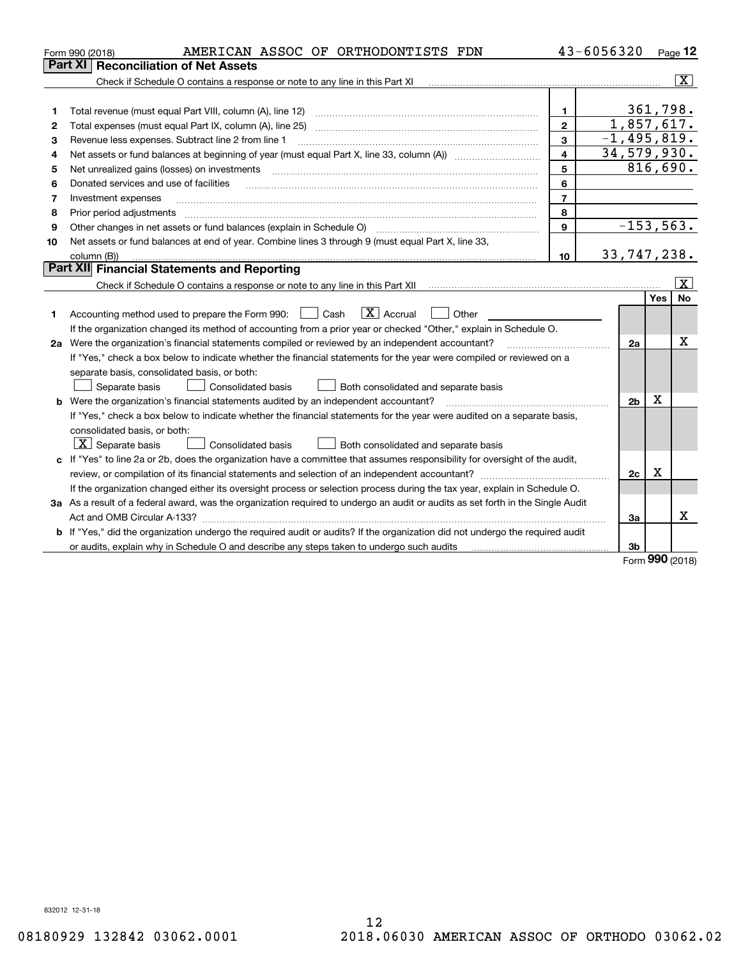|    | AMERICAN ASSOC OF ORTHODONTISTS FDN<br>Form 990 (2018)                                                                          |                         | 43-6056320      |          | Page 12                 |
|----|---------------------------------------------------------------------------------------------------------------------------------|-------------------------|-----------------|----------|-------------------------|
|    | <b>Reconciliation of Net Assets</b><br>Part XI                                                                                  |                         |                 |          |                         |
|    |                                                                                                                                 |                         |                 |          | $\overline{\mathbf{x}}$ |
|    |                                                                                                                                 |                         |                 |          |                         |
| 1  | Total revenue (must equal Part VIII, column (A), line 12)                                                                       | 1.                      |                 | 361,798. |                         |
| 2  | Total expenses (must equal Part IX, column (A), line 25)                                                                        | $\mathbf{2}$            | 1,857,617.      |          |                         |
| 3  | Revenue less expenses. Subtract line 2 from line 1                                                                              | 3                       | $-1, 495, 819.$ |          |                         |
| 4  |                                                                                                                                 | $\overline{\mathbf{4}}$ | 34,579,930.     |          |                         |
| 5  | Net unrealized gains (losses) on investments                                                                                    | 5                       |                 |          | 816,690.                |
| 6  | Donated services and use of facilities                                                                                          | 6                       |                 |          |                         |
| 7  | Investment expenses                                                                                                             | $\overline{7}$          |                 |          |                         |
| 8  | Prior period adjustments                                                                                                        | 8                       |                 |          |                         |
| 9  |                                                                                                                                 | 9                       | $-153, 563.$    |          |                         |
| 10 | Net assets or fund balances at end of year. Combine lines 3 through 9 (must equal Part X, line 33,                              |                         |                 |          |                         |
|    | column (B))                                                                                                                     | 10                      | 33,747,238.     |          |                         |
|    | Part XII Financial Statements and Reporting                                                                                     |                         |                 |          |                         |
|    |                                                                                                                                 |                         |                 |          | $\vert$ X $\vert$       |
|    |                                                                                                                                 |                         |                 | Yes      | No                      |
| 1. | $\boxed{\mathbf{X}}$ Accrual<br>Accounting method used to prepare the Form 990: <u>[</u> Cash<br>Other                          |                         |                 |          |                         |
|    | If the organization changed its method of accounting from a prior year or checked "Other," explain in Schedule O.               |                         |                 |          |                         |
|    | 2a Were the organization's financial statements compiled or reviewed by an independent accountant?                              |                         | 2a              |          | X                       |
|    | If "Yes," check a box below to indicate whether the financial statements for the year were compiled or reviewed on a            |                         |                 |          |                         |
|    | separate basis, consolidated basis, or both:                                                                                    |                         |                 |          |                         |
|    | Separate basis<br>Consolidated basis<br>Both consolidated and separate basis                                                    |                         |                 |          |                         |
|    | <b>b</b> Were the organization's financial statements audited by an independent accountant?                                     |                         | 2 <sub>b</sub>  | X        |                         |
|    | If "Yes," check a box below to indicate whether the financial statements for the year were audited on a separate basis,         |                         |                 |          |                         |
|    | consolidated basis, or both:                                                                                                    |                         |                 |          |                         |
|    | $X$ Separate basis<br><b>Consolidated basis</b><br>Both consolidated and separate basis                                         |                         |                 |          |                         |
|    | c If "Yes" to line 2a or 2b, does the organization have a committee that assumes responsibility for oversight of the audit,     |                         |                 |          |                         |
|    |                                                                                                                                 |                         | 2c              | X        |                         |
|    | If the organization changed either its oversight process or selection process during the tax year, explain in Schedule O.       |                         |                 |          |                         |
|    | 3a As a result of a federal award, was the organization required to undergo an audit or audits as set forth in the Single Audit |                         |                 |          |                         |
|    | Act and OMB Circular A-133?                                                                                                     |                         | За              |          | x                       |
|    | b If "Yes," did the organization undergo the required audit or audits? If the organization did not undergo the required audit   |                         |                 |          |                         |
|    | or audits, explain why in Schedule O and describe any steps taken to undergo such audits                                        |                         | 3b              | nnn.     |                         |

Form (2018) **990**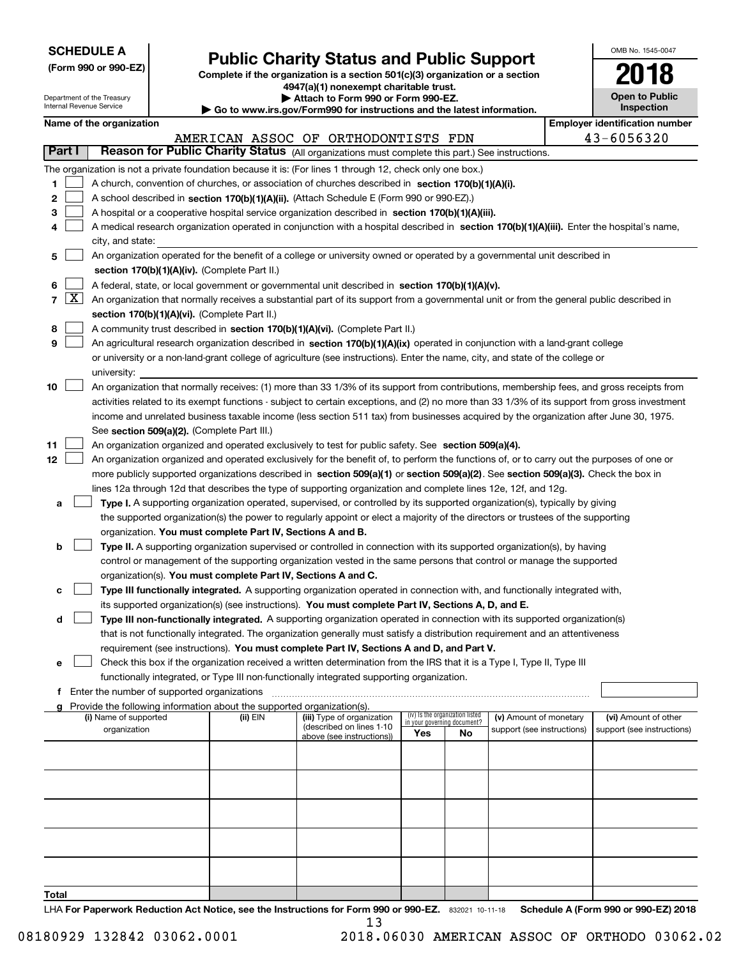| <b>SCHEDULE A</b> |
|-------------------|
|-------------------|

**(Form 990 or 990-EZ)**

# **Public Charity Status and Public Support**

**Complete if the organization is a section 501(c)(3) organization or a section 4947(a)(1) nonexempt charitable trust. | Attach to Form 990 or Form 990-EZ.** 

| OMB No. 1545-0047                   |
|-------------------------------------|
| 018                                 |
| <b>Open to Public</b><br>Inspection |

| Department of the Treasury<br>Internal Revenue Service |            |                          |                                               | Attach to Form 990 or Form 990-EZ.<br>$\blacktriangleright$ Go to www.irs.gov/Form990 for instructions and the latest information.                   |                                                                                                                                                                                                                                 |     |                                                                |                            |  |  | <b>Open to Public</b><br>Inspection   |  |  |
|--------------------------------------------------------|------------|--------------------------|-----------------------------------------------|------------------------------------------------------------------------------------------------------------------------------------------------------|---------------------------------------------------------------------------------------------------------------------------------------------------------------------------------------------------------------------------------|-----|----------------------------------------------------------------|----------------------------|--|--|---------------------------------------|--|--|
|                                                        |            | Name of the organization |                                               |                                                                                                                                                      |                                                                                                                                                                                                                                 |     |                                                                |                            |  |  | <b>Employer identification number</b> |  |  |
|                                                        |            |                          |                                               |                                                                                                                                                      |                                                                                                                                                                                                                                 |     |                                                                |                            |  |  |                                       |  |  |
|                                                        | Part I     |                          |                                               | 43-6056320<br>AMERICAN ASSOC OF ORTHODONTISTS FDN<br>Reason for Public Charity Status (All organizations must complete this part.) See instructions. |                                                                                                                                                                                                                                 |     |                                                                |                            |  |  |                                       |  |  |
|                                                        |            |                          |                                               |                                                                                                                                                      | The organization is not a private foundation because it is: (For lines 1 through 12, check only one box.)                                                                                                                       |     |                                                                |                            |  |  |                                       |  |  |
| 1                                                      |            |                          |                                               |                                                                                                                                                      | A church, convention of churches, or association of churches described in section 170(b)(1)(A)(i).                                                                                                                              |     |                                                                |                            |  |  |                                       |  |  |
| 2                                                      |            |                          |                                               |                                                                                                                                                      | A school described in section 170(b)(1)(A)(ii). (Attach Schedule E (Form 990 or 990-EZ).)                                                                                                                                       |     |                                                                |                            |  |  |                                       |  |  |
| з                                                      |            |                          |                                               |                                                                                                                                                      | A hospital or a cooperative hospital service organization described in section 170(b)(1)(A)(iii).                                                                                                                               |     |                                                                |                            |  |  |                                       |  |  |
| 4                                                      |            |                          |                                               |                                                                                                                                                      | A medical research organization operated in conjunction with a hospital described in section 170(b)(1)(A)(iii). Enter the hospital's name,                                                                                      |     |                                                                |                            |  |  |                                       |  |  |
|                                                        |            | city, and state:         |                                               |                                                                                                                                                      |                                                                                                                                                                                                                                 |     |                                                                |                            |  |  |                                       |  |  |
| 5                                                      |            |                          |                                               |                                                                                                                                                      | An organization operated for the benefit of a college or university owned or operated by a governmental unit described in                                                                                                       |     |                                                                |                            |  |  |                                       |  |  |
|                                                        |            |                          |                                               | section 170(b)(1)(A)(iv). (Complete Part II.)                                                                                                        |                                                                                                                                                                                                                                 |     |                                                                |                            |  |  |                                       |  |  |
| 6                                                      |            |                          |                                               |                                                                                                                                                      | A federal, state, or local government or governmental unit described in section 170(b)(1)(A)(v).                                                                                                                                |     |                                                                |                            |  |  |                                       |  |  |
|                                                        | $7 \times$ |                          |                                               |                                                                                                                                                      | An organization that normally receives a substantial part of its support from a governmental unit or from the general public described in                                                                                       |     |                                                                |                            |  |  |                                       |  |  |
|                                                        |            |                          |                                               | section 170(b)(1)(A)(vi). (Complete Part II.)                                                                                                        |                                                                                                                                                                                                                                 |     |                                                                |                            |  |  |                                       |  |  |
| 8                                                      |            |                          |                                               |                                                                                                                                                      | A community trust described in section 170(b)(1)(A)(vi). (Complete Part II.)                                                                                                                                                    |     |                                                                |                            |  |  |                                       |  |  |
| 9                                                      |            |                          |                                               |                                                                                                                                                      | An agricultural research organization described in section 170(b)(1)(A)(ix) operated in conjunction with a land-grant college                                                                                                   |     |                                                                |                            |  |  |                                       |  |  |
|                                                        |            |                          |                                               |                                                                                                                                                      | or university or a non-land-grant college of agriculture (see instructions). Enter the name, city, and state of the college or                                                                                                  |     |                                                                |                            |  |  |                                       |  |  |
|                                                        |            | university:              |                                               |                                                                                                                                                      |                                                                                                                                                                                                                                 |     |                                                                |                            |  |  |                                       |  |  |
| 10                                                     |            |                          |                                               |                                                                                                                                                      | An organization that normally receives: (1) more than 33 1/3% of its support from contributions, membership fees, and gross receipts from                                                                                       |     |                                                                |                            |  |  |                                       |  |  |
|                                                        |            |                          |                                               |                                                                                                                                                      | activities related to its exempt functions - subject to certain exceptions, and (2) no more than 33 1/3% of its support from gross investment                                                                                   |     |                                                                |                            |  |  |                                       |  |  |
|                                                        |            |                          |                                               |                                                                                                                                                      | income and unrelated business taxable income (less section 511 tax) from businesses acquired by the organization after June 30, 1975.                                                                                           |     |                                                                |                            |  |  |                                       |  |  |
|                                                        |            |                          |                                               | See section 509(a)(2). (Complete Part III.)                                                                                                          |                                                                                                                                                                                                                                 |     |                                                                |                            |  |  |                                       |  |  |
| 11                                                     |            |                          |                                               |                                                                                                                                                      | An organization organized and operated exclusively to test for public safety. See section 509(a)(4).                                                                                                                            |     |                                                                |                            |  |  |                                       |  |  |
| 12                                                     |            |                          |                                               |                                                                                                                                                      | An organization organized and operated exclusively for the benefit of, to perform the functions of, or to carry out the purposes of one or                                                                                      |     |                                                                |                            |  |  |                                       |  |  |
|                                                        |            |                          |                                               |                                                                                                                                                      | more publicly supported organizations described in section 509(a)(1) or section 509(a)(2). See section 509(a)(3). Check the box in                                                                                              |     |                                                                |                            |  |  |                                       |  |  |
|                                                        |            |                          |                                               |                                                                                                                                                      | lines 12a through 12d that describes the type of supporting organization and complete lines 12e, 12f, and 12g.                                                                                                                  |     |                                                                |                            |  |  |                                       |  |  |
| а                                                      |            |                          |                                               |                                                                                                                                                      | Type I. A supporting organization operated, supervised, or controlled by its supported organization(s), typically by giving                                                                                                     |     |                                                                |                            |  |  |                                       |  |  |
|                                                        |            |                          |                                               |                                                                                                                                                      | the supported organization(s) the power to regularly appoint or elect a majority of the directors or trustees of the supporting                                                                                                 |     |                                                                |                            |  |  |                                       |  |  |
|                                                        |            |                          |                                               | organization. You must complete Part IV, Sections A and B.                                                                                           |                                                                                                                                                                                                                                 |     |                                                                |                            |  |  |                                       |  |  |
| b                                                      |            |                          |                                               |                                                                                                                                                      | Type II. A supporting organization supervised or controlled in connection with its supported organization(s), by having                                                                                                         |     |                                                                |                            |  |  |                                       |  |  |
|                                                        |            |                          |                                               |                                                                                                                                                      | control or management of the supporting organization vested in the same persons that control or manage the supported                                                                                                            |     |                                                                |                            |  |  |                                       |  |  |
|                                                        |            |                          |                                               |                                                                                                                                                      | organization(s). You must complete Part IV, Sections A and C.                                                                                                                                                                   |     |                                                                |                            |  |  |                                       |  |  |
| с                                                      |            |                          |                                               |                                                                                                                                                      | Type III functionally integrated. A supporting organization operated in connection with, and functionally integrated with,                                                                                                      |     |                                                                |                            |  |  |                                       |  |  |
| d                                                      |            |                          |                                               |                                                                                                                                                      | its supported organization(s) (see instructions). You must complete Part IV, Sections A, D, and E.<br>Type III non-functionally integrated. A supporting organization operated in connection with its supported organization(s) |     |                                                                |                            |  |  |                                       |  |  |
|                                                        |            |                          |                                               |                                                                                                                                                      | that is not functionally integrated. The organization generally must satisfy a distribution requirement and an attentiveness                                                                                                    |     |                                                                |                            |  |  |                                       |  |  |
|                                                        |            |                          |                                               |                                                                                                                                                      | requirement (see instructions). You must complete Part IV, Sections A and D, and Part V.                                                                                                                                        |     |                                                                |                            |  |  |                                       |  |  |
| е                                                      |            |                          |                                               |                                                                                                                                                      | Check this box if the organization received a written determination from the IRS that it is a Type I, Type II, Type III                                                                                                         |     |                                                                |                            |  |  |                                       |  |  |
|                                                        |            |                          |                                               |                                                                                                                                                      | functionally integrated, or Type III non-functionally integrated supporting organization.                                                                                                                                       |     |                                                                |                            |  |  |                                       |  |  |
|                                                        |            |                          | f Enter the number of supported organizations |                                                                                                                                                      |                                                                                                                                                                                                                                 |     |                                                                |                            |  |  |                                       |  |  |
|                                                        |            |                          |                                               | Provide the following information about the supported organization(s).                                                                               |                                                                                                                                                                                                                                 |     |                                                                |                            |  |  |                                       |  |  |
|                                                        |            | (i) Name of supported    |                                               | (ii) EIN                                                                                                                                             | (iii) Type of organization                                                                                                                                                                                                      |     | (iv) Is the organization listed<br>in your governing document? | (v) Amount of monetary     |  |  | (vi) Amount of other                  |  |  |
|                                                        |            | organization             |                                               |                                                                                                                                                      | (described on lines 1-10<br>above (see instructions))                                                                                                                                                                           | Yes | No                                                             | support (see instructions) |  |  | support (see instructions)            |  |  |
|                                                        |            |                          |                                               |                                                                                                                                                      |                                                                                                                                                                                                                                 |     |                                                                |                            |  |  |                                       |  |  |
|                                                        |            |                          |                                               |                                                                                                                                                      |                                                                                                                                                                                                                                 |     |                                                                |                            |  |  |                                       |  |  |
|                                                        |            |                          |                                               |                                                                                                                                                      |                                                                                                                                                                                                                                 |     |                                                                |                            |  |  |                                       |  |  |
|                                                        |            |                          |                                               |                                                                                                                                                      |                                                                                                                                                                                                                                 |     |                                                                |                            |  |  |                                       |  |  |
|                                                        |            |                          |                                               |                                                                                                                                                      |                                                                                                                                                                                                                                 |     |                                                                |                            |  |  |                                       |  |  |
|                                                        |            |                          |                                               |                                                                                                                                                      |                                                                                                                                                                                                                                 |     |                                                                |                            |  |  |                                       |  |  |
|                                                        |            |                          |                                               |                                                                                                                                                      |                                                                                                                                                                                                                                 |     |                                                                |                            |  |  |                                       |  |  |
|                                                        |            |                          |                                               |                                                                                                                                                      |                                                                                                                                                                                                                                 |     |                                                                |                            |  |  |                                       |  |  |
|                                                        |            |                          |                                               |                                                                                                                                                      |                                                                                                                                                                                                                                 |     |                                                                |                            |  |  |                                       |  |  |
|                                                        |            |                          |                                               |                                                                                                                                                      |                                                                                                                                                                                                                                 |     |                                                                |                            |  |  |                                       |  |  |
| Total                                                  |            |                          |                                               |                                                                                                                                                      |                                                                                                                                                                                                                                 |     |                                                                |                            |  |  |                                       |  |  |

LHA For Paperwork Reduction Act Notice, see the Instructions for Form 990 or 990-EZ. 832021 10-11-18 Schedule A (Form 990 or 990-EZ) 2018 13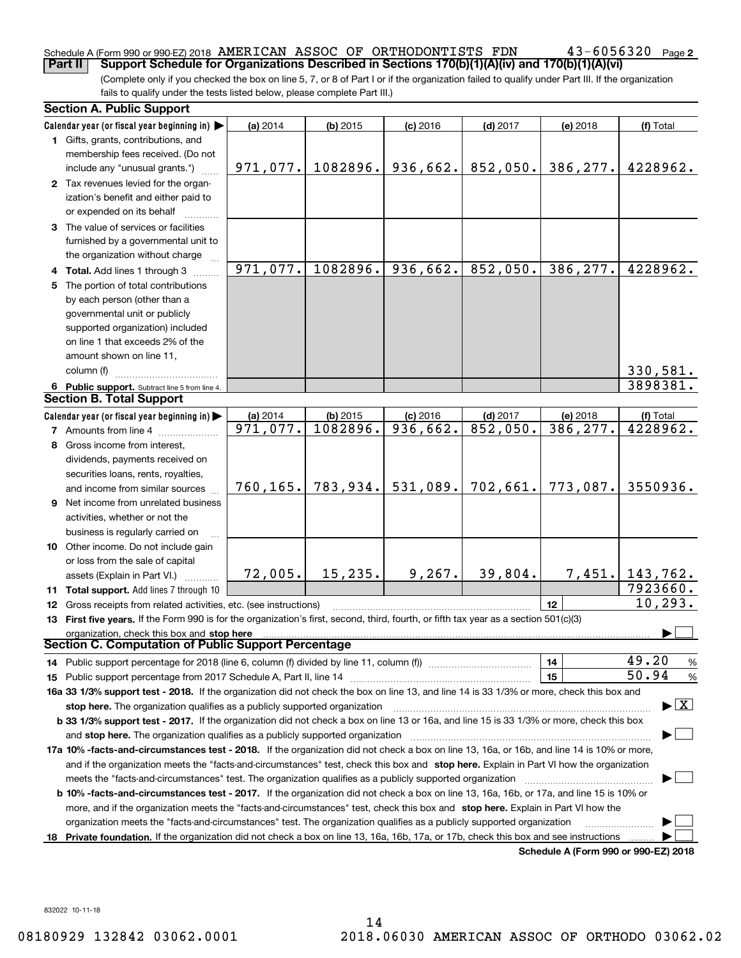# Schedule A (Form 990 or 990-EZ) 2018  $\, {\rm AMERTCAN} \,$   $\, {\rm ASSOC} \,$  Of  $\, {\rm ORTHODONTISTS} \,$   ${\rm FDN} \,$   $\,$   $\,$   $\, 43-6056320$   $\,$   $_{\rm Page}$

(Complete only if you checked the box on line 5, 7, or 8 of Part I or if the organization failed to qualify under Part III. If the organization fails to qualify under the tests listed below, please complete Part III.) **Part II Support Schedule for Organizations Described in Sections 170(b)(1)(A)(iv) and 170(b)(1)(A)(vi)**

|     | <b>Section A. Public Support</b>                                                                                                               |           |            |                        |            |                                      |                                          |
|-----|------------------------------------------------------------------------------------------------------------------------------------------------|-----------|------------|------------------------|------------|--------------------------------------|------------------------------------------|
|     | Calendar year (or fiscal year beginning in) $\blacktriangleright$                                                                              | (a) 2014  | $(b)$ 2015 | $(c)$ 2016             | $(d)$ 2017 | (e) 2018                             | (f) Total                                |
|     | <b>1</b> Gifts, grants, contributions, and                                                                                                     |           |            |                        |            |                                      |                                          |
|     | membership fees received. (Do not                                                                                                              |           |            |                        |            |                                      |                                          |
|     | include any "unusual grants.")                                                                                                                 | 971,077.  | 1082896.   | 936,662.               | 852,050.   | 386,277.                             | 4228962.                                 |
|     | 2 Tax revenues levied for the organ-                                                                                                           |           |            |                        |            |                                      |                                          |
|     | ization's benefit and either paid to                                                                                                           |           |            |                        |            |                                      |                                          |
|     | or expended on its behalf                                                                                                                      |           |            |                        |            |                                      |                                          |
|     | 3 The value of services or facilities                                                                                                          |           |            |                        |            |                                      |                                          |
|     | furnished by a governmental unit to                                                                                                            |           |            |                        |            |                                      |                                          |
|     | the organization without charge                                                                                                                |           |            |                        |            |                                      |                                          |
|     | 4 Total. Add lines 1 through 3                                                                                                                 | 971,077.  | 1082896.   | 936,662.               | 852,050.   | 386, 277.                            | 4228962.                                 |
| 5   | The portion of total contributions                                                                                                             |           |            |                        |            |                                      |                                          |
|     | by each person (other than a                                                                                                                   |           |            |                        |            |                                      |                                          |
|     | governmental unit or publicly                                                                                                                  |           |            |                        |            |                                      |                                          |
|     | supported organization) included                                                                                                               |           |            |                        |            |                                      |                                          |
|     | on line 1 that exceeds 2% of the                                                                                                               |           |            |                        |            |                                      |                                          |
|     |                                                                                                                                                |           |            |                        |            |                                      |                                          |
|     | amount shown on line 11,                                                                                                                       |           |            |                        |            |                                      |                                          |
|     | column (f)                                                                                                                                     |           |            |                        |            |                                      | 330, 581.                                |
|     | 6 Public support. Subtract line 5 from line 4.<br><b>Section B. Total Support</b>                                                              |           |            |                        |            |                                      | 3898381.                                 |
|     |                                                                                                                                                |           |            |                        |            |                                      |                                          |
|     | Calendar year (or fiscal year beginning in) $\blacktriangleright$                                                                              | (a) 2014  | $(b)$ 2015 | $(c)$ 2016             | $(d)$ 2017 | (e) 2018                             | (f) Total                                |
|     | <b>7</b> Amounts from line 4                                                                                                                   | 971,077.  | 1082896.   | $\overline{936,662}$ . | 852,050.   | 386,277.                             | 4228962.                                 |
| 8   | Gross income from interest,                                                                                                                    |           |            |                        |            |                                      |                                          |
|     | dividends, payments received on                                                                                                                |           |            |                        |            |                                      |                                          |
|     | securities loans, rents, royalties,                                                                                                            |           |            |                        |            |                                      |                                          |
|     | and income from similar sources                                                                                                                | 760, 165. | 783,934.   | 531,089.               | 702,661.   | 773,087.                             | 3550936.                                 |
|     | 9 Net income from unrelated business                                                                                                           |           |            |                        |            |                                      |                                          |
|     | activities, whether or not the                                                                                                                 |           |            |                        |            |                                      |                                          |
|     | business is regularly carried on                                                                                                               |           |            |                        |            |                                      |                                          |
|     | 10 Other income. Do not include gain                                                                                                           |           |            |                        |            |                                      |                                          |
|     | or loss from the sale of capital                                                                                                               |           |            |                        |            |                                      |                                          |
|     | assets (Explain in Part VI.)                                                                                                                   | 72,005.   | 15, 235.   | 9, 267.                | 39,804.    | 7,451.                               | 143,762.                                 |
|     | <b>11 Total support.</b> Add lines 7 through 10                                                                                                |           |            |                        |            |                                      | 7923660.                                 |
|     | <b>12</b> Gross receipts from related activities, etc. (see instructions)                                                                      |           |            |                        |            | 12                                   | 10, 293.                                 |
|     | 13 First five years. If the Form 990 is for the organization's first, second, third, fourth, or fifth tax year as a section 501(c)(3)          |           |            |                        |            |                                      |                                          |
|     | organization, check this box and stop here                                                                                                     |           |            |                        |            |                                      |                                          |
|     | Section C. Computation of Public Support Percentage                                                                                            |           |            |                        |            |                                      |                                          |
|     | 14 Public support percentage for 2018 (line 6, column (f) divided by line 11, column (f) <i>manumeronominimi</i> ng                            |           |            |                        |            | 14                                   | 49.20<br>%                               |
|     |                                                                                                                                                |           |            |                        |            | 15                                   | 50.94<br>$\%$                            |
|     | 16a 33 1/3% support test - 2018. If the organization did not check the box on line 13, and line 14 is 33 1/3% or more, check this box and      |           |            |                        |            |                                      |                                          |
|     | stop here. The organization qualifies as a publicly supported organization                                                                     |           |            |                        |            |                                      | $\blacktriangleright$ $\boxed{\text{X}}$ |
|     | b 33 1/3% support test - 2017. If the organization did not check a box on line 13 or 16a, and line 15 is 33 1/3% or more, check this box       |           |            |                        |            |                                      |                                          |
|     | and stop here. The organization qualifies as a publicly supported organization                                                                 |           |            |                        |            |                                      |                                          |
|     | 17a 10% -facts-and-circumstances test - 2018. If the organization did not check a box on line 13, 16a, or 16b, and line 14 is 10% or more,     |           |            |                        |            |                                      |                                          |
|     | and if the organization meets the "facts-and-circumstances" test, check this box and stop here. Explain in Part VI how the organization        |           |            |                        |            |                                      |                                          |
|     | meets the "facts-and-circumstances" test. The organization qualifies as a publicly supported organization                                      |           |            |                        |            |                                      |                                          |
|     | <b>b 10% -facts-and-circumstances test - 2017.</b> If the organization did not check a box on line 13, 16a, 16b, or 17a, and line 15 is 10% or |           |            |                        |            |                                      |                                          |
|     | more, and if the organization meets the "facts-and-circumstances" test, check this box and stop here. Explain in Part VI how the               |           |            |                        |            |                                      |                                          |
|     |                                                                                                                                                |           |            |                        |            |                                      |                                          |
|     | organization meets the "facts-and-circumstances" test. The organization qualifies as a publicly supported organization                         |           |            |                        |            |                                      |                                          |
| 18. | Private foundation. If the organization did not check a box on line 13, 16a, 16b, 17a, or 17b, check this box and see instructions             |           |            |                        |            | Schedule A (Form 990 or 990-F7) 2018 |                                          |

**Schedule A (Form 990 or 990-EZ) 2018**

832022 10-11-18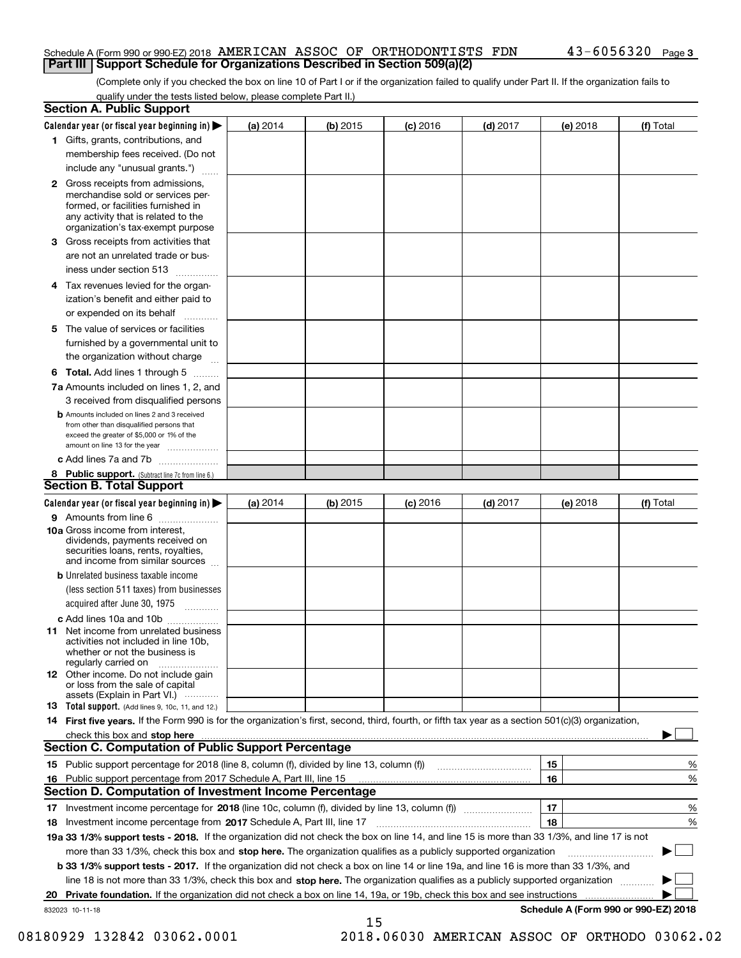## Schedule A (Form 990 or 990-EZ) 2018  $\, {\rm AMERTCAN} \,$   $\, {\rm ASSOC} \,$  Of  $\, {\rm ORTHODONTISTS} \,$   ${\rm FDN} \,$   $\,$   $\,$   $\, 43-6056320$   $\,$   $_{\rm Page}$ **Part III Support Schedule for Organizations Described in Section 509(a)(2)**

(Complete only if you checked the box on line 10 of Part I or if the organization failed to qualify under Part II. If the organization fails to qualify under the tests listed below, please complete Part II.)

|     | <b>Section A. Public Support</b>                                                                                                                                                                                                                                   |          |          |            |            |          |                                           |
|-----|--------------------------------------------------------------------------------------------------------------------------------------------------------------------------------------------------------------------------------------------------------------------|----------|----------|------------|------------|----------|-------------------------------------------|
|     | Calendar year (or fiscal year beginning in) $\blacktriangleright$                                                                                                                                                                                                  | (a) 2014 | (b) 2015 | $(c)$ 2016 | $(d)$ 2017 | (e) 2018 | (f) Total                                 |
|     | 1 Gifts, grants, contributions, and                                                                                                                                                                                                                                |          |          |            |            |          |                                           |
|     | membership fees received. (Do not                                                                                                                                                                                                                                  |          |          |            |            |          |                                           |
|     | include any "unusual grants.")                                                                                                                                                                                                                                     |          |          |            |            |          |                                           |
|     | <b>2</b> Gross receipts from admissions,<br>merchandise sold or services per-<br>formed, or facilities furnished in<br>any activity that is related to the<br>organization's tax-exempt purpose                                                                    |          |          |            |            |          |                                           |
|     | 3 Gross receipts from activities that<br>are not an unrelated trade or bus-                                                                                                                                                                                        |          |          |            |            |          |                                           |
|     | iness under section 513                                                                                                                                                                                                                                            |          |          |            |            |          |                                           |
|     | 4 Tax revenues levied for the organ-<br>ization's benefit and either paid to                                                                                                                                                                                       |          |          |            |            |          |                                           |
|     | or expended on its behalf                                                                                                                                                                                                                                          |          |          |            |            |          |                                           |
|     | 5 The value of services or facilities<br>furnished by a governmental unit to                                                                                                                                                                                       |          |          |            |            |          |                                           |
|     | the organization without charge                                                                                                                                                                                                                                    |          |          |            |            |          |                                           |
|     | <b>6 Total.</b> Add lines 1 through 5                                                                                                                                                                                                                              |          |          |            |            |          |                                           |
|     | 7a Amounts included on lines 1, 2, and<br>3 received from disqualified persons                                                                                                                                                                                     |          |          |            |            |          |                                           |
|     | <b>b</b> Amounts included on lines 2 and 3 received<br>from other than disqualified persons that<br>exceed the greater of \$5,000 or 1% of the<br>amount on line 13 for the year                                                                                   |          |          |            |            |          |                                           |
|     | c Add lines 7a and 7b                                                                                                                                                                                                                                              |          |          |            |            |          |                                           |
|     | 8 Public support. (Subtract line 7c from line 6.)<br><b>Section B. Total Support</b>                                                                                                                                                                               |          |          |            |            |          |                                           |
|     | Calendar year (or fiscal year beginning in)                                                                                                                                                                                                                        | (a) 2014 | (b) 2015 | $(c)$ 2016 | $(d)$ 2017 | (e) 2018 | (f) Total                                 |
|     | 9 Amounts from line 6                                                                                                                                                                                                                                              |          |          |            |            |          |                                           |
|     | <b>10a</b> Gross income from interest,<br>dividends, payments received on<br>securities loans, rents, royalties,<br>and income from similar sources                                                                                                                |          |          |            |            |          |                                           |
|     | <b>b</b> Unrelated business taxable income<br>(less section 511 taxes) from businesses                                                                                                                                                                             |          |          |            |            |          |                                           |
|     | acquired after June 30, 1975                                                                                                                                                                                                                                       |          |          |            |            |          |                                           |
|     | c Add lines 10a and 10b                                                                                                                                                                                                                                            |          |          |            |            |          |                                           |
|     | 11 Net income from unrelated business<br>activities not included in line 10b,<br>whether or not the business is<br>regularly carried on                                                                                                                            |          |          |            |            |          |                                           |
|     | <b>12</b> Other income. Do not include gain<br>or loss from the sale of capital<br>assets (Explain in Part VI.)                                                                                                                                                    |          |          |            |            |          |                                           |
|     | 13 Total support. (Add lines 9, 10c, 11, and 12.)                                                                                                                                                                                                                  |          |          |            |            |          |                                           |
|     | 14 First five years. If the Form 990 is for the organization's first, second, third, fourth, or fifth tax year as a section 501(c)(3) organization,                                                                                                                |          |          |            |            |          |                                           |
|     | check this box and stop here measurements and contact the contract of the contract of the contract of the contract of the contract of the contract of the contract of the contract of the contract of the contract of the cont                                     |          |          |            |            |          |                                           |
|     | <b>Section C. Computation of Public Support Percentage</b>                                                                                                                                                                                                         |          |          |            |            |          |                                           |
|     |                                                                                                                                                                                                                                                                    |          |          |            |            | 15       | %                                         |
| 16. | Public support percentage from 2017 Schedule A, Part III, line 15                                                                                                                                                                                                  |          |          |            |            | 16       | %                                         |
|     | <b>Section D. Computation of Investment Income Percentage</b>                                                                                                                                                                                                      |          |          |            |            |          |                                           |
|     | 17 Investment income percentage for 2018 (line 10c, column (f), divided by line 13, column (f))                                                                                                                                                                    |          |          |            |            | 17<br>18 | %                                         |
|     | 18 Investment income percentage from 2017 Schedule A, Part III, line 17<br>19a 33 1/3% support tests - 2018. If the organization did not check the box on line 14, and line 15 is more than 33 1/3%, and line 17 is not                                            |          |          |            |            |          | %                                         |
|     |                                                                                                                                                                                                                                                                    |          |          |            |            |          |                                           |
|     | more than 33 1/3%, check this box and stop here. The organization qualifies as a publicly supported organization                                                                                                                                                   |          |          |            |            |          |                                           |
|     | <b>b 33 1/3% support tests - 2017.</b> If the organization did not check a box on line 14 or line 19a, and line 16 is more than 33 1/3%, and                                                                                                                       |          |          |            |            |          |                                           |
|     | line 18 is not more than 33 1/3%, check this box and stop here. The organization qualifies as a publicly supported organization<br><b>Private foundation.</b> If the organization did not check a box on line 14, 19a, or 19b, check this box and see instructions |          |          |            |            |          |                                           |
| 20  | 832023 10-11-18                                                                                                                                                                                                                                                    |          |          |            |            |          | .<br>Schedule A (Form 990 or 990-EZ) 2018 |
|     |                                                                                                                                                                                                                                                                    |          | 15       |            |            |          |                                           |

 <sup>08180929 132842 03062.0001 2018.06030</sup> AMERICAN ASSOC OF ORTHODO 03062.02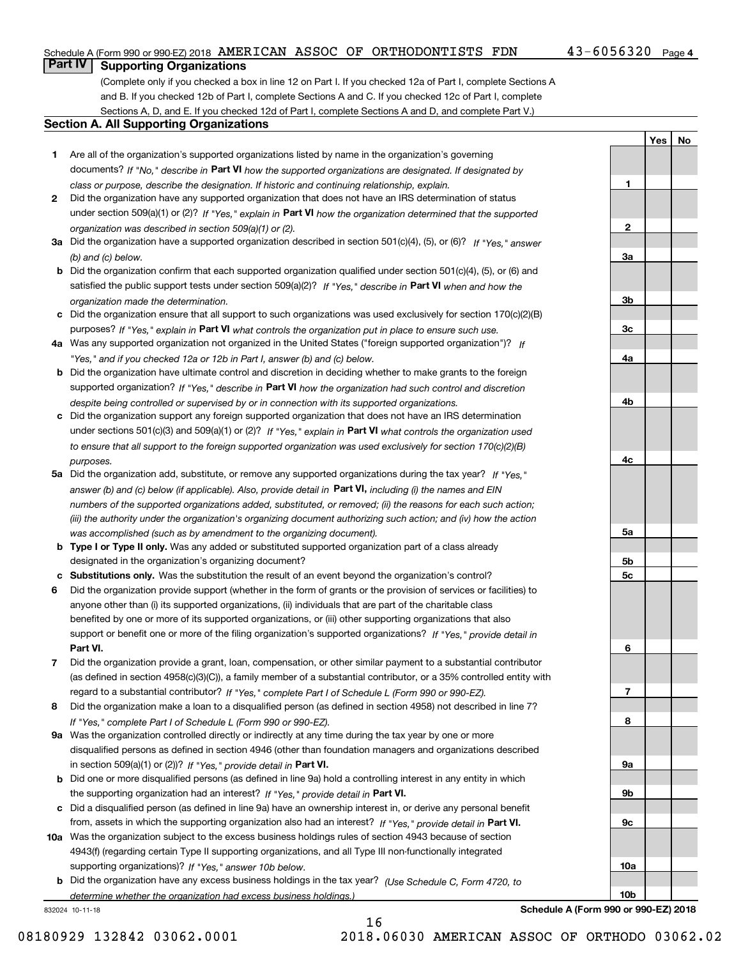# Schedule A (Form 990 or 990-EZ) 2018  $\, {\rm AMERTCAN} \,$   $\, {\rm ASSOC} \,$  Of  $\, {\rm ORTHODONTISTS} \,$   ${\rm FDN} \,$   $\,$   $\,$   $\, 43-6056320$   $\,$   $_{\rm Page}$

# $43 - 6056320$  Page 4

**1**

**2**

**3a**

**3b**

**3c**

**4a**

**4b**

**4c**

**5a**

**5b5c**

**6**

**7**

**8**

**9a**

**9b**

**9c**

**10a**

**10b**

**YesNo**

# **Part IV Supporting Organizations**

(Complete only if you checked a box in line 12 on Part I. If you checked 12a of Part I, complete Sections A and B. If you checked 12b of Part I, complete Sections A and C. If you checked 12c of Part I, complete Sections A, D, and E. If you checked 12d of Part I, complete Sections A and D, and complete Part V.)

## **Section A. All Supporting Organizations**

- **1** Are all of the organization's supported organizations listed by name in the organization's governing documents? If "No," describe in **Part VI** how the supported organizations are designated. If designated by *class or purpose, describe the designation. If historic and continuing relationship, explain.*
- **2** Did the organization have any supported organization that does not have an IRS determination of status under section 509(a)(1) or (2)? If "Yes," explain in Part VI how the organization determined that the supported *organization was described in section 509(a)(1) or (2).*
- **3a** Did the organization have a supported organization described in section 501(c)(4), (5), or (6)? If "Yes," answer *(b) and (c) below.*
- **b** Did the organization confirm that each supported organization qualified under section 501(c)(4), (5), or (6) and satisfied the public support tests under section 509(a)(2)? If "Yes," describe in **Part VI** when and how the *organization made the determination.*
- **c**Did the organization ensure that all support to such organizations was used exclusively for section 170(c)(2)(B) purposes? If "Yes," explain in **Part VI** what controls the organization put in place to ensure such use.
- **4a***If* Was any supported organization not organized in the United States ("foreign supported organization")? *"Yes," and if you checked 12a or 12b in Part I, answer (b) and (c) below.*
- **b** Did the organization have ultimate control and discretion in deciding whether to make grants to the foreign supported organization? If "Yes," describe in **Part VI** how the organization had such control and discretion *despite being controlled or supervised by or in connection with its supported organizations.*
- **c** Did the organization support any foreign supported organization that does not have an IRS determination under sections 501(c)(3) and 509(a)(1) or (2)? If "Yes," explain in **Part VI** what controls the organization used *to ensure that all support to the foreign supported organization was used exclusively for section 170(c)(2)(B) purposes.*
- **5a** Did the organization add, substitute, or remove any supported organizations during the tax year? If "Yes," answer (b) and (c) below (if applicable). Also, provide detail in **Part VI,** including (i) the names and EIN *numbers of the supported organizations added, substituted, or removed; (ii) the reasons for each such action; (iii) the authority under the organization's organizing document authorizing such action; and (iv) how the action was accomplished (such as by amendment to the organizing document).*
- **b** Type I or Type II only. Was any added or substituted supported organization part of a class already designated in the organization's organizing document?
- **cSubstitutions only.**  Was the substitution the result of an event beyond the organization's control?
- **6** Did the organization provide support (whether in the form of grants or the provision of services or facilities) to **Part VI.** *If "Yes," provide detail in* support or benefit one or more of the filing organization's supported organizations? anyone other than (i) its supported organizations, (ii) individuals that are part of the charitable class benefited by one or more of its supported organizations, or (iii) other supporting organizations that also
- **7**Did the organization provide a grant, loan, compensation, or other similar payment to a substantial contributor *If "Yes," complete Part I of Schedule L (Form 990 or 990-EZ).* regard to a substantial contributor? (as defined in section 4958(c)(3)(C)), a family member of a substantial contributor, or a 35% controlled entity with
- **8** Did the organization make a loan to a disqualified person (as defined in section 4958) not described in line 7? *If "Yes," complete Part I of Schedule L (Form 990 or 990-EZ).*
- **9a** Was the organization controlled directly or indirectly at any time during the tax year by one or more in section 509(a)(1) or (2))? If "Yes," *provide detail in* <code>Part VI.</code> disqualified persons as defined in section 4946 (other than foundation managers and organizations described
- **b** Did one or more disqualified persons (as defined in line 9a) hold a controlling interest in any entity in which the supporting organization had an interest? If "Yes," provide detail in P**art VI**.
- **c**Did a disqualified person (as defined in line 9a) have an ownership interest in, or derive any personal benefit from, assets in which the supporting organization also had an interest? If "Yes," provide detail in P**art VI.**
- **10a** Was the organization subject to the excess business holdings rules of section 4943 because of section supporting organizations)? If "Yes," answer 10b below. 4943(f) (regarding certain Type II supporting organizations, and all Type III non-functionally integrated
- **b** Did the organization have any excess business holdings in the tax year? (Use Schedule C, Form 4720, to *determine whether the organization had excess business holdings.)*

16

832024 10-11-18

**Schedule A (Form 990 or 990-EZ) 2018**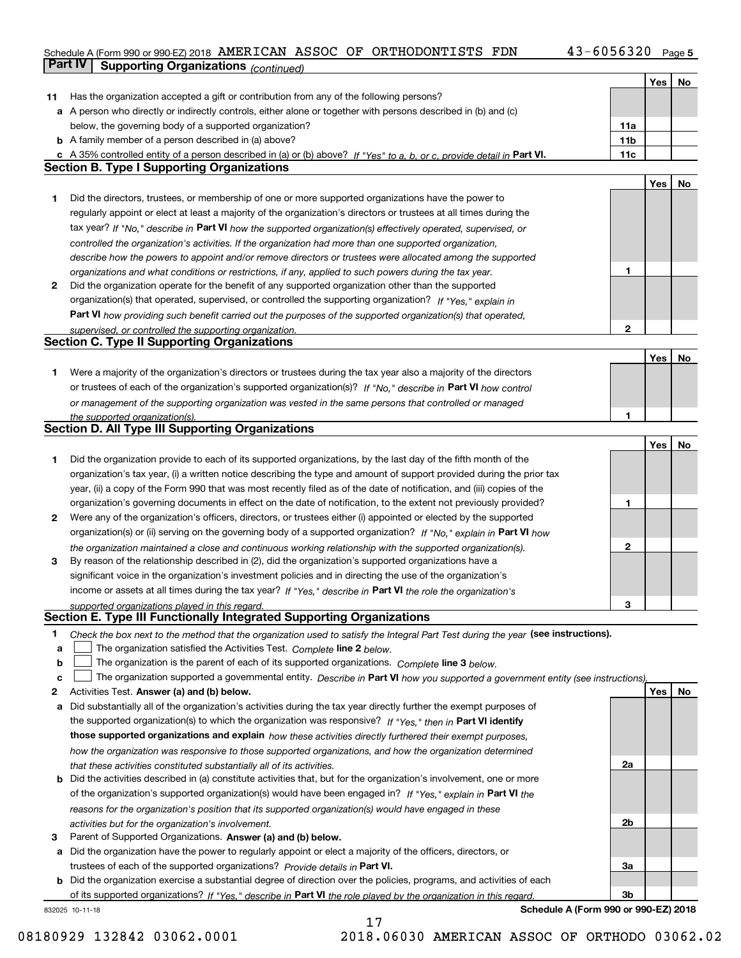### Schedule A (Form 990 or 990-EZ) 2018 AMERICAN ASSOC OF ORTHODONTISTS FDN 4 3 = 6 0 5 6 3 2 0 Page AMERICAN ASSOC OF ORTHODONTISTS FDN 43-6056320

**5**

|    | Part IV<br><b>Supporting Organizations (continued)</b>                                                                            |     |     |    |
|----|-----------------------------------------------------------------------------------------------------------------------------------|-----|-----|----|
|    |                                                                                                                                   |     | Yes | No |
| 11 | Has the organization accepted a gift or contribution from any of the following persons?                                           |     |     |    |
|    | a A person who directly or indirectly controls, either alone or together with persons described in (b) and (c)                    |     |     |    |
|    | below, the governing body of a supported organization?                                                                            | 11a |     |    |
|    | <b>b</b> A family member of a person described in (a) above?                                                                      | 11b |     |    |
|    | c A 35% controlled entity of a person described in (a) or (b) above? If "Yes" to a, b, or c, provide detail in Part VI.           | 11c |     |    |
|    | <b>Section B. Type I Supporting Organizations</b>                                                                                 |     |     |    |
|    |                                                                                                                                   |     | Yes | No |
| 1  | Did the directors, trustees, or membership of one or more supported organizations have the power to                               |     |     |    |
|    | regularly appoint or elect at least a majority of the organization's directors or trustees at all times during the                |     |     |    |
|    | tax year? If "No," describe in Part VI how the supported organization(s) effectively operated, supervised, or                     |     |     |    |
|    | controlled the organization's activities. If the organization had more than one supported organization,                           |     |     |    |
|    | describe how the powers to appoint and/or remove directors or trustees were allocated among the supported                         |     |     |    |
|    | organizations and what conditions or restrictions, if any, applied to such powers during the tax year.                            | 1   |     |    |
| 2  | Did the organization operate for the benefit of any supported organization other than the supported                               |     |     |    |
|    | organization(s) that operated, supervised, or controlled the supporting organization? If "Yes," explain in                        |     |     |    |
|    | Part VI how providing such benefit carried out the purposes of the supported organization(s) that operated,                       |     |     |    |
|    | supervised, or controlled the supporting organization.                                                                            | 2   |     |    |
|    | <b>Section C. Type II Supporting Organizations</b>                                                                                |     |     |    |
|    |                                                                                                                                   |     | Yes | No |
| 1  | Were a majority of the organization's directors or trustees during the tax year also a majority of the directors                  |     |     |    |
|    | or trustees of each of the organization's supported organization(s)? If "No," describe in Part VI how control                     |     |     |    |
|    | or management of the supporting organization was vested in the same persons that controlled or managed                            |     |     |    |
|    | the supported organization(s).                                                                                                    |     |     |    |
|    | <b>Section D. All Type III Supporting Organizations</b>                                                                           |     |     |    |
|    |                                                                                                                                   |     | Yes | No |
| 1  | Did the organization provide to each of its supported organizations, by the last day of the fifth month of the                    |     |     |    |
|    | organization's tax year, (i) a written notice describing the type and amount of support provided during the prior tax             |     |     |    |
|    | year, (ii) a copy of the Form 990 that was most recently filed as of the date of notification, and (iii) copies of the            |     |     |    |
|    | organization's governing documents in effect on the date of notification, to the extent not previously provided?                  | 1   |     |    |
| 2  | Were any of the organization's officers, directors, or trustees either (i) appointed or elected by the supported                  |     |     |    |
|    | organization(s) or (ii) serving on the governing body of a supported organization? If "No," explain in Part VI how                |     |     |    |
|    | the organization maintained a close and continuous working relationship with the supported organization(s).                       | 2   |     |    |
| з  | By reason of the relationship described in (2), did the organization's supported organizations have a                             |     |     |    |
|    | significant voice in the organization's investment policies and in directing the use of the organization's                        |     |     |    |
|    | income or assets at all times during the tax year? If "Yes," describe in Part VI the role the organization's                      |     |     |    |
|    | supported organizations played in this regard.                                                                                    | 3   |     |    |
|    | Section E. Type III Functionally Integrated Supporting Organizations                                                              |     |     |    |
| 1  | Check the box next to the method that the organization used to satisfy the Integral Part Test during the year (see instructions). |     |     |    |
| a  | The organization satisfied the Activities Test. Complete line 2 below.                                                            |     |     |    |
| b  | The organization is the parent of each of its supported organizations. Complete line 3 below.                                     |     |     |    |
| C  | The organization supported a governmental entity. Describe in Part VI how you supported a government entity (see instructions).   |     |     |    |
| 2  | Activities Test. Answer (a) and (b) below.                                                                                        |     | Yes | No |
| a  | Did substantially all of the organization's activities during the tax year directly further the exempt purposes of                |     |     |    |
|    | the supported organization(s) to which the organization was responsive? If "Yes," then in Part VI identify                        |     |     |    |
|    | those supported organizations and explain how these activities directly furthered their exempt purposes,                          |     |     |    |
|    | how the organization was responsive to those supported organizations, and how the organization determined                         |     |     |    |
|    | that these activities constituted substantially all of its activities.                                                            | 2a  |     |    |
|    | <b>b</b> Did the activities described in (a) constitute activities that, but for the organization's involvement, one or more      |     |     |    |
|    | of the organization's supported organization(s) would have been engaged in? If "Yes," explain in Part VI the                      |     |     |    |
|    | reasons for the organization's position that its supported organization(s) would have engaged in these                            |     |     |    |
|    | activities but for the organization's involvement.                                                                                | 2b  |     |    |
| з  | Parent of Supported Organizations. Answer (a) and (b) below.                                                                      |     |     |    |
| а  | Did the organization have the power to regularly appoint or elect a majority of the officers, directors, or                       |     |     |    |
|    | trustees of each of the supported organizations? Provide details in Part VI.                                                      | 3a  |     |    |
|    | <b>b</b> Did the organization exercise a substantial degree of direction over the policies, programs, and activities of each      |     |     |    |
|    | of its supported organizations? If "Yes," describe in Part VI the role played by the organization in this regard                  | Зb  |     |    |
|    | Schedule A (Form 990 or 990-EZ) 2018<br>832025 10-11-18                                                                           |     |     |    |

17

**Schedule A (Form 990 or 990-EZ) 2018**

08180929 132842 03062.0001 2018.06030 AMERICAN ASSOC OF ORTHODO 03062.02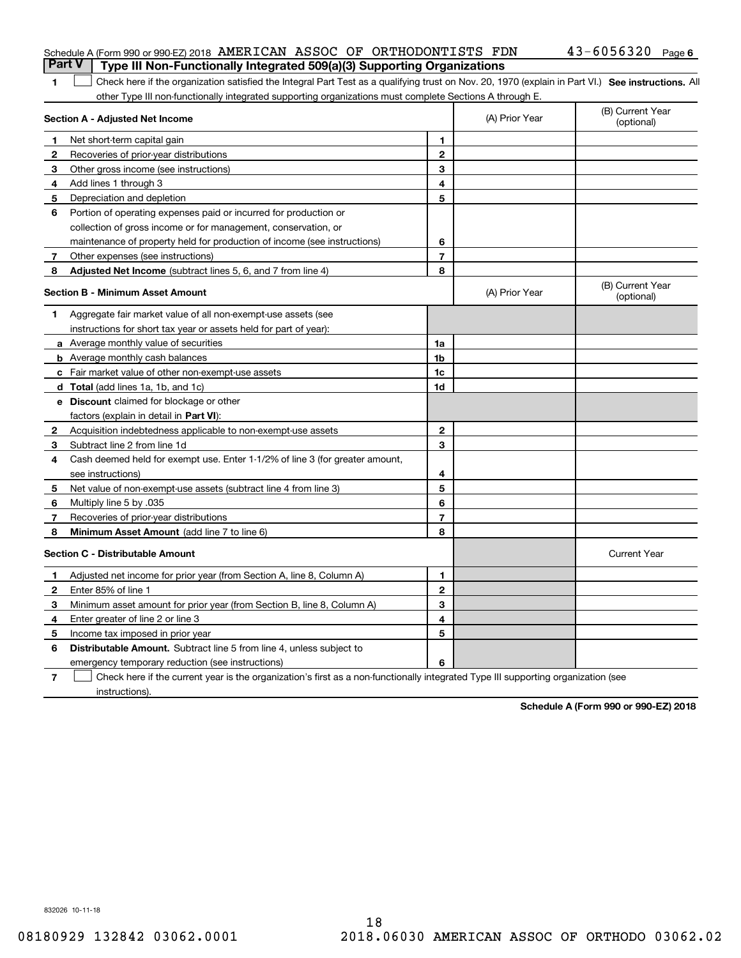| 1 Check here if the organization satisfied the Integral Part Test as a qualifying trust on Nov. 20, 1970 (explain in Part VI.) See instructions. All |  |
|------------------------------------------------------------------------------------------------------------------------------------------------------|--|
| other Type III non-functionally integrated supporting organizations must complete Sections A through E.                                              |  |

| Section A - Adjusted Net Income |                                                                              | (A) Prior Year | (B) Current Year<br>(optional) |                                |
|---------------------------------|------------------------------------------------------------------------------|----------------|--------------------------------|--------------------------------|
| 1                               | Net short-term capital gain                                                  | 1              |                                |                                |
| 2                               | Recoveries of prior-year distributions                                       | $\mathbf{2}$   |                                |                                |
| 3                               | Other gross income (see instructions)                                        | 3              |                                |                                |
| 4                               | Add lines 1 through 3                                                        | 4              |                                |                                |
| 5                               | Depreciation and depletion                                                   | 5              |                                |                                |
| 6                               | Portion of operating expenses paid or incurred for production or             |                |                                |                                |
|                                 | collection of gross income or for management, conservation, or               |                |                                |                                |
|                                 | maintenance of property held for production of income (see instructions)     | 6              |                                |                                |
| 7                               | Other expenses (see instructions)                                            | $\overline{7}$ |                                |                                |
| 8                               | Adjusted Net Income (subtract lines 5, 6, and 7 from line 4)                 | 8              |                                |                                |
|                                 | <b>Section B - Minimum Asset Amount</b>                                      |                | (A) Prior Year                 | (B) Current Year<br>(optional) |
| 1                               | Aggregate fair market value of all non-exempt-use assets (see                |                |                                |                                |
|                                 | instructions for short tax year or assets held for part of year):            |                |                                |                                |
|                                 | <b>a</b> Average monthly value of securities                                 | 1a             |                                |                                |
|                                 | <b>b</b> Average monthly cash balances                                       | 1 <sub>b</sub> |                                |                                |
|                                 | <b>c</b> Fair market value of other non-exempt-use assets                    | 1c             |                                |                                |
|                                 | d Total (add lines 1a, 1b, and 1c)                                           | 1d             |                                |                                |
|                                 | <b>e</b> Discount claimed for blockage or other                              |                |                                |                                |
|                                 | factors (explain in detail in Part VI):                                      |                |                                |                                |
| 2                               | Acquisition indebtedness applicable to non-exempt-use assets                 | $\overline{2}$ |                                |                                |
| 3                               | Subtract line 2 from line 1d                                                 | 3              |                                |                                |
| 4                               | Cash deemed held for exempt use. Enter 1-1/2% of line 3 (for greater amount, |                |                                |                                |
|                                 | see instructions)                                                            | 4              |                                |                                |
| 5                               | Net value of non-exempt-use assets (subtract line 4 from line 3)             | 5              |                                |                                |
| 6                               | Multiply line 5 by .035                                                      | 6              |                                |                                |
| 7                               | Recoveries of prior-year distributions                                       | $\overline{7}$ |                                |                                |
| 8                               | Minimum Asset Amount (add line 7 to line 6)                                  | 8              |                                |                                |
|                                 | <b>Section C - Distributable Amount</b>                                      |                |                                | <b>Current Year</b>            |
| 1                               | Adjusted net income for prior year (from Section A, line 8, Column A)        | 1              |                                |                                |
| $\mathbf{2}$                    | Enter 85% of line 1                                                          | $\mathbf{2}$   |                                |                                |
| 3                               | Minimum asset amount for prior year (from Section B, line 8, Column A)       | 3              |                                |                                |
| 4                               | Enter greater of line 2 or line 3                                            | 4              |                                |                                |
| 5                               | Income tax imposed in prior year                                             | 5              |                                |                                |
| 6                               | <b>Distributable Amount.</b> Subtract line 5 from line 4, unless subject to  |                |                                |                                |
|                                 | emergency temporary reduction (see instructions)                             | 6              |                                |                                |
|                                 |                                                                              |                |                                |                                |

**7**Check here if the current year is the organization's first as a non-functionally integrated Type III supporting organization (see instructions).

**Schedule A (Form 990 or 990-EZ) 2018**

832026 10-11-18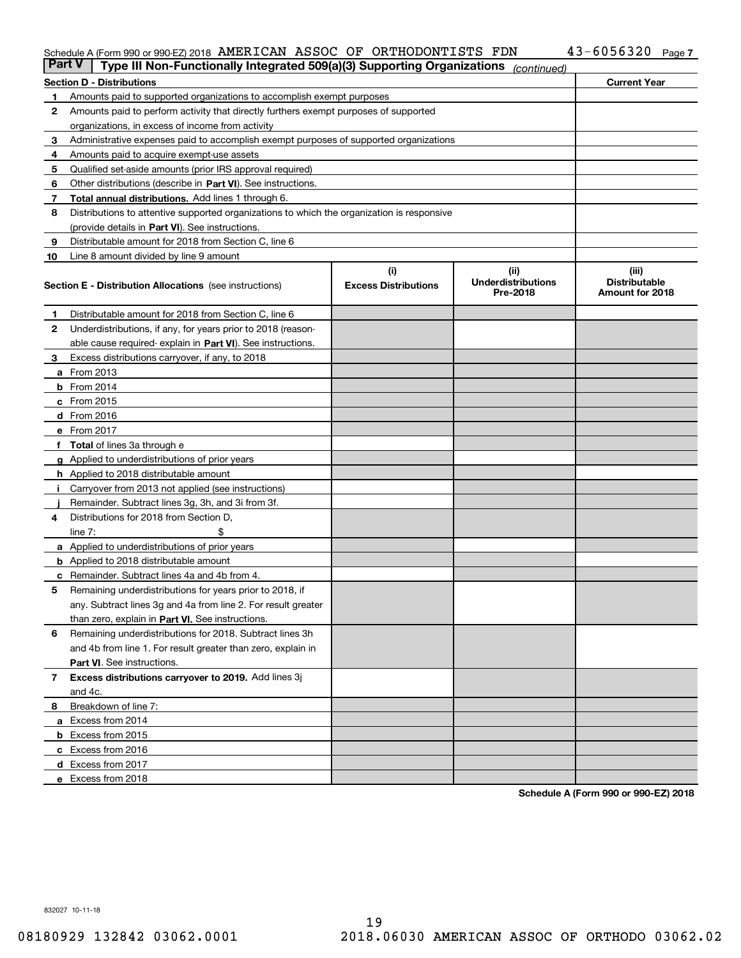# Schedule A (Form 990 or 990-EZ) 2018  $\, {\rm AMERTCAN} \,$   $\, {\rm ASSOC} \,$  Of  $\, {\rm ORTHODONTISTS} \,$   ${\rm FDN} \,$   $\,$   $\,$   $\, 43-6056320$   $\,$   $_{\rm Page}$

| <b>Part V</b> | Type III Non-Functionally Integrated 509(a)(3) Supporting Organizations                    |                             | (continued)                           |                                         |
|---------------|--------------------------------------------------------------------------------------------|-----------------------------|---------------------------------------|-----------------------------------------|
|               | <b>Section D - Distributions</b>                                                           |                             |                                       | <b>Current Year</b>                     |
| 1             | Amounts paid to supported organizations to accomplish exempt purposes                      |                             |                                       |                                         |
| 2             | Amounts paid to perform activity that directly furthers exempt purposes of supported       |                             |                                       |                                         |
|               | organizations, in excess of income from activity                                           |                             |                                       |                                         |
| 3             | Administrative expenses paid to accomplish exempt purposes of supported organizations      |                             |                                       |                                         |
| 4             | Amounts paid to acquire exempt-use assets                                                  |                             |                                       |                                         |
| 5             | Qualified set-aside amounts (prior IRS approval required)                                  |                             |                                       |                                         |
| 6             | Other distributions (describe in Part VI). See instructions.                               |                             |                                       |                                         |
| 7             | <b>Total annual distributions.</b> Add lines 1 through 6.                                  |                             |                                       |                                         |
| 8             | Distributions to attentive supported organizations to which the organization is responsive |                             |                                       |                                         |
|               | (provide details in Part VI). See instructions.                                            |                             |                                       |                                         |
| 9             | Distributable amount for 2018 from Section C, line 6                                       |                             |                                       |                                         |
| 10            | Line 8 amount divided by line 9 amount                                                     |                             |                                       |                                         |
|               |                                                                                            | (i)                         | (iii)                                 | (iii)                                   |
|               | <b>Section E - Distribution Allocations</b> (see instructions)                             | <b>Excess Distributions</b> | <b>Underdistributions</b><br>Pre-2018 | <b>Distributable</b><br>Amount for 2018 |
| 1             | Distributable amount for 2018 from Section C, line 6                                       |                             |                                       |                                         |
| 2             | Underdistributions, if any, for years prior to 2018 (reason-                               |                             |                                       |                                         |
|               | able cause required- explain in Part VI). See instructions.                                |                             |                                       |                                         |
| З             | Excess distributions carryover, if any, to 2018                                            |                             |                                       |                                         |
|               | <b>a</b> From 2013                                                                         |                             |                                       |                                         |
|               | <b>b</b> From 2014                                                                         |                             |                                       |                                         |
|               | $c$ From 2015                                                                              |                             |                                       |                                         |
|               | d From 2016                                                                                |                             |                                       |                                         |
|               | e From 2017                                                                                |                             |                                       |                                         |
|               | Total of lines 3a through e                                                                |                             |                                       |                                         |
| g             | Applied to underdistributions of prior years                                               |                             |                                       |                                         |
|               | <b>h</b> Applied to 2018 distributable amount                                              |                             |                                       |                                         |
|               | Carryover from 2013 not applied (see instructions)                                         |                             |                                       |                                         |
|               | Remainder. Subtract lines 3g, 3h, and 3i from 3f.                                          |                             |                                       |                                         |
| 4             | Distributions for 2018 from Section D,                                                     |                             |                                       |                                         |
|               | line $7:$                                                                                  |                             |                                       |                                         |
|               | <b>a</b> Applied to underdistributions of prior years                                      |                             |                                       |                                         |
|               | <b>b</b> Applied to 2018 distributable amount                                              |                             |                                       |                                         |
|               | c Remainder. Subtract lines 4a and 4b from 4.                                              |                             |                                       |                                         |
| 5             | Remaining underdistributions for years prior to 2018, if                                   |                             |                                       |                                         |
|               | any. Subtract lines 3g and 4a from line 2. For result greater                              |                             |                                       |                                         |
|               | than zero, explain in Part VI. See instructions.                                           |                             |                                       |                                         |
| 6             | Remaining underdistributions for 2018. Subtract lines 3h                                   |                             |                                       |                                         |
|               | and 4b from line 1. For result greater than zero, explain in                               |                             |                                       |                                         |
|               | Part VI. See instructions.                                                                 |                             |                                       |                                         |
|               |                                                                                            |                             |                                       |                                         |
| 7             | Excess distributions carryover to 2019. Add lines 3j                                       |                             |                                       |                                         |
|               | and 4c.                                                                                    |                             |                                       |                                         |
| 8             | Breakdown of line 7:                                                                       |                             |                                       |                                         |
|               | a Excess from 2014                                                                         |                             |                                       |                                         |
|               | <b>b</b> Excess from 2015                                                                  |                             |                                       |                                         |
|               | c Excess from 2016                                                                         |                             |                                       |                                         |
|               | d Excess from 2017                                                                         |                             |                                       |                                         |
|               | e Excess from 2018                                                                         |                             |                                       |                                         |

**Schedule A (Form 990 or 990-EZ) 2018**

832027 10-11-18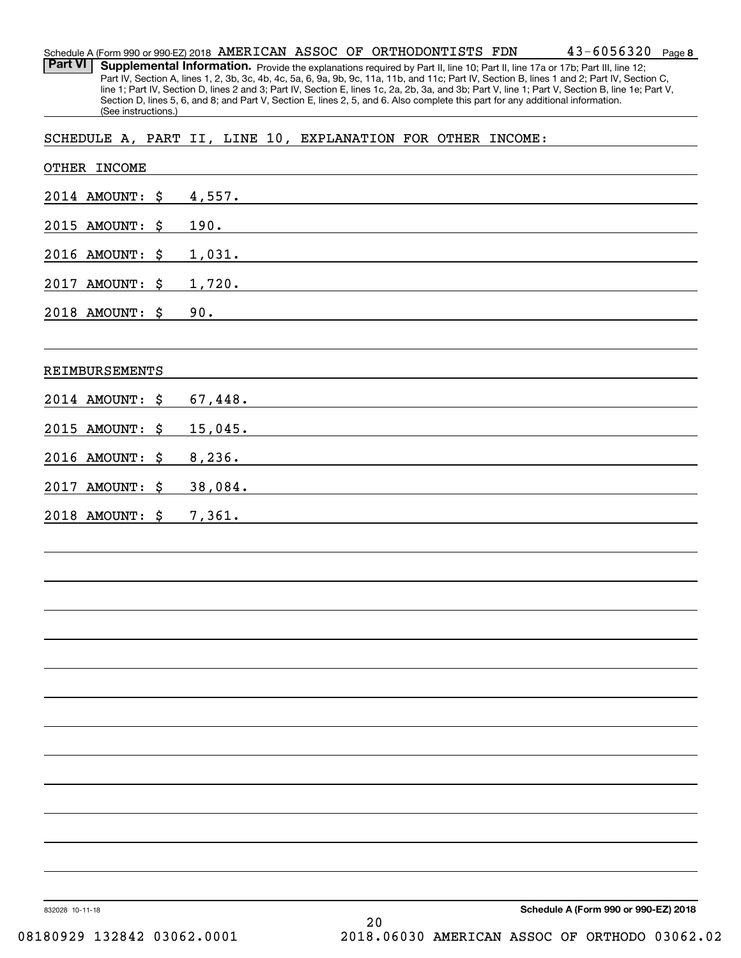**8** 43-6056320 Schedule A (Form 990 or 990-EZ) 2018  $\, {\rm AMERTCAN} \,$   $\, {\rm ASSOC} \,$  OF  $\, {\rm ORTHODONTISTS} \,$   ${\rm FDN} \qquad \qquad 43\,$  –  $6\, 0\, 5\, 6\, 3\, 2\, 0$   $\,$  Page

Part VI | Supplemental Information. Provide the explanations required by Part II, line 10; Part II, line 17a or 17b; Part III, line 12; Part IV, Section A, lines 1, 2, 3b, 3c, 4b, 4c, 5a, 6, 9a, 9b, 9c, 11a, 11b, and 11c; Part IV, Section B, lines 1 and 2; Part IV, Section C, line 1; Part IV, Section D, lines 2 and 3; Part IV, Section E, lines 1c, 2a, 2b, 3a, and 3b; Part V, line 1; Part V, Section B, line 1e; Part V, Section D, lines 5, 6, and 8; and Part V, Section E, lines 2, 5, and 6. Also complete this part for any additional information. (See instructions.)

SCHEDULE A, PART II, LINE 10, EXPLANATION FOR OTHER INCOME:

| OTHER INCOME                 |                                                                                                                                                                                                                                         |
|------------------------------|-----------------------------------------------------------------------------------------------------------------------------------------------------------------------------------------------------------------------------------------|
| 2014 AMOUNT: \$              | 4,557.<br><u> 1989 - John Stein, Amerikaansk politiker (</u>                                                                                                                                                                            |
| 2015 AMOUNT:<br>\$           | 190.<br>the control of the control of the control of the control of the control of the control of the control of the control of the control of the control of the control of the control of the control of the control of the control   |
| 2016 AMOUNT: \$              | <u>1,031.</u><br><u> 1980 - Jan James James Sandarík (f. 1980)</u>                                                                                                                                                                      |
| 2017<br>AMOUNT: \$           | 1,720.                                                                                                                                                                                                                                  |
| 2018 AMOUNT: \$              | 90.                                                                                                                                                                                                                                     |
|                              |                                                                                                                                                                                                                                         |
| REIMBURSEMENTS               |                                                                                                                                                                                                                                         |
| 2014 AMOUNT: \$              | 67,448.                                                                                                                                                                                                                                 |
| 2015 AMOUNT: \$              | 15,045.                                                                                                                                                                                                                                 |
| 2016 AMOUNT:<br>\$           | 8, 236.                                                                                                                                                                                                                                 |
| <b>AMOUNT:</b><br>2017<br>\$ | 38,084.                                                                                                                                                                                                                                 |
| 2018 AMOUNT: \$              | 7,361.<br>the control of the control of the control of the control of the control of the control of the control of the control of the control of the control of the control of the control of the control of the control of the control |
|                              |                                                                                                                                                                                                                                         |
|                              |                                                                                                                                                                                                                                         |
|                              |                                                                                                                                                                                                                                         |
|                              |                                                                                                                                                                                                                                         |
|                              |                                                                                                                                                                                                                                         |
|                              |                                                                                                                                                                                                                                         |
|                              |                                                                                                                                                                                                                                         |
|                              |                                                                                                                                                                                                                                         |
|                              |                                                                                                                                                                                                                                         |
|                              |                                                                                                                                                                                                                                         |
|                              |                                                                                                                                                                                                                                         |
|                              |                                                                                                                                                                                                                                         |
|                              |                                                                                                                                                                                                                                         |
| 832028 10-11-18              | Schedule A (Form 990 or 990-EZ) 2018                                                                                                                                                                                                    |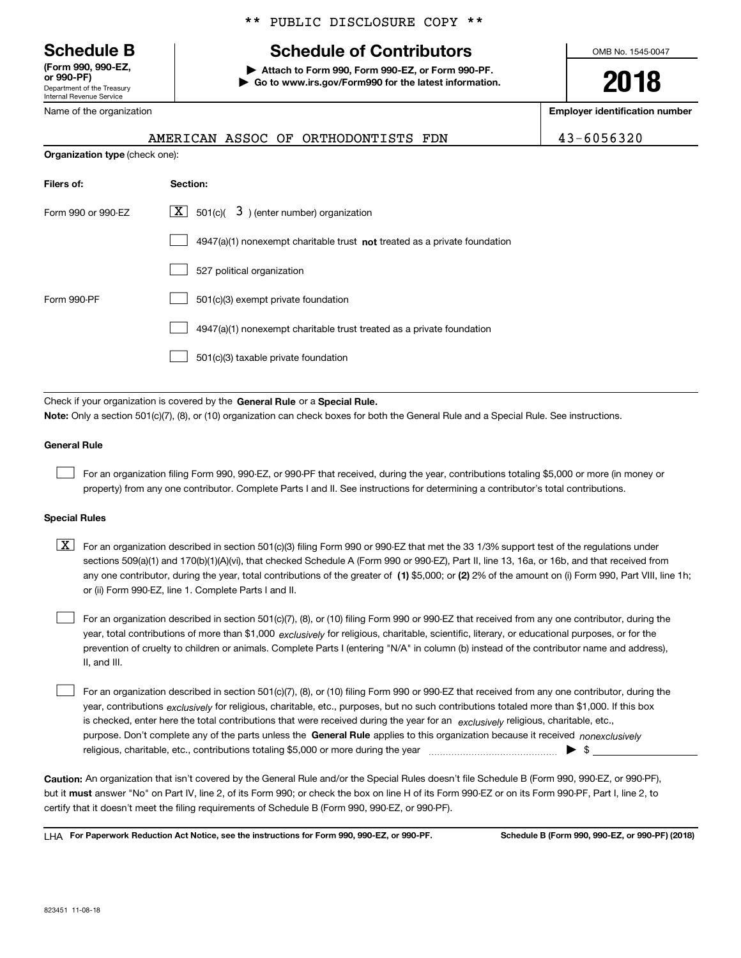Department of the Treasury Internal Revenue Service **(Form 990, 990-EZ, or 990-PF)**

Name of the organization

\*\* PUBLIC DISCLOSURE COPY \*\*

# **Schedule B Schedule of Contributors**

**| Attach to Form 990, Form 990-EZ, or Form 990-PF. | Go to www.irs.gov/Form990 for the latest information.** OMB No. 1545-0047

**2018**

**Employer identification number**

|                                       | AMERICAN ASSOC OF |  |
|---------------------------------------|-------------------|--|
| <b>Organization type</b> (check one): |                   |  |

|  | ICAN ASSOC OF ORTHODONTISTS FDN. |  |
|--|----------------------------------|--|

43-6056320

| Filers of:         | Section:                                                                    |
|--------------------|-----------------------------------------------------------------------------|
| Form 990 or 990-FZ | $X$ 501(c)(<br>$3$ ) (enter number) organization                            |
|                    | $4947(a)(1)$ nonexempt charitable trust not treated as a private foundation |
|                    | 527 political organization                                                  |
| Form 990-PF        | 501(c)(3) exempt private foundation                                         |
|                    | 4947(a)(1) nonexempt charitable trust treated as a private foundation       |
|                    | 501(c)(3) taxable private foundation                                        |

Check if your organization is covered by the **General Rule** or a **Special Rule. Note:**  Only a section 501(c)(7), (8), or (10) organization can check boxes for both the General Rule and a Special Rule. See instructions.

## **General Rule**

 $\mathcal{L}^{\text{max}}$ 

For an organization filing Form 990, 990-EZ, or 990-PF that received, during the year, contributions totaling \$5,000 or more (in money or property) from any one contributor. Complete Parts I and II. See instructions for determining a contributor's total contributions.

## **Special Rules**

any one contributor, during the year, total contributions of the greater of  $\,$  (1) \$5,000; or **(2)** 2% of the amount on (i) Form 990, Part VIII, line 1h;  $\boxed{\textbf{X}}$  For an organization described in section 501(c)(3) filing Form 990 or 990-EZ that met the 33 1/3% support test of the regulations under sections 509(a)(1) and 170(b)(1)(A)(vi), that checked Schedule A (Form 990 or 990-EZ), Part II, line 13, 16a, or 16b, and that received from or (ii) Form 990-EZ, line 1. Complete Parts I and II.

year, total contributions of more than \$1,000 *exclusively* for religious, charitable, scientific, literary, or educational purposes, or for the For an organization described in section 501(c)(7), (8), or (10) filing Form 990 or 990-EZ that received from any one contributor, during the prevention of cruelty to children or animals. Complete Parts I (entering "N/A" in column (b) instead of the contributor name and address), II, and III.  $\mathcal{L}^{\text{max}}$ 

purpose. Don't complete any of the parts unless the **General Rule** applies to this organization because it received *nonexclusively* year, contributions <sub>exclusively</sub> for religious, charitable, etc., purposes, but no such contributions totaled more than \$1,000. If this box is checked, enter here the total contributions that were received during the year for an  $\;$ exclusively religious, charitable, etc., For an organization described in section 501(c)(7), (8), or (10) filing Form 990 or 990-EZ that received from any one contributor, during the religious, charitable, etc., contributions totaling \$5,000 or more during the year  $\Box$ — $\Box$   $\Box$  $\mathcal{L}^{\text{max}}$ 

**Caution:**  An organization that isn't covered by the General Rule and/or the Special Rules doesn't file Schedule B (Form 990, 990-EZ, or 990-PF),  **must** but it answer "No" on Part IV, line 2, of its Form 990; or check the box on line H of its Form 990-EZ or on its Form 990-PF, Part I, line 2, to certify that it doesn't meet the filing requirements of Schedule B (Form 990, 990-EZ, or 990-PF).

**For Paperwork Reduction Act Notice, see the instructions for Form 990, 990-EZ, or 990-PF. Schedule B (Form 990, 990-EZ, or 990-PF) (2018)** LHA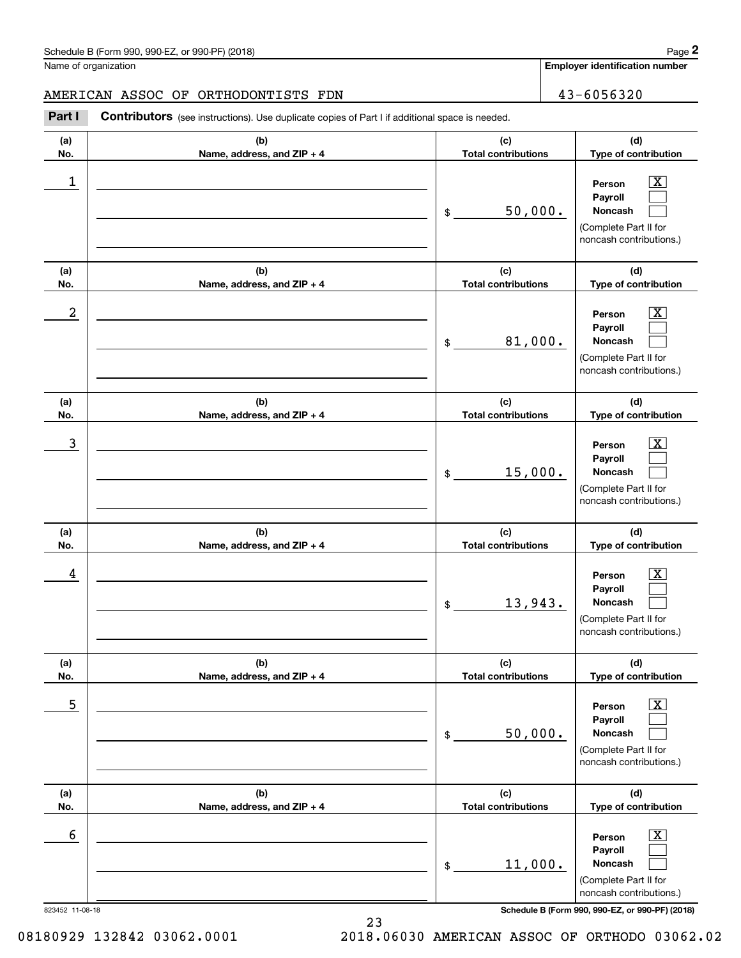**Employer identification number**

**(d)**

# AMERICAN ASSOC OF ORTHODONTISTS FDN 43-6056320

**(a) No.(b) Name, address, and ZIP + 4 (c) Total contributions** Contributors (see instructions). Use duplicate copies of Part I if additional space is needed. Chedule B (Form 990, 990-EZ, or 990-PF) (2018)<br>Iame of organization<br>**2Part I 2Part I Contributors** (see instructions). Use duplicate copies of Part I if additional space is needed.

| No.        | Name, address, and ZIP + 4        | <b>Total contributions</b>        | Type of contribution                                                                                        |
|------------|-----------------------------------|-----------------------------------|-------------------------------------------------------------------------------------------------------------|
| 1          |                                   | 50,000.<br>\$                     | $\overline{\texttt{X}}$<br>Person<br>Payroll<br>Noncash<br>(Complete Part II for<br>noncash contributions.) |
| (a)<br>No. | (b)<br>Name, address, and ZIP + 4 | (c)<br><b>Total contributions</b> | (d)<br>Type of contribution                                                                                 |
| 2          |                                   | 81,000.<br>\$                     | x<br>Person<br>Payroll<br>Noncash<br>(Complete Part II for<br>noncash contributions.)                       |
| (a)<br>No. | (b)<br>Name, address, and ZIP + 4 | (c)<br><b>Total contributions</b> | (d)<br>Type of contribution                                                                                 |
| 3          |                                   | 15,000.<br>\$                     | x<br>Person<br>Payroll<br>Noncash<br>(Complete Part II for<br>noncash contributions.)                       |
| (a)<br>No. | (b)<br>Name, address, and ZIP + 4 | (c)<br><b>Total contributions</b> | (d)<br>Type of contribution                                                                                 |
| 4          |                                   | 13,943.<br>\$                     | x<br>Person<br>Payroll<br>Noncash<br>(Complete Part II for<br>noncash contributions.)                       |
| (a)<br>No. | (b)<br>Name, address, and ZIP + 4 | (c)<br><b>Total contributions</b> | (d)<br>Type of contribution                                                                                 |
| 5          |                                   | 50,000.<br>\$                     | $\overline{\texttt{X}}$<br>Person<br>Payroll<br>Noncash<br>(Complete Part II for<br>noncash contributions.) |
| (a)<br>No. | (b)<br>Name, address, and ZIP + 4 | (c)<br><b>Total contributions</b> | (d)<br>Type of contribution                                                                                 |
| 6          |                                   | 11,000.<br>\$                     | $\overline{\text{X}}$<br>Person<br>Payroll<br>Noncash<br>(Complete Part II for<br>noncash contributions.)   |

823452 11-08-18 **Schedule B (Form 990, 990-EZ, or 990-PF) (2018)**

08180929 132842 03062.0001 2018.06030 AMERICAN ASSOC OF ORTHODO 03062.02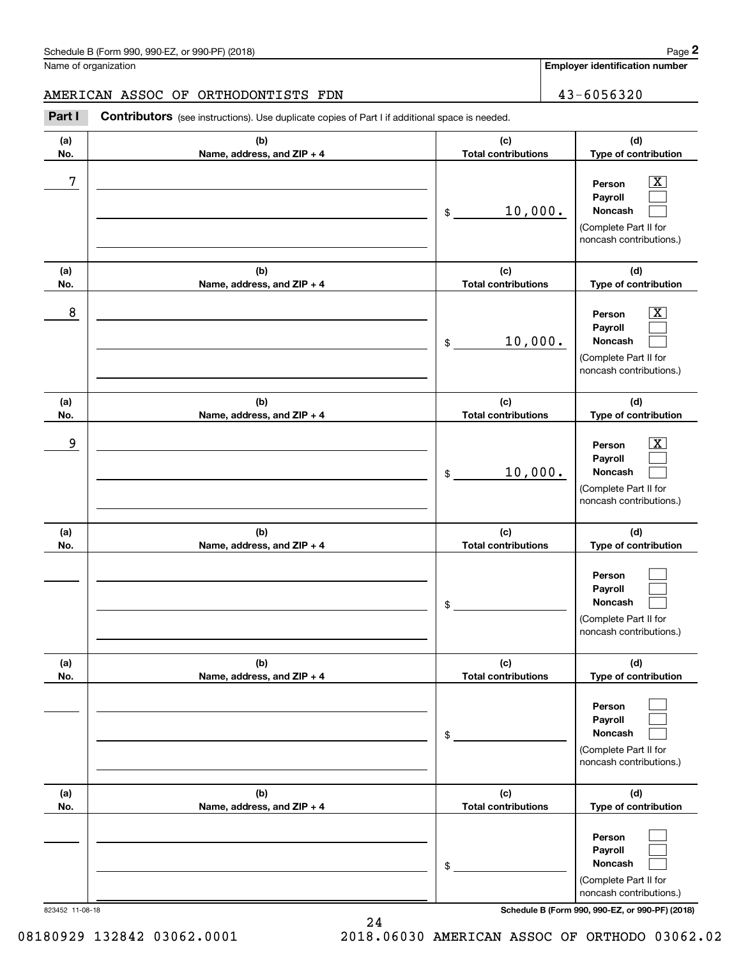**Employer identification number**

**(d)**

 $|X|$  $\mathcal{L}^{\text{max}}$  $\mathcal{L}^{\text{max}}$ 

 $\boxed{\text{X}}$  $\mathcal{L}^{\text{max}}$  $\mathcal{L}^{\text{max}}$ 

 $|X|$  $\mathcal{L}^{\text{max}}$  $\mathcal{L}^{\text{max}}$ 

 $\mathcal{L}^{\text{max}}$  $\mathcal{L}^{\text{max}}$  $\mathcal{L}^{\text{max}}$ 

 $\mathcal{L}^{\text{max}}$  $\mathcal{L}^{\text{max}}$  $\mathcal{L}^{\text{max}}$ 

**(d)**

**(d)**

**(d)**

**(d)**

**(a)No.(b)Name, address, and ZIP + 4 (c)Total contributions Type of contribution PersonPayrollNoncash (a)No.(b)Name, address, and ZIP + 4 (c)Total contributions Type of contribution PersonPayrollNoncash (a)No.(b)Name, address, and ZIP + 4 (c)Total contributions Type of contribution PersonPayrollNoncash (a) No.(b) Name, address, and ZIP + 4 (c) Total contributions Type of contribution PersonPayrollNoncash (a) No.(b) Name, address, and ZIP + 4 (c) Total contributions Type of contribution PersonPayrollNoncash**Schedule B (Form 990, 990-EZ, or 990-PF) (2018) **Page 2** Page 1 and 2018 Page 2 Name of organization Contributors (see instructions). Use duplicate copies of Part I if additional space is needed. \$(Complete Part II for noncash contributions.) \$(Complete Part II for noncash contributions.) \$(Complete Part II for noncash contributions.) \$(Complete Part II for noncash contributions.) \$Chedule B (Form 990, 990-EZ, or 990-PF) (2018)<br>Iame of organization<br>**2Part I 2Part I Contributors** (see instructions). Use duplicate copies of Part I if additional space is needed. 7 X 10,000. 8 X 10,000. example and the set of the set of the set of the set of the set of the set of the set of the set of the set of 10,000. AMERICAN ASSOC OF ORTHODONTISTS FDN 13-6056320

**(a) No.(b)Name, address, and ZIP + 4 (c) Total contributions (d)Type of contribution PersonPayrollNoncash** (Complete Part II for noncash contributions.) \$(Complete Part II for noncash contributions.)  $\mathcal{L}^{\text{max}}$  $\mathcal{L}^{\text{max}}$  $\mathcal{L}^{\text{max}}$ 

823452 11-08-18 **Schedule B (Form 990, 990-EZ, or 990-PF) (2018)**

08180929 132842 03062.0001 2018.06030 AMERICAN ASSOC OF ORTHODO 03062.02

24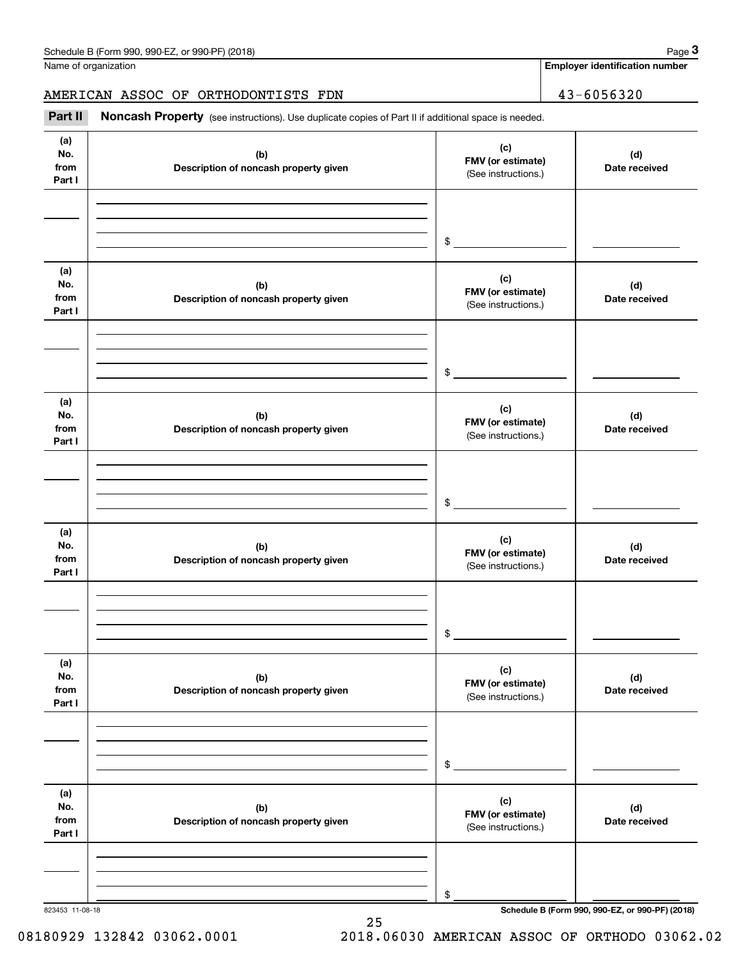**Employer identification number**

# AMERICAN ASSOC OF ORTHODONTISTS FDN 43-6056320

Chedule B (Form 990, 990-EZ, or 990-PF) (2018)<br>
Iame of organization<br> **3Part II Noncash Property** (see instructions). Use duplicate copies of Part II if additional space is needed.<br> **Part II Noncash Property** (see inst

| (a)<br>No.<br>from<br>Part I | (b)<br>Description of noncash property given | (c)<br>FMV (or estimate)<br>(See instructions.) | (d)<br>Date received |
|------------------------------|----------------------------------------------|-------------------------------------------------|----------------------|
|                              |                                              |                                                 |                      |
|                              |                                              | $\sim$                                          |                      |
| (a)<br>No.<br>from           | (b)<br>Description of noncash property given | (c)<br>FMV (or estimate)                        | (d)<br>Date received |
| Part I                       |                                              | (See instructions.)                             |                      |
|                              |                                              | $\sim$                                          |                      |
| (a)<br>No.<br>from<br>Part I | (b)<br>Description of noncash property given | (c)<br>FMV (or estimate)<br>(See instructions.) | (d)<br>Date received |
|                              |                                              | $\mathfrak{S}$                                  |                      |
| (a)<br>No.<br>from<br>Part I | (b)<br>Description of noncash property given | (c)<br>FMV (or estimate)<br>(See instructions.) | (d)<br>Date received |
|                              |                                              |                                                 |                      |
|                              |                                              | \$                                              |                      |
| (a)<br>No.<br>from<br>Part I | (b)<br>Description of noncash property given | (c)<br>FMV (or estimate)<br>(See instructions.) | (d)<br>Date received |
|                              |                                              | $\$$                                            |                      |
| (a)<br>No.<br>from<br>Part I | (b)<br>Description of noncash property given | (c)<br>FMV (or estimate)<br>(See instructions.) | (d)<br>Date received |
|                              |                                              | \$                                              |                      |

25

823453 11-08-18 **Schedule B (Form 990, 990-EZ, or 990-PF) (2018)**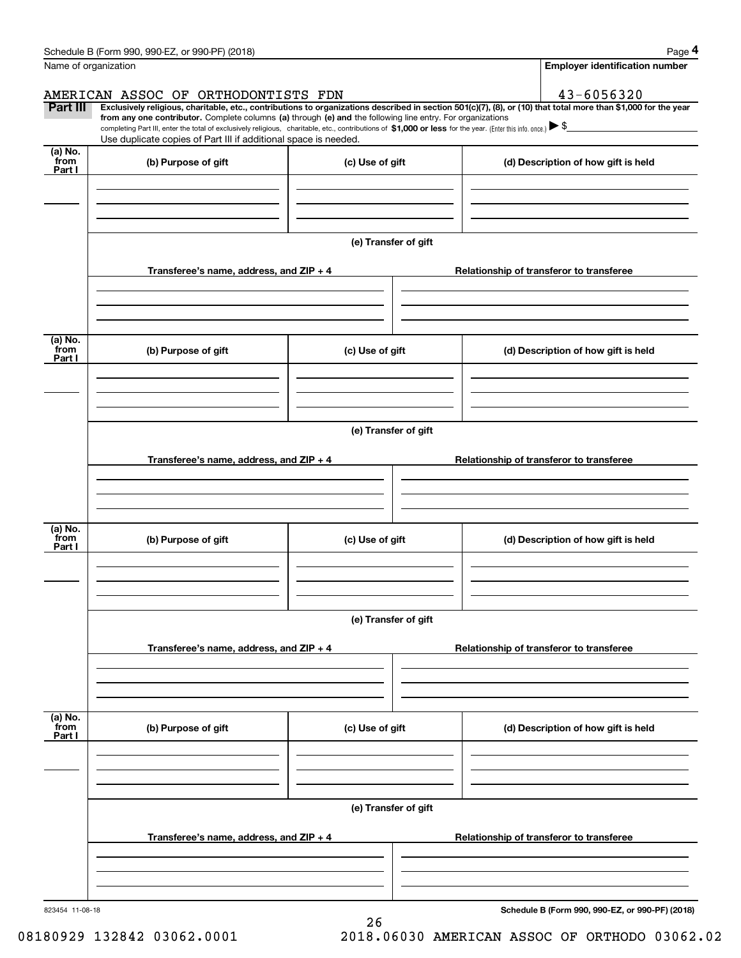|                           | Schedule B (Form 990, 990-EZ, or 990-PF) (2018)                                                                                                                                                                                                                              |                      | Page 4                                          |
|---------------------------|------------------------------------------------------------------------------------------------------------------------------------------------------------------------------------------------------------------------------------------------------------------------------|----------------------|-------------------------------------------------|
|                           | Name of organization                                                                                                                                                                                                                                                         |                      | <b>Employer identification number</b>           |
|                           | AMERICAN ASSOC OF ORTHODONTISTS FDN                                                                                                                                                                                                                                          |                      | 43-6056320                                      |
| Part III                  | Exclusively religious, charitable, etc., contributions to organizations described in section 501(c)(7), (8), or (10) that total more than \$1,000 for the year<br>from any one contributor. Complete columns (a) through (e) and the following line entry. For organizations |                      |                                                 |
|                           | completing Part III, enter the total of exclusively religious, charitable, etc., contributions of \$1,000 or less for the year. (Enter this info. once.) $\blacktriangleright$ \$<br>Use duplicate copies of Part III if additional space is needed.                         |                      |                                                 |
| (a) No.<br>from<br>Part I | (b) Purpose of gift                                                                                                                                                                                                                                                          | (c) Use of gift      | (d) Description of how gift is held             |
|                           |                                                                                                                                                                                                                                                                              |                      |                                                 |
|                           |                                                                                                                                                                                                                                                                              | (e) Transfer of gift |                                                 |
|                           | Transferee's name, address, and ZIP + 4                                                                                                                                                                                                                                      |                      | Relationship of transferor to transferee        |
|                           |                                                                                                                                                                                                                                                                              |                      |                                                 |
|                           |                                                                                                                                                                                                                                                                              |                      |                                                 |
| (a) No.<br>from<br>Part I | (b) Purpose of gift                                                                                                                                                                                                                                                          | (c) Use of gift      | (d) Description of how gift is held             |
|                           |                                                                                                                                                                                                                                                                              |                      |                                                 |
|                           |                                                                                                                                                                                                                                                                              | (e) Transfer of gift |                                                 |
|                           | Transferee's name, address, and ZIP + 4                                                                                                                                                                                                                                      |                      | Relationship of transferor to transferee        |
|                           |                                                                                                                                                                                                                                                                              |                      |                                                 |
| (a) No.                   |                                                                                                                                                                                                                                                                              |                      |                                                 |
| from<br>Part I            | (b) Purpose of gift                                                                                                                                                                                                                                                          | (c) Use of gift      | (d) Description of how gift is held             |
|                           |                                                                                                                                                                                                                                                                              |                      |                                                 |
|                           |                                                                                                                                                                                                                                                                              | (e) Transfer of gift |                                                 |
|                           | Transferee's name, address, and ZIP + 4                                                                                                                                                                                                                                      |                      | Relationship of transferor to transferee        |
|                           |                                                                                                                                                                                                                                                                              |                      |                                                 |
|                           |                                                                                                                                                                                                                                                                              |                      |                                                 |
| (a) No.<br>from<br>Part I | (b) Purpose of gift                                                                                                                                                                                                                                                          | (c) Use of gift      | (d) Description of how gift is held             |
|                           |                                                                                                                                                                                                                                                                              |                      |                                                 |
|                           |                                                                                                                                                                                                                                                                              | (e) Transfer of gift |                                                 |
|                           | Transferee's name, address, and ZIP + 4                                                                                                                                                                                                                                      |                      | Relationship of transferor to transferee        |
|                           |                                                                                                                                                                                                                                                                              |                      |                                                 |
|                           |                                                                                                                                                                                                                                                                              |                      |                                                 |
| 823454 11-08-18           |                                                                                                                                                                                                                                                                              | 26                   | Schedule B (Form 990, 990-EZ, or 990-PF) (2018) |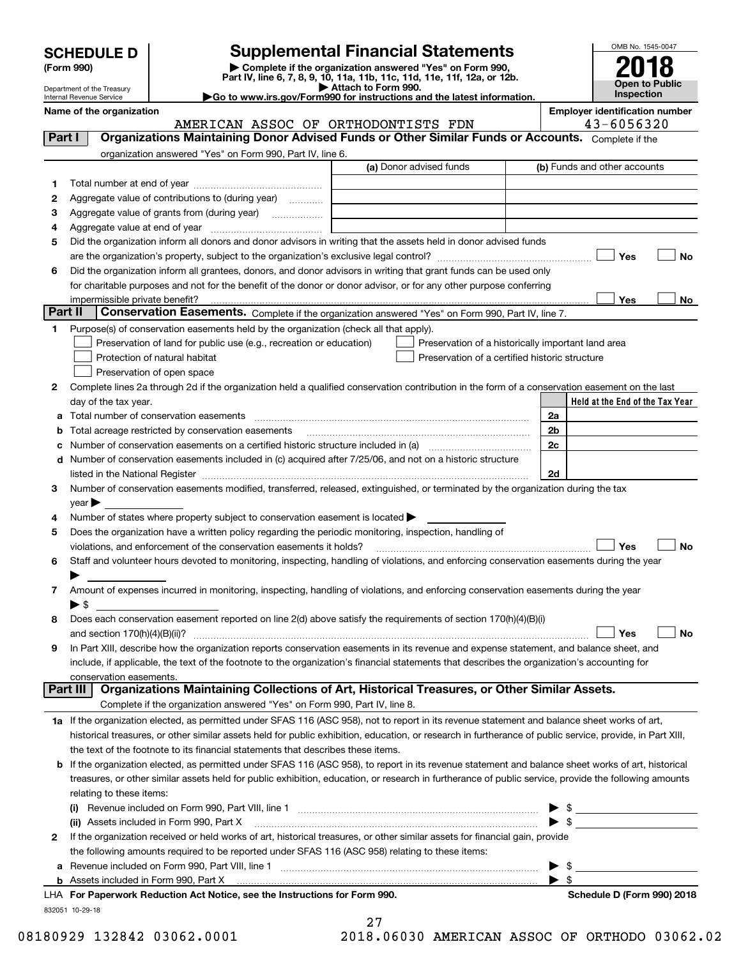| <b>SCHEDULE D</b> |  |
|-------------------|--|
|-------------------|--|

| (Form 990) |  |
|------------|--|
|------------|--|

# **Supplemental Financial Statements**

(Form 990)<br>
Pepartment of the Treasury<br>
Department of the Treasury<br>
Department of the Treasury<br>
Department of the Treasury<br> **Co to www.irs.gov/Form990 for instructions and the latest information.**<br> **Co to www.irs.gov/Form9** 



Department of the Treasury Internal Revenue Service

**Name of the organization Employer identification number**

|                | $r$ anne or une organization<br>AMERICAN ASSOC OF ORTHODONTISTS FDN                                                                                                                                                           | <b>Linpiover identification num</b><br>43-6056320 |
|----------------|-------------------------------------------------------------------------------------------------------------------------------------------------------------------------------------------------------------------------------|---------------------------------------------------|
| Part I         | Organizations Maintaining Donor Advised Funds or Other Similar Funds or Accounts. Complete if the                                                                                                                             |                                                   |
|                | organization answered "Yes" on Form 990, Part IV, line 6.                                                                                                                                                                     |                                                   |
|                | (a) Donor advised funds                                                                                                                                                                                                       | (b) Funds and other accounts                      |
| 1.             |                                                                                                                                                                                                                               |                                                   |
| 2              | Aggregate value of contributions to (during year)                                                                                                                                                                             |                                                   |
| з              | Aggregate value of grants from (during year)                                                                                                                                                                                  |                                                   |
| 4              |                                                                                                                                                                                                                               |                                                   |
| 5              | Did the organization inform all donors and donor advisors in writing that the assets held in donor advised funds                                                                                                              |                                                   |
|                |                                                                                                                                                                                                                               | Yes<br>No                                         |
| 6              | Did the organization inform all grantees, donors, and donor advisors in writing that grant funds can be used only                                                                                                             |                                                   |
|                | for charitable purposes and not for the benefit of the donor or donor advisor, or for any other purpose conferring                                                                                                            |                                                   |
|                | impermissible private benefit?                                                                                                                                                                                                | Yes<br>No                                         |
| <b>Part II</b> | Conservation Easements. Complete if the organization answered "Yes" on Form 990, Part IV, line 7.                                                                                                                             |                                                   |
| 1              | Purpose(s) of conservation easements held by the organization (check all that apply).                                                                                                                                         |                                                   |
|                | Preservation of land for public use (e.g., recreation or education)<br>Preservation of a historically important land area                                                                                                     |                                                   |
|                | Protection of natural habitat<br>Preservation of a certified historic structure                                                                                                                                               |                                                   |
|                | Preservation of open space                                                                                                                                                                                                    |                                                   |
| 2              | Complete lines 2a through 2d if the organization held a qualified conservation contribution in the form of a conservation easement on the last                                                                                |                                                   |
|                | day of the tax year.<br>Total number of conservation easements                                                                                                                                                                | Held at the End of the Tax Year<br>2a             |
| a<br>b         | Total acreage restricted by conservation easements                                                                                                                                                                            | 2b                                                |
| c              | Number of conservation easements on a certified historic structure included in (a) manufacture included in (a)                                                                                                                | 2c                                                |
| d              | Number of conservation easements included in (c) acquired after 7/25/06, and not on a historic structure                                                                                                                      |                                                   |
|                | listed in the National Register [111] Marshall Register [11] Marshall Register [11] Marshall Register [11] Marshall Register [11] Marshall Register [11] Marshall Register [11] Marshall Register [11] Marshall Register [11] | 2d                                                |
| З              | Number of conservation easements modified, transferred, released, extinguished, or terminated by the organization during the tax                                                                                              |                                                   |
|                | year                                                                                                                                                                                                                          |                                                   |
| 4              | Number of states where property subject to conservation easement is located >                                                                                                                                                 |                                                   |
| 5              | Does the organization have a written policy regarding the periodic monitoring, inspection, handling of                                                                                                                        |                                                   |
|                | violations, and enforcement of the conservation easements it holds?                                                                                                                                                           | Yes<br>No                                         |
| 6              | Staff and volunteer hours devoted to monitoring, inspecting, handling of violations, and enforcing conservation easements during the year                                                                                     |                                                   |
|                |                                                                                                                                                                                                                               |                                                   |
| 7              | Amount of expenses incurred in monitoring, inspecting, handling of violations, and enforcing conservation easements during the year                                                                                           |                                                   |
|                | $\blacktriangleright$ \$                                                                                                                                                                                                      |                                                   |
| 8              | Does each conservation easement reported on line 2(d) above satisfy the requirements of section 170(h)(4)(B)(i)                                                                                                               |                                                   |
|                | and section $170(h)(4)(B)(ii)?$                                                                                                                                                                                               | Yes<br>No                                         |
| 9              | In Part XIII, describe how the organization reports conservation easements in its revenue and expense statement, and balance sheet, and                                                                                       |                                                   |
|                | include, if applicable, the text of the footnote to the organization's financial statements that describes the organization's accounting for                                                                                  |                                                   |
|                | conservation easements.<br>Organizations Maintaining Collections of Art, Historical Treasures, or Other Similar Assets.<br><b>Part III</b>                                                                                    |                                                   |
|                | Complete if the organization answered "Yes" on Form 990, Part IV, line 8.                                                                                                                                                     |                                                   |
|                | 1a If the organization elected, as permitted under SFAS 116 (ASC 958), not to report in its revenue statement and balance sheet works of art,                                                                                 |                                                   |
|                | historical treasures, or other similar assets held for public exhibition, education, or research in furtherance of public service, provide, in Part XIII,                                                                     |                                                   |
|                | the text of the footnote to its financial statements that describes these items.                                                                                                                                              |                                                   |
| b              | If the organization elected, as permitted under SFAS 116 (ASC 958), to report in its revenue statement and balance sheet works of art, historical                                                                             |                                                   |
|                | treasures, or other similar assets held for public exhibition, education, or research in furtherance of public service, provide the following amounts                                                                         |                                                   |
|                | relating to these items:                                                                                                                                                                                                      |                                                   |
|                | (i)                                                                                                                                                                                                                           | $\frac{1}{2}$                                     |
|                | (ii) Assets included in Form 990, Part X                                                                                                                                                                                      | $\blacktriangleright$ \$                          |
| 2              | If the organization received or held works of art, historical treasures, or other similar assets for financial gain, provide                                                                                                  |                                                   |
|                | the following amounts required to be reported under SFAS 116 (ASC 958) relating to these items:                                                                                                                               |                                                   |
|                |                                                                                                                                                                                                                               | $\frac{1}{\sqrt{2}}$                              |
|                |                                                                                                                                                                                                                               | $\blacktriangleright$ \$                          |

| Schedule D (Form 990) 2018 |  |  |
|----------------------------|--|--|
|                            |  |  |

27

08180929 132842 03062.0001 2018.06030 AMERICAN ASSOC OF ORTHODO 03062.02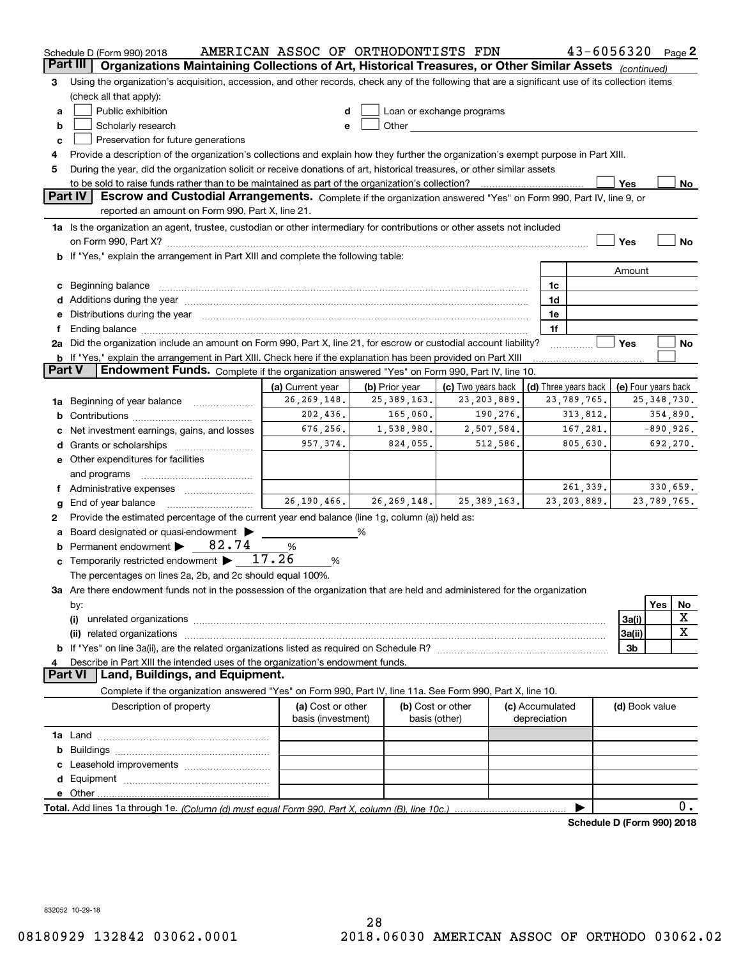|               | Schedule D (Form 990) 2018                                                                                                                                                                                                     | AMERICAN ASSOC OF ORTHODONTISTS FDN     |   |                                                                                                                                                                                                                                |                    |               |                                 | $43 - 6056320$ Page 2      |                     |               |             |
|---------------|--------------------------------------------------------------------------------------------------------------------------------------------------------------------------------------------------------------------------------|-----------------------------------------|---|--------------------------------------------------------------------------------------------------------------------------------------------------------------------------------------------------------------------------------|--------------------|---------------|---------------------------------|----------------------------|---------------------|---------------|-------------|
| Part III      | Organizations Maintaining Collections of Art, Historical Treasures, or Other Similar Assets (continued)                                                                                                                        |                                         |   |                                                                                                                                                                                                                                |                    |               |                                 |                            |                     |               |             |
| 3             | Using the organization's acquisition, accession, and other records, check any of the following that are a significant use of its collection items                                                                              |                                         |   |                                                                                                                                                                                                                                |                    |               |                                 |                            |                     |               |             |
|               | (check all that apply):                                                                                                                                                                                                        |                                         |   |                                                                                                                                                                                                                                |                    |               |                                 |                            |                     |               |             |
| a             | Public exhibition                                                                                                                                                                                                              | d                                       |   | Loan or exchange programs                                                                                                                                                                                                      |                    |               |                                 |                            |                     |               |             |
| b             | Scholarly research                                                                                                                                                                                                             | e                                       |   | Other the contract of the contract of the contract of the contract of the contract of the contract of the contract of the contract of the contract of the contract of the contract of the contract of the contract of the cont |                    |               |                                 |                            |                     |               |             |
| c             | Preservation for future generations                                                                                                                                                                                            |                                         |   |                                                                                                                                                                                                                                |                    |               |                                 |                            |                     |               |             |
|               | Provide a description of the organization's collections and explain how they further the organization's exempt purpose in Part XIII.                                                                                           |                                         |   |                                                                                                                                                                                                                                |                    |               |                                 |                            |                     |               |             |
| 5             | During the year, did the organization solicit or receive donations of art, historical treasures, or other similar assets                                                                                                       |                                         |   |                                                                                                                                                                                                                                |                    |               |                                 |                            |                     |               |             |
|               | Yes<br>to be sold to raise funds rather than to be maintained as part of the organization's collection?<br>No                                                                                                                  |                                         |   |                                                                                                                                                                                                                                |                    |               |                                 |                            |                     |               |             |
|               | <b>Part IV</b><br>Escrow and Custodial Arrangements. Complete if the organization answered "Yes" on Form 990, Part IV, line 9, or                                                                                              |                                         |   |                                                                                                                                                                                                                                |                    |               |                                 |                            |                     |               |             |
|               | reported an amount on Form 990, Part X, line 21.                                                                                                                                                                               |                                         |   |                                                                                                                                                                                                                                |                    |               |                                 |                            |                     |               |             |
|               | 1a Is the organization an agent, trustee, custodian or other intermediary for contributions or other assets not included                                                                                                       |                                         |   |                                                                                                                                                                                                                                |                    |               |                                 |                            |                     |               |             |
|               | on Form 990, Part X? <b>William Constitution Constitution</b> Construction Construction Construction Construction Cons                                                                                                         |                                         |   |                                                                                                                                                                                                                                |                    |               |                                 |                            | Yes                 |               | No          |
|               | b If "Yes," explain the arrangement in Part XIII and complete the following table:                                                                                                                                             |                                         |   |                                                                                                                                                                                                                                |                    |               |                                 |                            |                     |               |             |
|               |                                                                                                                                                                                                                                |                                         |   |                                                                                                                                                                                                                                |                    |               |                                 |                            | Amount              |               |             |
|               | c Beginning balance                                                                                                                                                                                                            |                                         |   |                                                                                                                                                                                                                                |                    |               | 1c                              |                            |                     |               |             |
|               |                                                                                                                                                                                                                                |                                         |   |                                                                                                                                                                                                                                |                    |               | 1d                              |                            |                     |               |             |
|               | e Distributions during the year manufactured and continuum and contact the year manufactured and contact the year manufactured and contact the year manufactured and contact the year manufactured and contact the year manufa |                                         |   |                                                                                                                                                                                                                                |                    |               | 1e                              |                            |                     |               |             |
|               | Ending balance manufactured and contract the contract of the contract of the contract of the contract of the contract of the contract of the contract of the contract of the contract of the contract of the contract of the c |                                         |   |                                                                                                                                                                                                                                |                    |               | 1f                              |                            |                     |               |             |
|               | 2a Did the organization include an amount on Form 990, Part X, line 21, for escrow or custodial account liability?                                                                                                             |                                         |   |                                                                                                                                                                                                                                |                    |               |                                 |                            | Yes                 |               | No          |
|               | <b>b</b> If "Yes," explain the arrangement in Part XIII. Check here if the explanation has been provided on Part XIII                                                                                                          |                                         |   |                                                                                                                                                                                                                                |                    |               |                                 |                            |                     |               |             |
| <b>Part V</b> | Endowment Funds. Complete if the organization answered "Yes" on Form 990, Part IV, line 10.                                                                                                                                    |                                         |   |                                                                                                                                                                                                                                |                    |               |                                 |                            |                     |               |             |
|               |                                                                                                                                                                                                                                | (a) Current year                        |   | (b) Prior year                                                                                                                                                                                                                 | (c) Two years back |               |                                 | (d) Three years back       | (e) Four years back |               |             |
| 1a            | Beginning of year balance                                                                                                                                                                                                      | 26, 269, 148.                           |   | 25, 389, 163.                                                                                                                                                                                                                  | 23, 203, 889.      |               |                                 | 23,789,765.                |                     | 25, 348, 730. |             |
|               |                                                                                                                                                                                                                                | 202,436.                                |   | 165,060.                                                                                                                                                                                                                       |                    | 190,276.      |                                 | 313,812.                   |                     | 354,890.      |             |
|               | Net investment earnings, gains, and losses                                                                                                                                                                                     | 676,256.                                |   | 1,538,980.                                                                                                                                                                                                                     |                    | 2,507,584.    |                                 | 167,281.                   |                     | $-890,926.$   |             |
|               |                                                                                                                                                                                                                                | 957,374.                                |   | 824,055.                                                                                                                                                                                                                       |                    | 512,586.      |                                 | 805,630.                   |                     | 692,270.      |             |
|               | e Other expenditures for facilities                                                                                                                                                                                            |                                         |   |                                                                                                                                                                                                                                |                    |               |                                 |                            |                     |               |             |
|               | and programs                                                                                                                                                                                                                   |                                         |   |                                                                                                                                                                                                                                |                    |               |                                 |                            |                     |               |             |
|               |                                                                                                                                                                                                                                |                                         |   |                                                                                                                                                                                                                                |                    |               |                                 | 261,339.                   |                     | 330,659.      |             |
| g             | End of year balance                                                                                                                                                                                                            | 26, 190, 466.                           |   | 26, 269, 148.                                                                                                                                                                                                                  |                    | 25, 389, 163. |                                 | 23, 203, 889.              |                     | 23,789,765.   |             |
| 2             | Provide the estimated percentage of the current year end balance (line 1g, column (a)) held as:                                                                                                                                |                                         |   |                                                                                                                                                                                                                                |                    |               |                                 |                            |                     |               |             |
|               | Board designated or quasi-endowment                                                                                                                                                                                            |                                         | % |                                                                                                                                                                                                                                |                    |               |                                 |                            |                     |               |             |
| b             | Permanent endowment $\triangleright$ 82.74                                                                                                                                                                                     | %                                       |   |                                                                                                                                                                                                                                |                    |               |                                 |                            |                     |               |             |
| c             | Temporarily restricted endowment $\blacktriangleright$ 17.26                                                                                                                                                                   | %                                       |   |                                                                                                                                                                                                                                |                    |               |                                 |                            |                     |               |             |
|               | The percentages on lines 2a, 2b, and 2c should equal 100%.                                                                                                                                                                     |                                         |   |                                                                                                                                                                                                                                |                    |               |                                 |                            |                     |               |             |
|               | 3a Are there endowment funds not in the possession of the organization that are held and administered for the organization                                                                                                     |                                         |   |                                                                                                                                                                                                                                |                    |               |                                 |                            |                     |               |             |
|               | by:                                                                                                                                                                                                                            |                                         |   |                                                                                                                                                                                                                                |                    |               |                                 |                            |                     | Yes           | No          |
|               | (i)                                                                                                                                                                                                                            |                                         |   |                                                                                                                                                                                                                                |                    |               |                                 |                            | 3a(i)               |               | X           |
|               | (ii)                                                                                                                                                                                                                           |                                         |   |                                                                                                                                                                                                                                |                    |               |                                 |                            | 3a(ii)              |               | $\mathbf X$ |
|               |                                                                                                                                                                                                                                |                                         |   |                                                                                                                                                                                                                                |                    |               |                                 |                            | 3b                  |               |             |
|               | Describe in Part XIII the intended uses of the organization's endowment funds.<br>Land, Buildings, and Equipment.<br><b>Part VI</b>                                                                                            |                                         |   |                                                                                                                                                                                                                                |                    |               |                                 |                            |                     |               |             |
|               |                                                                                                                                                                                                                                |                                         |   |                                                                                                                                                                                                                                |                    |               |                                 |                            |                     |               |             |
|               | Complete if the organization answered "Yes" on Form 990, Part IV, line 11a. See Form 990, Part X, line 10.                                                                                                                     |                                         |   |                                                                                                                                                                                                                                |                    |               |                                 |                            |                     |               |             |
|               | Description of property                                                                                                                                                                                                        | (a) Cost or other<br>basis (investment) |   | (b) Cost or other<br>basis (other)                                                                                                                                                                                             |                    |               | (c) Accumulated<br>depreciation |                            | (d) Book value      |               |             |
|               |                                                                                                                                                                                                                                |                                         |   |                                                                                                                                                                                                                                |                    |               |                                 |                            |                     |               |             |
|               |                                                                                                                                                                                                                                |                                         |   |                                                                                                                                                                                                                                |                    |               |                                 |                            |                     |               |             |
|               |                                                                                                                                                                                                                                |                                         |   |                                                                                                                                                                                                                                |                    |               |                                 |                            |                     |               |             |
|               |                                                                                                                                                                                                                                |                                         |   |                                                                                                                                                                                                                                |                    |               |                                 |                            |                     |               |             |
|               |                                                                                                                                                                                                                                |                                         |   |                                                                                                                                                                                                                                |                    |               |                                 |                            |                     |               |             |
|               |                                                                                                                                                                                                                                |                                         |   |                                                                                                                                                                                                                                |                    |               |                                 |                            |                     |               | 0.          |
|               |                                                                                                                                                                                                                                |                                         |   |                                                                                                                                                                                                                                |                    |               |                                 | Schedule D (Form 990) 2018 |                     |               |             |
|               |                                                                                                                                                                                                                                |                                         |   |                                                                                                                                                                                                                                |                    |               |                                 |                            |                     |               |             |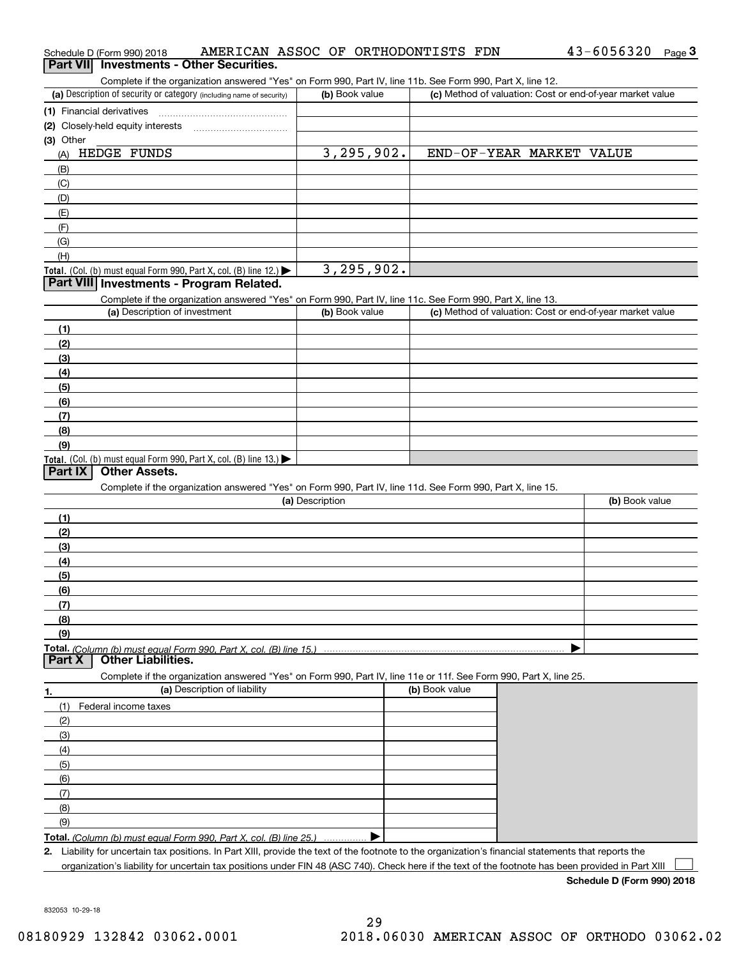|                 | Schedule D (Form 990) 2018                                                                                                                           | AMERICAN ASSOC OF ORTHODONTISTS FDN                                                                                                               |                 |                |                |                          | 43-6056320                                                | Page $3$ |
|-----------------|------------------------------------------------------------------------------------------------------------------------------------------------------|---------------------------------------------------------------------------------------------------------------------------------------------------|-----------------|----------------|----------------|--------------------------|-----------------------------------------------------------|----------|
| <b>Part VII</b> | <b>Investments - Other Securities.</b>                                                                                                               |                                                                                                                                                   |                 |                |                |                          |                                                           |          |
|                 |                                                                                                                                                      | Complete if the organization answered "Yes" on Form 990, Part IV, line 11b. See Form 990, Part X, line 12.                                        |                 |                |                |                          |                                                           |          |
|                 | (a) Description of security or category (including name of security)                                                                                 |                                                                                                                                                   |                 | (b) Book value |                |                          | (c) Method of valuation: Cost or end-of-year market value |          |
|                 | (1) Financial derivatives                                                                                                                            |                                                                                                                                                   |                 |                |                |                          |                                                           |          |
|                 | (2) Closely-held equity interests                                                                                                                    |                                                                                                                                                   |                 |                |                |                          |                                                           |          |
| (3) Other       |                                                                                                                                                      |                                                                                                                                                   |                 |                |                |                          |                                                           |          |
| (A)             | HEDGE FUNDS                                                                                                                                          |                                                                                                                                                   |                 | 3, 295, 902.   |                | END-OF-YEAR MARKET VALUE |                                                           |          |
| (B)             |                                                                                                                                                      |                                                                                                                                                   |                 |                |                |                          |                                                           |          |
| (C)             |                                                                                                                                                      |                                                                                                                                                   |                 |                |                |                          |                                                           |          |
| (D)             |                                                                                                                                                      |                                                                                                                                                   |                 |                |                |                          |                                                           |          |
| (E)             |                                                                                                                                                      |                                                                                                                                                   |                 |                |                |                          |                                                           |          |
| (F)             |                                                                                                                                                      |                                                                                                                                                   |                 |                |                |                          |                                                           |          |
| (G)             |                                                                                                                                                      |                                                                                                                                                   |                 |                |                |                          |                                                           |          |
| (H)             |                                                                                                                                                      |                                                                                                                                                   |                 |                |                |                          |                                                           |          |
|                 | Total. (Col. (b) must equal Form 990, Part X, col. (B) line 12.)                                                                                     |                                                                                                                                                   |                 | 3,295,902.     |                |                          |                                                           |          |
|                 | Part VIII Investments - Program Related.                                                                                                             |                                                                                                                                                   |                 |                |                |                          |                                                           |          |
|                 |                                                                                                                                                      | Complete if the organization answered "Yes" on Form 990, Part IV, line 11c. See Form 990, Part X, line 13.                                        |                 |                |                |                          |                                                           |          |
|                 | (a) Description of investment                                                                                                                        |                                                                                                                                                   |                 | (b) Book value |                |                          | (c) Method of valuation: Cost or end-of-year market value |          |
| (1)             |                                                                                                                                                      |                                                                                                                                                   |                 |                |                |                          |                                                           |          |
| (2)             |                                                                                                                                                      |                                                                                                                                                   |                 |                |                |                          |                                                           |          |
| (3)             |                                                                                                                                                      |                                                                                                                                                   |                 |                |                |                          |                                                           |          |
| (4)             |                                                                                                                                                      |                                                                                                                                                   |                 |                |                |                          |                                                           |          |
| (5)             |                                                                                                                                                      |                                                                                                                                                   |                 |                |                |                          |                                                           |          |
| (6)             |                                                                                                                                                      |                                                                                                                                                   |                 |                |                |                          |                                                           |          |
| (7)             |                                                                                                                                                      |                                                                                                                                                   |                 |                |                |                          |                                                           |          |
| (8)             |                                                                                                                                                      |                                                                                                                                                   |                 |                |                |                          |                                                           |          |
| (9)             |                                                                                                                                                      |                                                                                                                                                   |                 |                |                |                          |                                                           |          |
|                 | Total. (Col. (b) must equal Form 990, Part X, col. (B) line 13.)                                                                                     |                                                                                                                                                   |                 |                |                |                          |                                                           |          |
| <b>Part IX</b>  | <b>Other Assets.</b>                                                                                                                                 |                                                                                                                                                   |                 |                |                |                          |                                                           |          |
|                 |                                                                                                                                                      | Complete if the organization answered "Yes" on Form 990, Part IV, line 11d. See Form 990, Part X, line 15.                                        |                 |                |                |                          |                                                           |          |
|                 |                                                                                                                                                      |                                                                                                                                                   | (a) Description |                |                |                          | (b) Book value                                            |          |
| (1)             |                                                                                                                                                      |                                                                                                                                                   |                 |                |                |                          |                                                           |          |
| (2)             |                                                                                                                                                      |                                                                                                                                                   |                 |                |                |                          |                                                           |          |
| (3)             |                                                                                                                                                      |                                                                                                                                                   |                 |                |                |                          |                                                           |          |
| (4)             |                                                                                                                                                      |                                                                                                                                                   |                 |                |                |                          |                                                           |          |
| (5)             |                                                                                                                                                      |                                                                                                                                                   |                 |                |                |                          |                                                           |          |
| (6)             |                                                                                                                                                      |                                                                                                                                                   |                 |                |                |                          |                                                           |          |
| (7)             |                                                                                                                                                      |                                                                                                                                                   |                 |                |                |                          |                                                           |          |
| (8)             |                                                                                                                                                      |                                                                                                                                                   |                 |                |                |                          |                                                           |          |
| (9)             |                                                                                                                                                      |                                                                                                                                                   |                 |                |                |                          |                                                           |          |
| <b>Part X</b>   | <b>Total.</b> (Column (b) must equal Form 990. Part X, col. (B) line 15.) ………………<br><b>Other Liabilities.</b>                                        |                                                                                                                                                   |                 |                |                |                          |                                                           |          |
|                 |                                                                                                                                                      |                                                                                                                                                   |                 |                |                |                          |                                                           |          |
|                 |                                                                                                                                                      | Complete if the organization answered "Yes" on Form 990, Part IV, line 11e or 11f. See Form 990, Part X, line 25.<br>(a) Description of liability |                 |                |                |                          |                                                           |          |
| 1.              |                                                                                                                                                      |                                                                                                                                                   |                 |                | (b) Book value |                          |                                                           |          |
| (1)             | Federal income taxes                                                                                                                                 |                                                                                                                                                   |                 |                |                |                          |                                                           |          |
| (2)             |                                                                                                                                                      |                                                                                                                                                   |                 |                |                |                          |                                                           |          |
| (3)             |                                                                                                                                                      |                                                                                                                                                   |                 |                |                |                          |                                                           |          |
| (4)             |                                                                                                                                                      |                                                                                                                                                   |                 |                |                |                          |                                                           |          |
| (5)             |                                                                                                                                                      |                                                                                                                                                   |                 |                |                |                          |                                                           |          |
| (6)             |                                                                                                                                                      |                                                                                                                                                   |                 |                |                |                          |                                                           |          |
| (7)             |                                                                                                                                                      |                                                                                                                                                   |                 |                |                |                          |                                                           |          |
| (8)             |                                                                                                                                                      |                                                                                                                                                   |                 |                |                |                          |                                                           |          |
| (9)             |                                                                                                                                                      |                                                                                                                                                   |                 |                |                |                          |                                                           |          |
|                 | Total. (Column (b) must equal Form 990, Part X, col. (B) line 25.)                                                                                   |                                                                                                                                                   |                 |                |                |                          |                                                           |          |
|                 | 2. Liability for uncertain tax positions. In Part XIII, provide the text of the footnote to the organization's financial statements that reports the |                                                                                                                                                   |                 |                |                |                          |                                                           |          |
|                 | organization's liability for uncertain tax positions under FIN 48 (ASC 740). Check here if the text of the footnote has been provided in Part XIII   |                                                                                                                                                   |                 |                |                |                          |                                                           |          |

**Schedule D (Form 990) 2018**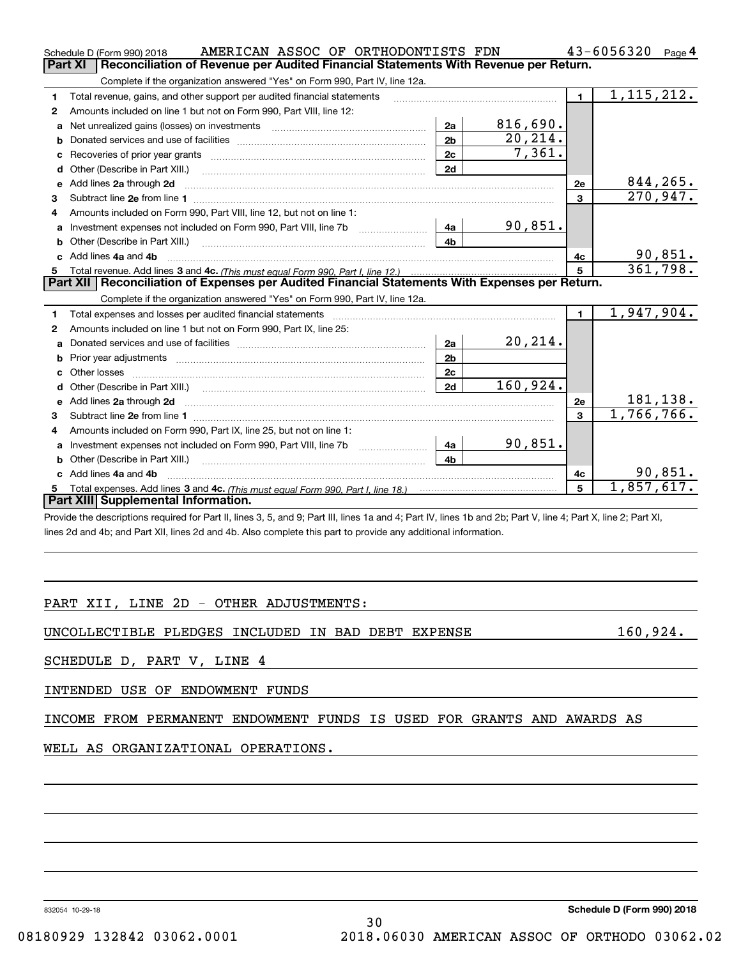|                                                                                                | AMERICAN ASSOC OF ORTHODONTISTS FDN<br>Schedule D (Form 990) 2018                                                                                                                                                                   |                |          |                | 43-6056320<br>Page 4 |  |  |
|------------------------------------------------------------------------------------------------|-------------------------------------------------------------------------------------------------------------------------------------------------------------------------------------------------------------------------------------|----------------|----------|----------------|----------------------|--|--|
| Reconciliation of Revenue per Audited Financial Statements With Revenue per Return.<br>Part XI |                                                                                                                                                                                                                                     |                |          |                |                      |  |  |
|                                                                                                | Complete if the organization answered "Yes" on Form 990, Part IV, line 12a.                                                                                                                                                         |                |          |                |                      |  |  |
| 1                                                                                              | Total revenue, gains, and other support per audited financial statements                                                                                                                                                            |                |          | $\blacksquare$ | 1, 115, 212.         |  |  |
| 2                                                                                              | Amounts included on line 1 but not on Form 990, Part VIII, line 12:                                                                                                                                                                 |                |          |                |                      |  |  |
| a                                                                                              | Net unrealized gains (losses) on investments [11] matter contracts and the unrealized gains (losses) on investments                                                                                                                 | 2a             | 816,690. |                |                      |  |  |
| b                                                                                              |                                                                                                                                                                                                                                     | 2 <sub>b</sub> | 20, 214. |                |                      |  |  |
|                                                                                                |                                                                                                                                                                                                                                     | 2c             | 7,361.   |                |                      |  |  |
| d                                                                                              | Other (Describe in Part XIII.) <b>Construction Contract Construction</b> Chern Construction Chern Chern Chern Chern Chern Chern Chern Chern Chern Chern Chern Chern Chern Chern Chern Chern Chern Chern Chern Chern Chern Chern Che | 2d             |          |                |                      |  |  |
| е                                                                                              | Add lines 2a through 2d                                                                                                                                                                                                             |                |          | 2e             | 844, 265.            |  |  |
| 3                                                                                              | Subtract line 2e from line 1 <b>manufacture in the contract of the 2e</b> from line 1                                                                                                                                               |                |          | 3              | 270,947.             |  |  |
| 4                                                                                              | Amounts included on Form 990, Part VIII, line 12, but not on line 1:                                                                                                                                                                |                |          |                |                      |  |  |
| a                                                                                              |                                                                                                                                                                                                                                     | 4a             | 90,851.  |                |                      |  |  |
|                                                                                                | Other (Describe in Part XIII.) <b>Construction Contract Construction</b> Chemical Construction Chemical Chemical Chemical Chemical Chemical Chemical Chemical Chemical Chemical Chemical Chemical Chemical Chemical Chemical Chemic | 4b             |          |                |                      |  |  |
| c.                                                                                             | Add lines 4a and 4b                                                                                                                                                                                                                 |                |          | 4c             | 90,851.              |  |  |
|                                                                                                |                                                                                                                                                                                                                                     | 5              | 361,798. |                |                      |  |  |
|                                                                                                |                                                                                                                                                                                                                                     |                |          |                |                      |  |  |
|                                                                                                | Part XII   Reconciliation of Expenses per Audited Financial Statements With Expenses per Return.                                                                                                                                    |                |          |                |                      |  |  |
|                                                                                                | Complete if the organization answered "Yes" on Form 990, Part IV, line 12a.                                                                                                                                                         |                |          |                |                      |  |  |
| 1                                                                                              |                                                                                                                                                                                                                                     |                |          | 1 <sup>1</sup> | 1,947,904.           |  |  |
| 2                                                                                              | Amounts included on line 1 but not on Form 990, Part IX, line 25:                                                                                                                                                                   |                |          |                |                      |  |  |
| a                                                                                              |                                                                                                                                                                                                                                     | 2a             | 20, 214. |                |                      |  |  |
| b                                                                                              |                                                                                                                                                                                                                                     | 2 <sub>b</sub> |          |                |                      |  |  |
|                                                                                                | Other losses                                                                                                                                                                                                                        | 2c             |          |                |                      |  |  |
| d                                                                                              |                                                                                                                                                                                                                                     | 2d             | 160,924. |                |                      |  |  |
| e                                                                                              | Add lines 2a through 2d <b>contained a contained a contained a contained a</b> contained a contained a contained a contained a contained a contained a contained a contained a contained a contained a contained a contained a cont |                |          | 2e             | 181,138.             |  |  |
| 3                                                                                              |                                                                                                                                                                                                                                     |                |          | 3              | 1,766,766.           |  |  |
| 4                                                                                              | Amounts included on Form 990, Part IX, line 25, but not on line 1:                                                                                                                                                                  |                |          |                |                      |  |  |
| a                                                                                              |                                                                                                                                                                                                                                     | 4a             | 90,851.  |                |                      |  |  |
|                                                                                                | Other (Describe in Part XIII.)                                                                                                                                                                                                      | 4b             |          |                |                      |  |  |
| c.                                                                                             | Add lines 4a and 4b                                                                                                                                                                                                                 |                |          | 4c             | 90,851.              |  |  |
|                                                                                                | Part XIII Supplemental Information.                                                                                                                                                                                                 |                |          | 5              | 1,857,617.           |  |  |

Provide the descriptions required for Part II, lines 3, 5, and 9; Part III, lines 1a and 4; Part IV, lines 1b and 2b; Part V, line 4; Part X, line 2; Part XI, lines 2d and 4b; and Part XII, lines 2d and 4b. Also complete this part to provide any additional information.

# PART XII, LINE 2D - OTHER ADJUSTMENTS:

UNCOLLECTIBLE PLEDGES INCLUDED IN BAD DEBT EXPENSE 160,924.

SCHEDULE D, PART V, LINE 4

INTENDED USE OF ENDOWMENT FUNDS

INCOME FROM PERMANENT ENDOWMENT FUNDS IS USED FOR GRANTS AND AWARDS AS

WELL AS ORGANIZATIONAL OPERATIONS.

832054 10-29-18

30 08180929 132842 03062.0001 2018.06030 AMERICAN ASSOC OF ORTHODO 03062.02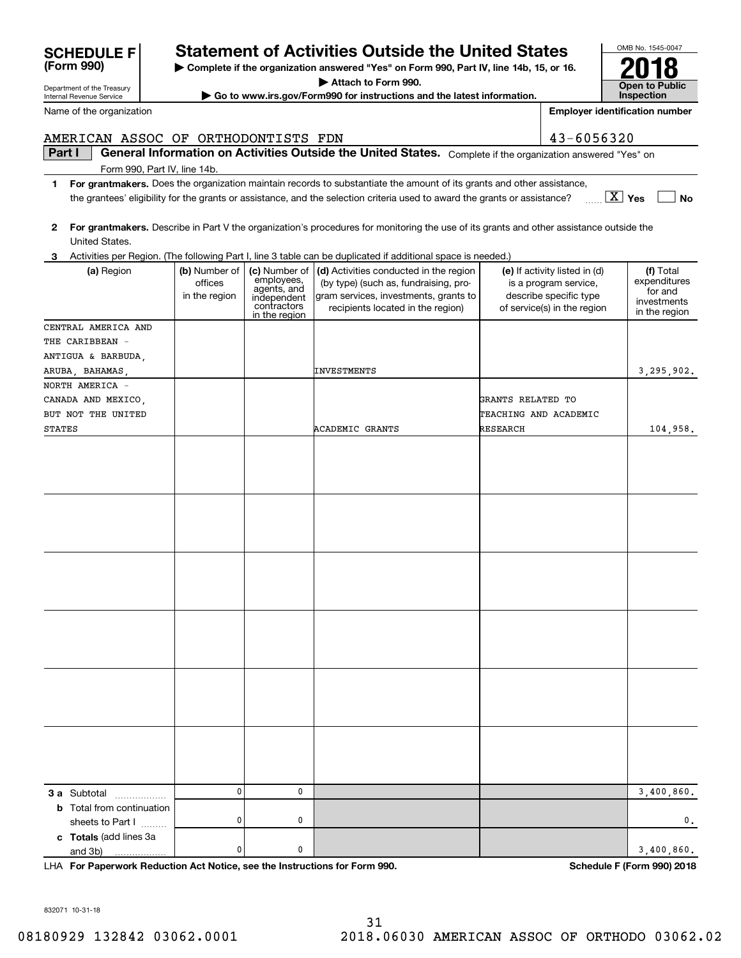| <b>SCHEDULE FI</b>         | <b>Statement of Activities Outside the United States</b>                                |
|----------------------------|-----------------------------------------------------------------------------------------|
| (Form 990)                 | ► Complete if the organization answered "Yes" on Form 990, Part IV, line 14b, 15, or 16 |
| Department of the Treasury | Attach to Form 990.                                                                     |

OMB No. 1545-0047 **Open to Public Inspection2018**

**Employer identification number**

Department of the Treasury Internal Revenue Service

Name of the organization

# **Part I**  $\parallel$  General Information on Activities Outside the United States. Complete if the organization answered "Yes" on AMERICAN ASSOC OF ORTHODONTISTS FDN 43-6056320

Form 990, Part IV, line 14b.

- **1For grantmakers.**  Does the organization maintain records to substantiate the amount of its grants and other assistance, **Yes** X **No** the grantees' eligibility for the grants or assistance, and the selection criteria used to award the grants or assistance?
- **2 For grantmakers.**  Describe in Part V the organization's procedures for monitoring the use of its grants and other assistance outside the United States.

|  |  |  | 3 Activities per Region. (The following Part I, line 3 table can be duplicated if additional space is needed.) |  |  |
|--|--|--|----------------------------------------------------------------------------------------------------------------|--|--|
|--|--|--|----------------------------------------------------------------------------------------------------------------|--|--|

| (a) Region                       | (b) Number of<br>offices<br>in the region | employees,<br>agents, and<br>independent<br>contractors<br>in the region | (c) Number of $\vert$ (d) Activities conducted in the region<br>(by type) (such as, fundraising, pro-<br>gram services, investments, grants to<br>recipients located in the region) | (e) If activity listed in (d)<br>is a program service,<br>describe specific type<br>of service(s) in the region | (f) Total<br>expenditures<br>for and<br>investments<br>in the region |
|----------------------------------|-------------------------------------------|--------------------------------------------------------------------------|-------------------------------------------------------------------------------------------------------------------------------------------------------------------------------------|-----------------------------------------------------------------------------------------------------------------|----------------------------------------------------------------------|
| CENTRAL AMERICA AND              |                                           |                                                                          |                                                                                                                                                                                     |                                                                                                                 |                                                                      |
| THE CARIBBEAN -                  |                                           |                                                                          |                                                                                                                                                                                     |                                                                                                                 |                                                                      |
| ANTIGUA & BARBUDA,               |                                           |                                                                          |                                                                                                                                                                                     |                                                                                                                 |                                                                      |
| ARUBA, BAHAMAS,                  |                                           |                                                                          | INVESTMENTS                                                                                                                                                                         |                                                                                                                 | 3,295,902.                                                           |
| NORTH AMERICA -                  |                                           |                                                                          |                                                                                                                                                                                     |                                                                                                                 |                                                                      |
| CANADA AND MEXICO,               |                                           |                                                                          |                                                                                                                                                                                     | GRANTS RELATED TO                                                                                               |                                                                      |
| BUT NOT THE UNITED               |                                           |                                                                          |                                                                                                                                                                                     | TEACHING AND ACADEMIC                                                                                           |                                                                      |
| <b>STATES</b>                    |                                           |                                                                          | <b>ACADEMIC GRANTS</b>                                                                                                                                                              | <b>RESEARCH</b>                                                                                                 | 104,958.                                                             |
|                                  |                                           |                                                                          |                                                                                                                                                                                     |                                                                                                                 |                                                                      |
|                                  |                                           |                                                                          |                                                                                                                                                                                     |                                                                                                                 |                                                                      |
|                                  |                                           |                                                                          |                                                                                                                                                                                     |                                                                                                                 |                                                                      |
|                                  |                                           |                                                                          |                                                                                                                                                                                     |                                                                                                                 |                                                                      |
|                                  |                                           |                                                                          |                                                                                                                                                                                     |                                                                                                                 |                                                                      |
|                                  |                                           |                                                                          |                                                                                                                                                                                     |                                                                                                                 |                                                                      |
| <b>3 a</b> Subtotal              | $\mathbf 0$                               | $\mathbf 0$                                                              |                                                                                                                                                                                     |                                                                                                                 | 3,400,860.                                                           |
| <b>b</b> Total from continuation |                                           |                                                                          |                                                                                                                                                                                     |                                                                                                                 |                                                                      |
| sheets to Part I                 | $\pmb{0}$                                 | 0                                                                        |                                                                                                                                                                                     |                                                                                                                 | 0.                                                                   |
| c Totals (add lines 3a           |                                           |                                                                          |                                                                                                                                                                                     |                                                                                                                 |                                                                      |
| and 3b)<br>.                     | $\pmb{0}$                                 | 0                                                                        |                                                                                                                                                                                     |                                                                                                                 | 3,400,860.                                                           |

**For Paperwork Reduction Act Notice, see the Instructions for Form 990. Schedule F (Form 990) 2018** LHA

# **| Go to www.irs.gov/Form990 for instructions and the latest information.**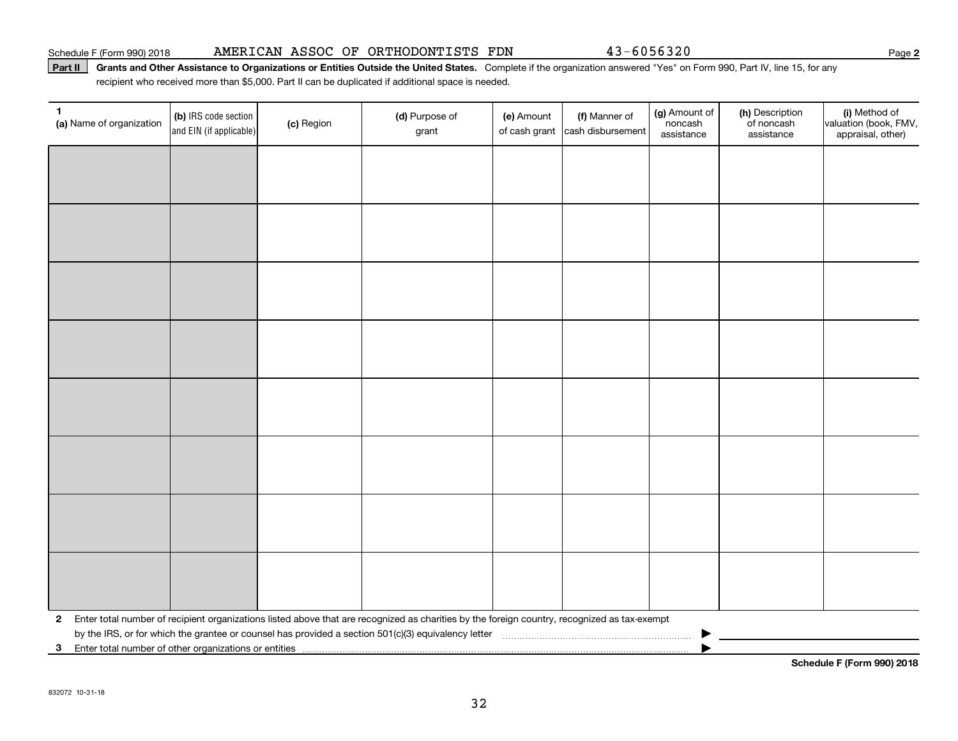## Schedule F (Form 990) 2018 Page AMERICAN ASSOC OF ORTHODONTISTS FDN 43-6056320

## Part II | Grants and Other Assistance to Organizations or Entities Outside the United States. Complete if the organization answered "Yes" on Form 990, Part IV, line 15, for any recipient who received more than \$5,000. Part II can be duplicated if additional space is needed.

| $\mathbf{1}$<br>(a) Name of organization                                | (b) IRS code section<br>and EIN (if applicable) | (c) Region | (d) Purpose of<br>grant                                                                                                                        | (e) Amount<br>of cash grant | (f) Manner of<br>cash disbursement | (g) Amount of<br>noncash<br>assistance | (h) Description<br>of noncash<br>assistance | (i) Method of<br>valuation (book, FMV,<br>appraisal, other) |
|-------------------------------------------------------------------------|-------------------------------------------------|------------|------------------------------------------------------------------------------------------------------------------------------------------------|-----------------------------|------------------------------------|----------------------------------------|---------------------------------------------|-------------------------------------------------------------|
|                                                                         |                                                 |            |                                                                                                                                                |                             |                                    |                                        |                                             |                                                             |
|                                                                         |                                                 |            |                                                                                                                                                |                             |                                    |                                        |                                             |                                                             |
|                                                                         |                                                 |            |                                                                                                                                                |                             |                                    |                                        |                                             |                                                             |
|                                                                         |                                                 |            |                                                                                                                                                |                             |                                    |                                        |                                             |                                                             |
|                                                                         |                                                 |            |                                                                                                                                                |                             |                                    |                                        |                                             |                                                             |
|                                                                         |                                                 |            |                                                                                                                                                |                             |                                    |                                        |                                             |                                                             |
|                                                                         |                                                 |            |                                                                                                                                                |                             |                                    |                                        |                                             |                                                             |
|                                                                         |                                                 |            |                                                                                                                                                |                             |                                    |                                        |                                             |                                                             |
|                                                                         |                                                 |            |                                                                                                                                                |                             |                                    |                                        |                                             |                                                             |
|                                                                         |                                                 |            |                                                                                                                                                |                             |                                    |                                        |                                             |                                                             |
|                                                                         |                                                 |            |                                                                                                                                                |                             |                                    |                                        |                                             |                                                             |
|                                                                         |                                                 |            |                                                                                                                                                |                             |                                    |                                        |                                             |                                                             |
|                                                                         |                                                 |            |                                                                                                                                                |                             |                                    |                                        |                                             |                                                             |
|                                                                         |                                                 |            |                                                                                                                                                |                             |                                    |                                        |                                             |                                                             |
|                                                                         |                                                 |            |                                                                                                                                                |                             |                                    |                                        |                                             |                                                             |
|                                                                         |                                                 |            |                                                                                                                                                |                             |                                    |                                        |                                             |                                                             |
|                                                                         |                                                 |            | 2 Enter total number of recipient organizations listed above that are recognized as charities by the foreign country, recognized as tax-exempt |                             |                                    |                                        |                                             |                                                             |
| Enter total number of other organizations or entities<br>3 <sup>1</sup> |                                                 |            |                                                                                                                                                |                             |                                    |                                        |                                             |                                                             |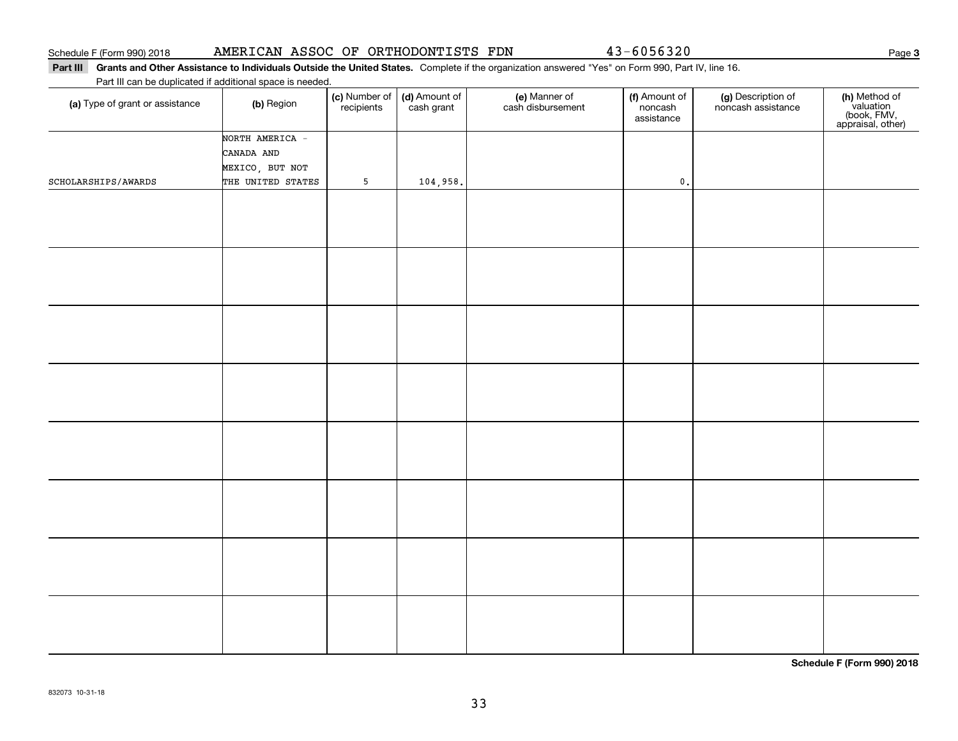## Part III Grants and Other Assistance to Individuals Outside the United States. Complete if the organization answered "Yes" on Form 990, Part IV, line 16.

Part III can be duplicated if additional space is needed.

| (a) Type of grant or assistance | (b) Region        | (c) Number of<br>recipients | (d) Amount of<br>cash grant | (e) Manner of<br>cash disbursement | (f) Amount of<br>noncash<br>assistance | (g) Description of<br>noncash assistance | (h) Method of<br>valuation<br>(book, FMV,<br>appraisal, other) |
|---------------------------------|-------------------|-----------------------------|-----------------------------|------------------------------------|----------------------------------------|------------------------------------------|----------------------------------------------------------------|
|                                 | NORTH AMERICA -   |                             |                             |                                    |                                        |                                          |                                                                |
|                                 | CANADA AND        |                             |                             |                                    |                                        |                                          |                                                                |
|                                 | MEXICO, BUT NOT   |                             |                             |                                    |                                        |                                          |                                                                |
| SCHOLARSHIPS/AWARDS             | THE UNITED STATES | $5\phantom{.0}$             | 104,958.                    |                                    | $\mathfrak o$ .                        |                                          |                                                                |
|                                 |                   |                             |                             |                                    |                                        |                                          |                                                                |
|                                 |                   |                             |                             |                                    |                                        |                                          |                                                                |
|                                 |                   |                             |                             |                                    |                                        |                                          |                                                                |
|                                 |                   |                             |                             |                                    |                                        |                                          |                                                                |
|                                 |                   |                             |                             |                                    |                                        |                                          |                                                                |
|                                 |                   |                             |                             |                                    |                                        |                                          |                                                                |
|                                 |                   |                             |                             |                                    |                                        |                                          |                                                                |
|                                 |                   |                             |                             |                                    |                                        |                                          |                                                                |
|                                 |                   |                             |                             |                                    |                                        |                                          |                                                                |
|                                 |                   |                             |                             |                                    |                                        |                                          |                                                                |
|                                 |                   |                             |                             |                                    |                                        |                                          |                                                                |
|                                 |                   |                             |                             |                                    |                                        |                                          |                                                                |
|                                 |                   |                             |                             |                                    |                                        |                                          |                                                                |
|                                 |                   |                             |                             |                                    |                                        |                                          |                                                                |
|                                 |                   |                             |                             |                                    |                                        |                                          |                                                                |
|                                 |                   |                             |                             |                                    |                                        |                                          |                                                                |
|                                 |                   |                             |                             |                                    |                                        |                                          |                                                                |
|                                 |                   |                             |                             |                                    |                                        |                                          |                                                                |
|                                 |                   |                             |                             |                                    |                                        |                                          |                                                                |
|                                 |                   |                             |                             |                                    |                                        |                                          |                                                                |
|                                 |                   |                             |                             |                                    |                                        |                                          |                                                                |
|                                 |                   |                             |                             |                                    |                                        |                                          |                                                                |
|                                 |                   |                             |                             |                                    |                                        |                                          |                                                                |
|                                 |                   |                             |                             |                                    |                                        |                                          |                                                                |
|                                 |                   |                             |                             |                                    |                                        |                                          |                                                                |
|                                 |                   |                             |                             |                                    |                                        |                                          |                                                                |
|                                 |                   |                             |                             |                                    |                                        |                                          |                                                                |
|                                 |                   |                             |                             |                                    |                                        |                                          |                                                                |
|                                 |                   |                             |                             |                                    |                                        |                                          |                                                                |

**Schedule F (Form 990) 2018**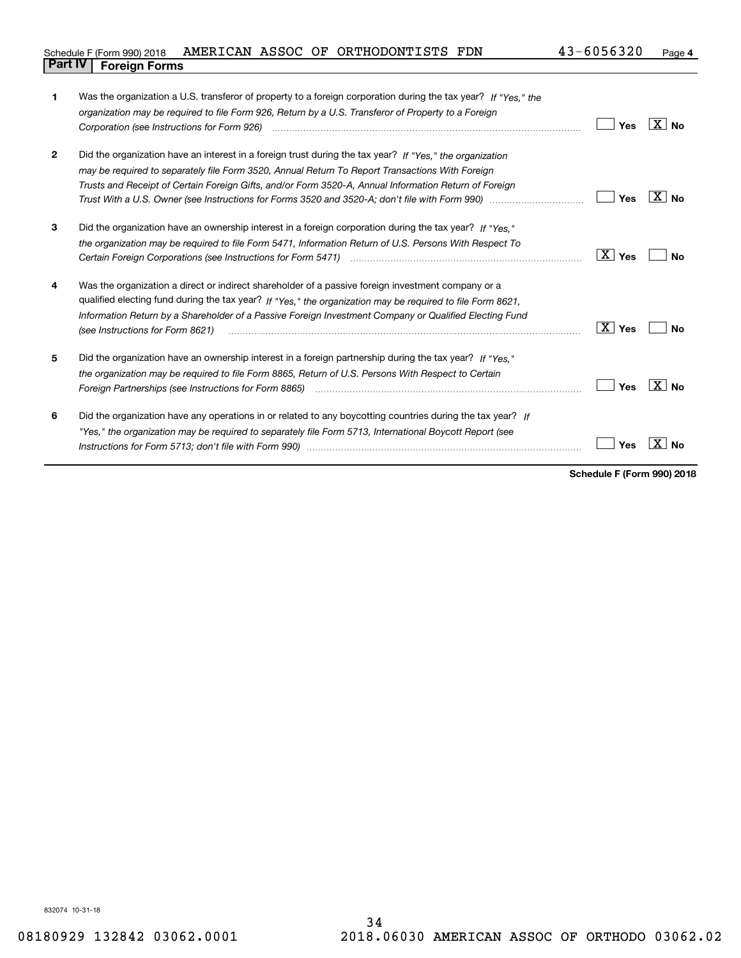| Schedule F (Form 990) 2018 AMERICAN ASSOC OF ORTHODONTISTS FDN |  |  | 43-6056320 | Page 4 |
|----------------------------------------------------------------|--|--|------------|--------|
| <b>Part IV   Foreign Forms</b>                                 |  |  |            |        |

| 1            | Was the organization a U.S. transferor of property to a foreign corporation during the tax year? If "Yes," the                                                                                                                |                        |             |
|--------------|-------------------------------------------------------------------------------------------------------------------------------------------------------------------------------------------------------------------------------|------------------------|-------------|
|              | organization may be required to file Form 926, Return by a U.S. Transferor of Property to a Foreign                                                                                                                           |                        |             |
|              |                                                                                                                                                                                                                               | Yes                    | $X \mid No$ |
|              |                                                                                                                                                                                                                               |                        |             |
| $\mathbf{2}$ | Did the organization have an interest in a foreign trust during the tax year? If "Yes," the organization                                                                                                                      |                        |             |
|              | may be required to separately file Form 3520, Annual Return To Report Transactions With Foreign                                                                                                                               |                        |             |
|              | Trusts and Receipt of Certain Foreign Gifts, and/or Form 3520-A, Annual Information Return of Foreign                                                                                                                         |                        |             |
|              |                                                                                                                                                                                                                               | Yes                    | $X $ No     |
|              |                                                                                                                                                                                                                               |                        |             |
| 3            | Did the organization have an ownership interest in a foreign corporation during the tax year? If "Yes."                                                                                                                       |                        |             |
|              | the organization may be required to file Form 5471, Information Return of U.S. Persons With Respect To                                                                                                                        |                        |             |
|              |                                                                                                                                                                                                                               | $\boxed{\text{X}}$ Yes | Nο          |
|              |                                                                                                                                                                                                                               |                        |             |
| 4            | Was the organization a direct or indirect shareholder of a passive foreign investment company or a                                                                                                                            |                        |             |
|              | qualified electing fund during the tax year? If "Yes," the organization may be required to file Form 8621,                                                                                                                    |                        |             |
|              | Information Return by a Shareholder of a Passive Foreign Investment Company or Qualified Electing Fund                                                                                                                        |                        |             |
|              | (see Instructions for Form 8621)                                                                                                                                                                                              | $\boxed{\text{X}}$ Yes | Nο          |
|              |                                                                                                                                                                                                                               |                        |             |
| 5            | Did the organization have an ownership interest in a foreign partnership during the tax year? If "Yes."                                                                                                                       |                        |             |
|              | the organization may be reguired to file Form 8865, Return of U.S. Persons With Respect to Certain                                                                                                                            |                        |             |
|              | Foreign Partnerships (see Instructions for Form 8865) manufactured contain the control of the control of the control of the control of the control of the control of the control of the control of the control of the control | Yes                    | X  <br>No.  |
|              |                                                                                                                                                                                                                               |                        |             |
| 6            | Did the organization have any operations in or related to any boycotting countries during the tax year? If                                                                                                                    |                        |             |
|              | "Yes," the organization may be required to separately file Form 5713, International Boycott Report (see                                                                                                                       |                        |             |
|              |                                                                                                                                                                                                                               | Yes                    | Nο          |
|              |                                                                                                                                                                                                                               |                        |             |

**Schedule F (Form 990) 2018**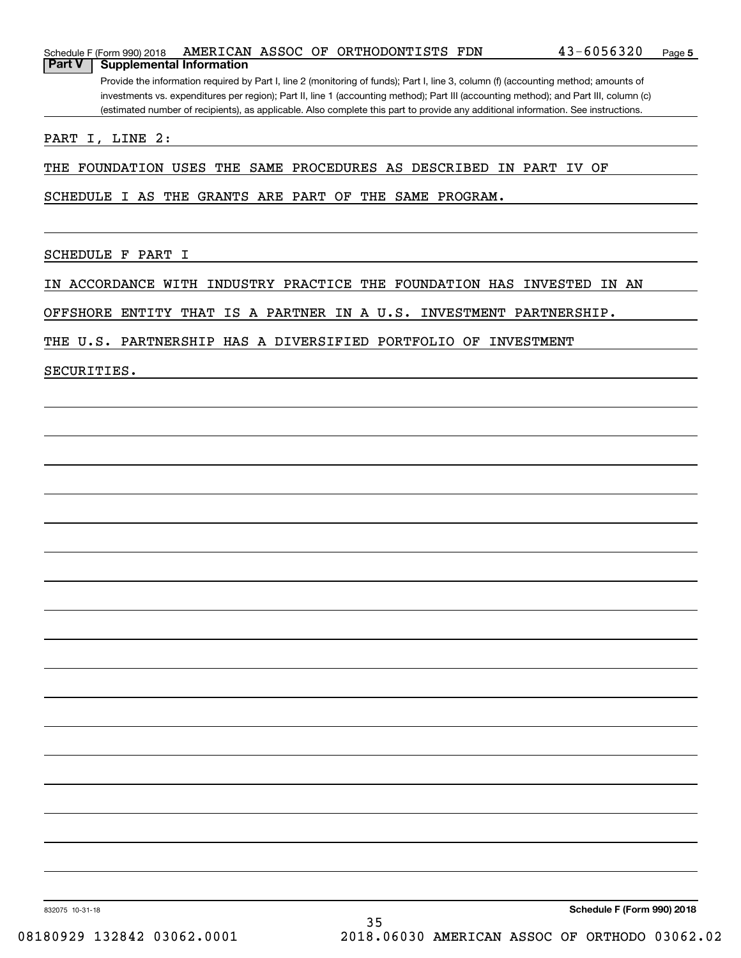|               | Schedule F (Form 990) 2018                                                                                                            |  |  |  | AMERICAN ASSOC OF ORTHODONTISTS FDN |  | $43 - 6056320$                                                                                                                    | Page 5 |  |
|---------------|---------------------------------------------------------------------------------------------------------------------------------------|--|--|--|-------------------------------------|--|-----------------------------------------------------------------------------------------------------------------------------------|--------|--|
| <b>Part V</b> | <b>Supplemental Information</b>                                                                                                       |  |  |  |                                     |  |                                                                                                                                   |        |  |
|               | Provide the information required by Part I, line 2 (monitoring of funds); Part I, line 3, column (f) (accounting method; amounts of   |  |  |  |                                     |  |                                                                                                                                   |        |  |
|               | investments vs. expenditures per region); Part II, line 1 (accounting method); Part III (accounting method); and Part III, column (c) |  |  |  |                                     |  |                                                                                                                                   |        |  |
|               |                                                                                                                                       |  |  |  |                                     |  | (estimated number of recipients), as applicable. Also complete this part to provide any additional information. See instructions. |        |  |

PART I, LINE 2:

THE FOUNDATION USES THE SAME PROCEDURES AS DESCRIBED IN PART IV OF

SCHEDULE I AS THE GRANTS ARE PART OF THE SAME PROGRAM.

SCHEDULE F PART I

IN ACCORDANCE WITH INDUSTRY PRACTICE THE FOUNDATION HAS INVESTED IN AN

OFFSHORE ENTITY THAT IS A PARTNER IN A U.S. INVESTMENT PARTNERSHIP.

THE U.S. PARTNERSHIP HAS A DIVERSIFIED PORTFOLIO OF INVESTMENT

SECURITIES.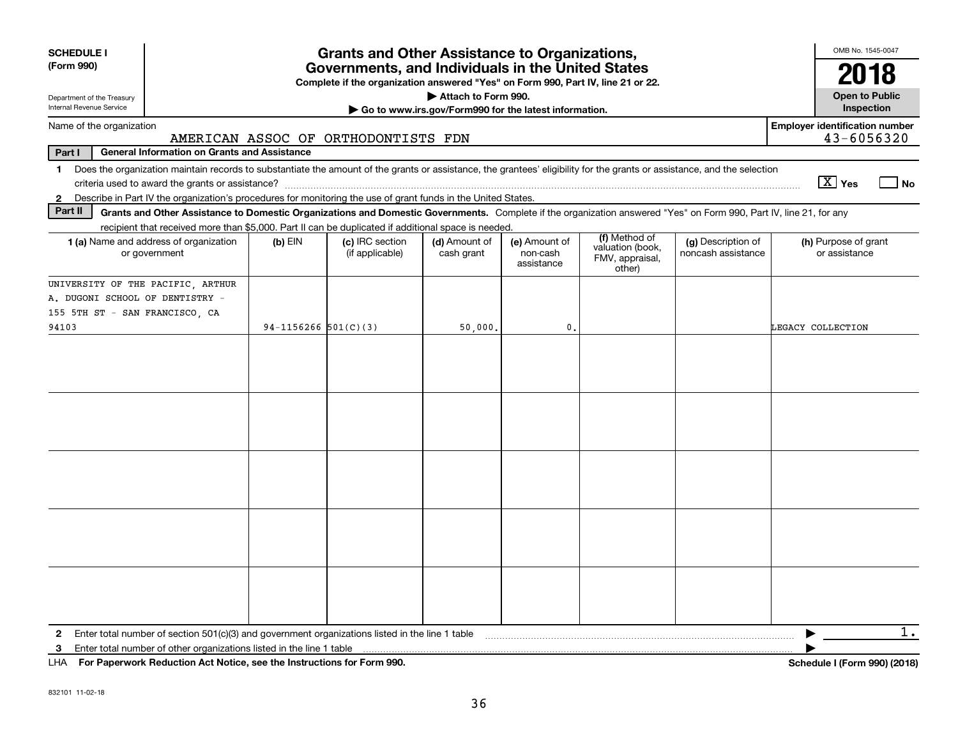| <b>SCHEDULE I</b><br>(Form 990)                                                                                                                                                                                                                                                                                 | <b>Grants and Other Assistance to Organizations,</b><br>Governments, and Individuals in the United States<br>Complete if the organization answered "Yes" on Form 990, Part IV, line 21 or 22. |                                     |                             |                                         |                                                                |                                          |                                                     |  |  |  |
|-----------------------------------------------------------------------------------------------------------------------------------------------------------------------------------------------------------------------------------------------------------------------------------------------------------------|-----------------------------------------------------------------------------------------------------------------------------------------------------------------------------------------------|-------------------------------------|-----------------------------|-----------------------------------------|----------------------------------------------------------------|------------------------------------------|-----------------------------------------------------|--|--|--|
| Attach to Form 990.<br>Department of the Treasury<br>Internal Revenue Service<br>Go to www.irs.gov/Form990 for the latest information.                                                                                                                                                                          |                                                                                                                                                                                               |                                     |                             |                                         |                                                                |                                          |                                                     |  |  |  |
| Name of the organization                                                                                                                                                                                                                                                                                        |                                                                                                                                                                                               | AMERICAN ASSOC OF ORTHODONTISTS FDN |                             |                                         |                                                                |                                          | <b>Employer identification number</b><br>43-6056320 |  |  |  |
| Part I<br><b>General Information on Grants and Assistance</b>                                                                                                                                                                                                                                                   |                                                                                                                                                                                               |                                     |                             |                                         |                                                                |                                          |                                                     |  |  |  |
| Does the organization maintain records to substantiate the amount of the grants or assistance, the grantees' eligibility for the grants or assistance, and the selection<br>1.<br>Describe in Part IV the organization's procedures for monitoring the use of grant funds in the United States.<br>$\mathbf{2}$ |                                                                                                                                                                                               |                                     |                             |                                         |                                                                |                                          | $X$ Yes<br>  No                                     |  |  |  |
| Part II<br>Grants and Other Assistance to Domestic Organizations and Domestic Governments. Complete if the organization answered "Yes" on Form 990, Part IV, line 21, for any                                                                                                                                   |                                                                                                                                                                                               |                                     |                             |                                         |                                                                |                                          |                                                     |  |  |  |
| recipient that received more than \$5,000. Part II can be duplicated if additional space is needed.                                                                                                                                                                                                             |                                                                                                                                                                                               |                                     |                             |                                         |                                                                |                                          |                                                     |  |  |  |
| <b>1 (a)</b> Name and address of organization<br>or government                                                                                                                                                                                                                                                  | $(b)$ EIN                                                                                                                                                                                     | (c) IRC section<br>(if applicable)  | (d) Amount of<br>cash grant | (e) Amount of<br>non-cash<br>assistance | (f) Method of<br>valuation (book,<br>FMV, appraisal,<br>other) | (g) Description of<br>noncash assistance | (h) Purpose of grant<br>or assistance               |  |  |  |
| UNIVERSITY OF THE PACIFIC, ARTHUR                                                                                                                                                                                                                                                                               |                                                                                                                                                                                               |                                     |                             |                                         |                                                                |                                          |                                                     |  |  |  |
| A. DUGONI SCHOOL OF DENTISTRY -                                                                                                                                                                                                                                                                                 |                                                                                                                                                                                               |                                     |                             |                                         |                                                                |                                          |                                                     |  |  |  |
| 155 5TH ST - SAN FRANCISCO, CA                                                                                                                                                                                                                                                                                  |                                                                                                                                                                                               |                                     |                             |                                         |                                                                |                                          |                                                     |  |  |  |
| 94103                                                                                                                                                                                                                                                                                                           | 94-1156266 $501(C)(3)$                                                                                                                                                                        |                                     | 50,000.                     | $\mathfrak{o}$ .                        |                                                                |                                          | LEGACY COLLECTION                                   |  |  |  |
|                                                                                                                                                                                                                                                                                                                 |                                                                                                                                                                                               |                                     |                             |                                         |                                                                |                                          |                                                     |  |  |  |
|                                                                                                                                                                                                                                                                                                                 |                                                                                                                                                                                               |                                     |                             |                                         |                                                                |                                          |                                                     |  |  |  |
|                                                                                                                                                                                                                                                                                                                 |                                                                                                                                                                                               |                                     |                             |                                         |                                                                |                                          |                                                     |  |  |  |
|                                                                                                                                                                                                                                                                                                                 |                                                                                                                                                                                               |                                     |                             |                                         |                                                                |                                          |                                                     |  |  |  |
|                                                                                                                                                                                                                                                                                                                 |                                                                                                                                                                                               |                                     |                             |                                         |                                                                |                                          |                                                     |  |  |  |
| 3<br>$111A - 2.5$ . The correction of the state of a state state of the state of the state of $200$                                                                                                                                                                                                             |                                                                                                                                                                                               |                                     |                             |                                         |                                                                |                                          | $1$ .<br>▶<br>$1.1.1$ $10.7.000$ $(0.010)$          |  |  |  |

**For Paperwork Reduction Act Notice, see the Instructions for Form 990. Schedule I (Form 990) (2018)** LHA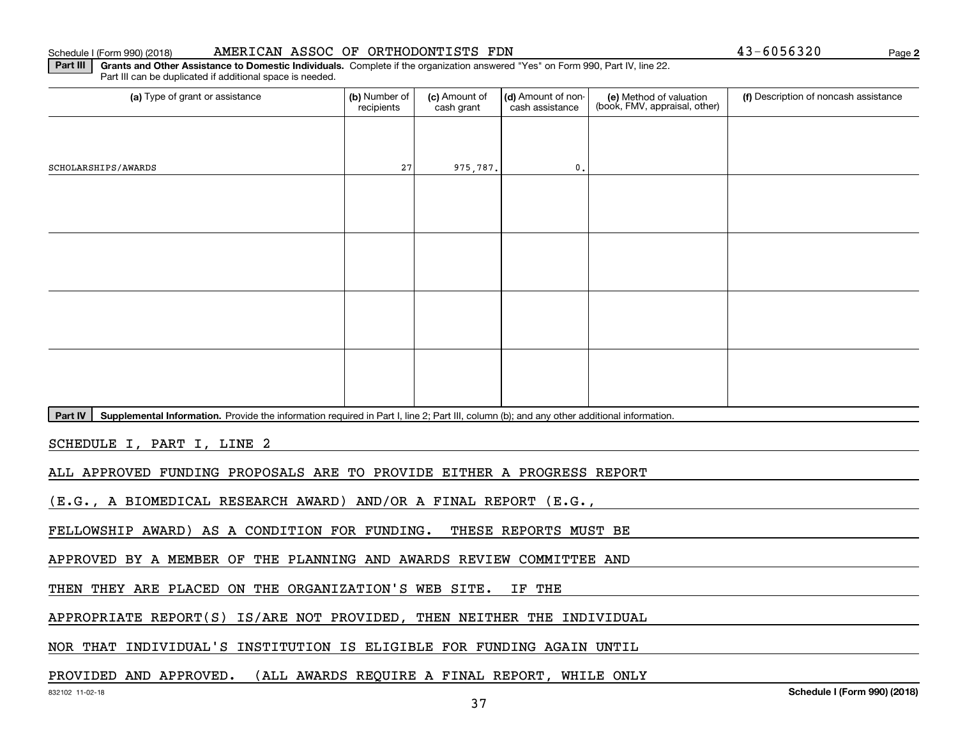## Schedule I (Form 990) (2018) **AMERICAN ASSOC OF ORTHODONTISTS FDN** 4 3-6 0 5 6 3 2 0 Page

**2**

**Part III | Grants and Other Assistance to Domestic Individuals. Complete if the organization answered "Yes" on Form 990, Part IV, line 22.** Part III can be duplicated if additional space is needed.

| (a) Type of grant or assistance | (b) Number of<br>recipients                                                                                                               | (c) Amount of<br>cash grant | (d) Amount of non-<br>cash assistance | (e) Method of valuation<br>(book, FMV, appraisal, other) | (f) Description of noncash assistance |  |  |  |  |  |  |
|---------------------------------|-------------------------------------------------------------------------------------------------------------------------------------------|-----------------------------|---------------------------------------|----------------------------------------------------------|---------------------------------------|--|--|--|--|--|--|
|                                 |                                                                                                                                           |                             |                                       |                                                          |                                       |  |  |  |  |  |  |
| SCHOLARSHIPS/AWARDS             | 27                                                                                                                                        | 975,787.                    | $\mathfrak o$ .                       |                                                          |                                       |  |  |  |  |  |  |
|                                 |                                                                                                                                           |                             |                                       |                                                          |                                       |  |  |  |  |  |  |
|                                 |                                                                                                                                           |                             |                                       |                                                          |                                       |  |  |  |  |  |  |
|                                 |                                                                                                                                           |                             |                                       |                                                          |                                       |  |  |  |  |  |  |
|                                 |                                                                                                                                           |                             |                                       |                                                          |                                       |  |  |  |  |  |  |
|                                 |                                                                                                                                           |                             |                                       |                                                          |                                       |  |  |  |  |  |  |
|                                 |                                                                                                                                           |                             |                                       |                                                          |                                       |  |  |  |  |  |  |
|                                 |                                                                                                                                           |                             |                                       |                                                          |                                       |  |  |  |  |  |  |
|                                 |                                                                                                                                           |                             |                                       |                                                          |                                       |  |  |  |  |  |  |
| Part IV                         | Supplemental Information. Provide the information required in Part I, line 2; Part III, column (b); and any other additional information. |                             |                                       |                                                          |                                       |  |  |  |  |  |  |

SCHEDULE I, PART I, LINE 2

ALL APPROVED FUNDING PROPOSALS ARE TO PROVIDE EITHER A PROGRESS REPORT

(E.G., A BIOMEDICAL RESEARCH AWARD) AND/OR A FINAL REPORT (E.G.,

FELLOWSHIP AWARD) AS A CONDITION FOR FUNDING. THESE REPORTS MUST BE

APPROVED BY A MEMBER OF THE PLANNING AND AWARDS REVIEW COMMITTEE AND

THEN THEY ARE PLACED ON THE ORGANIZATION'S WEB SITE. IF THE

APPROPRIATE REPORT(S) IS/ARE NOT PROVIDED, THEN NEITHER THE INDIVIDUAL

NOR THAT INDIVIDUAL'S INSTITUTION IS ELIGIBLE FOR FUNDING AGAIN UNTIL

PROVIDED AND APPROVED. (ALL AWARDS REQUIRE A FINAL REPORT, WHILE ONLY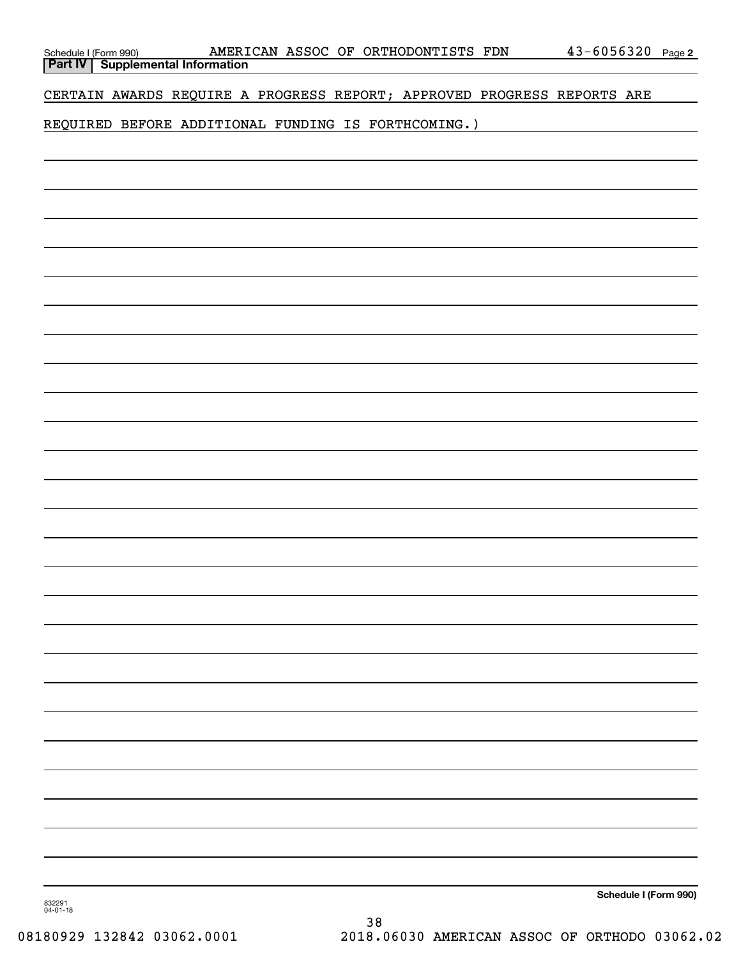|                    |  |  |                                                     | CERTAIN AWARDS REQUIRE A PROGRESS REPORT; APPROVED PROGRESS REPORTS ARE |                       |
|--------------------|--|--|-----------------------------------------------------|-------------------------------------------------------------------------|-----------------------|
|                    |  |  | REQUIRED BEFORE ADDITIONAL FUNDING IS FORTHCOMING.) |                                                                         |                       |
|                    |  |  |                                                     |                                                                         |                       |
|                    |  |  |                                                     |                                                                         |                       |
|                    |  |  |                                                     |                                                                         |                       |
|                    |  |  |                                                     |                                                                         |                       |
|                    |  |  |                                                     |                                                                         |                       |
|                    |  |  |                                                     |                                                                         |                       |
|                    |  |  |                                                     |                                                                         |                       |
|                    |  |  |                                                     |                                                                         |                       |
|                    |  |  |                                                     |                                                                         |                       |
|                    |  |  |                                                     |                                                                         |                       |
|                    |  |  |                                                     |                                                                         |                       |
|                    |  |  |                                                     |                                                                         |                       |
|                    |  |  |                                                     |                                                                         |                       |
|                    |  |  |                                                     |                                                                         |                       |
|                    |  |  |                                                     |                                                                         |                       |
|                    |  |  |                                                     |                                                                         |                       |
|                    |  |  |                                                     |                                                                         |                       |
|                    |  |  |                                                     |                                                                         |                       |
|                    |  |  |                                                     |                                                                         |                       |
|                    |  |  |                                                     |                                                                         |                       |
|                    |  |  |                                                     |                                                                         |                       |
|                    |  |  |                                                     |                                                                         |                       |
|                    |  |  |                                                     |                                                                         |                       |
|                    |  |  |                                                     |                                                                         |                       |
|                    |  |  |                                                     |                                                                         |                       |
|                    |  |  |                                                     |                                                                         |                       |
|                    |  |  |                                                     |                                                                         |                       |
|                    |  |  |                                                     |                                                                         |                       |
|                    |  |  |                                                     |                                                                         |                       |
|                    |  |  |                                                     |                                                                         |                       |
|                    |  |  |                                                     |                                                                         |                       |
|                    |  |  |                                                     |                                                                         |                       |
|                    |  |  |                                                     |                                                                         |                       |
|                    |  |  |                                                     |                                                                         |                       |
| 832291<br>04-01-18 |  |  |                                                     |                                                                         | Schedule I (Form 990) |

Schedule I (Form 990) AMERICAN ASSOC OF ORTHODONTISTS FDN 43-6056320 Page

**Part IV Supplemental Information**

**2**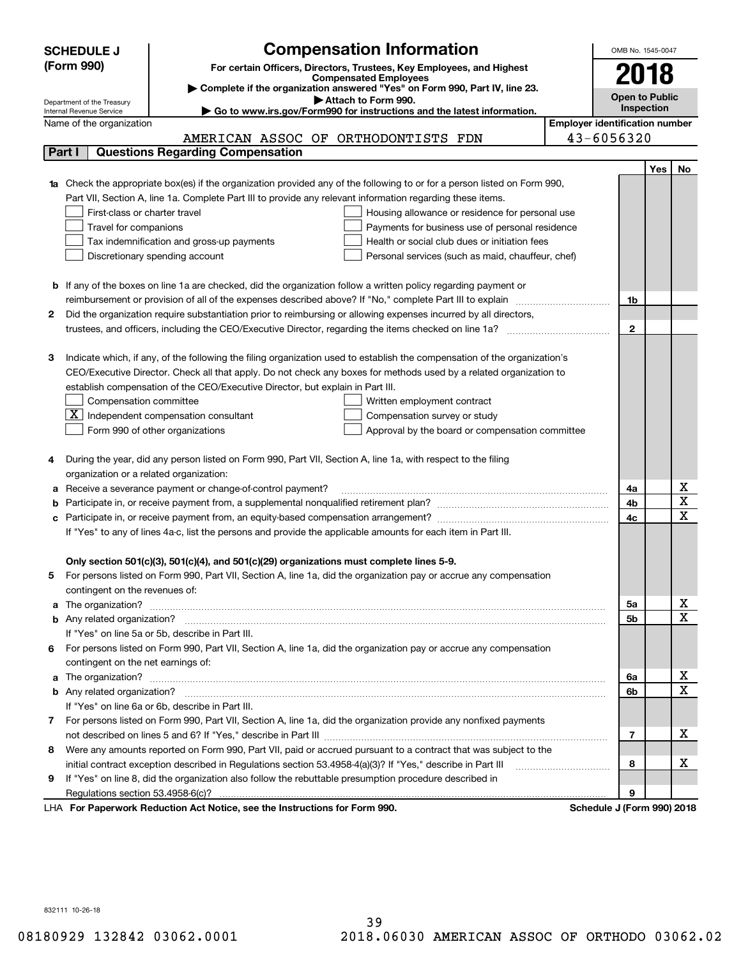|    | <b>Compensation Information</b><br><b>SCHEDULE J</b>                                                                                                                                                                                 |                                       | OMB No. 1545-0047     |            |                         |
|----|--------------------------------------------------------------------------------------------------------------------------------------------------------------------------------------------------------------------------------------|---------------------------------------|-----------------------|------------|-------------------------|
|    | (Form 990)<br>For certain Officers, Directors, Trustees, Key Employees, and Highest                                                                                                                                                  |                                       |                       |            |                         |
|    | <b>Compensated Employees</b>                                                                                                                                                                                                         |                                       | 2018                  |            |                         |
|    | Complete if the organization answered "Yes" on Form 990, Part IV, line 23.                                                                                                                                                           |                                       | <b>Open to Public</b> |            |                         |
|    | Attach to Form 990.<br>Department of the Treasury<br>Go to www.irs.gov/Form990 for instructions and the latest information.<br>Internal Revenue Service                                                                              |                                       | Inspection            |            |                         |
|    | Name of the organization                                                                                                                                                                                                             | <b>Employer identification number</b> |                       |            |                         |
|    | AMERICAN ASSOC OF ORTHODONTISTS FDN                                                                                                                                                                                                  | 43-6056320                            |                       |            |                         |
|    | <b>Questions Regarding Compensation</b><br>Part I                                                                                                                                                                                    |                                       |                       |            |                         |
|    |                                                                                                                                                                                                                                      |                                       |                       | <b>Yes</b> | No                      |
|    | 1a Check the appropriate box(es) if the organization provided any of the following to or for a person listed on Form 990,                                                                                                            |                                       |                       |            |                         |
|    | Part VII, Section A, line 1a. Complete Part III to provide any relevant information regarding these items.                                                                                                                           |                                       |                       |            |                         |
|    | First-class or charter travel<br>Housing allowance or residence for personal use                                                                                                                                                     |                                       |                       |            |                         |
|    | Travel for companions<br>Payments for business use of personal residence                                                                                                                                                             |                                       |                       |            |                         |
|    | Health or social club dues or initiation fees<br>Tax indemnification and gross-up payments                                                                                                                                           |                                       |                       |            |                         |
|    | Discretionary spending account<br>Personal services (such as maid, chauffeur, chef)                                                                                                                                                  |                                       |                       |            |                         |
|    |                                                                                                                                                                                                                                      |                                       |                       |            |                         |
|    | <b>b</b> If any of the boxes on line 1a are checked, did the organization follow a written policy regarding payment or                                                                                                               |                                       |                       |            |                         |
|    | reimbursement or provision of all of the expenses described above? If "No," complete Part III to explain                                                                                                                             |                                       | 1b                    |            |                         |
| 2  | Did the organization require substantiation prior to reimbursing or allowing expenses incurred by all directors,                                                                                                                     |                                       |                       |            |                         |
|    | trustees, and officers, including the CEO/Executive Director, regarding the items checked on line 1a?                                                                                                                                |                                       | $\mathbf{2}$          |            |                         |
|    |                                                                                                                                                                                                                                      |                                       |                       |            |                         |
| З  | Indicate which, if any, of the following the filing organization used to establish the compensation of the organization's                                                                                                            |                                       |                       |            |                         |
|    | CEO/Executive Director. Check all that apply. Do not check any boxes for methods used by a related organization to                                                                                                                   |                                       |                       |            |                         |
|    | establish compensation of the CEO/Executive Director, but explain in Part III.                                                                                                                                                       |                                       |                       |            |                         |
|    | Compensation committee<br>Written employment contract                                                                                                                                                                                |                                       |                       |            |                         |
|    | $\boxed{\textbf{X}}$ Independent compensation consultant<br>Compensation survey or study                                                                                                                                             |                                       |                       |            |                         |
|    | Form 990 of other organizations<br>Approval by the board or compensation committee                                                                                                                                                   |                                       |                       |            |                         |
|    |                                                                                                                                                                                                                                      |                                       |                       |            |                         |
|    | During the year, did any person listed on Form 990, Part VII, Section A, line 1a, with respect to the filing                                                                                                                         |                                       |                       |            |                         |
|    | organization or a related organization:                                                                                                                                                                                              |                                       |                       |            |                         |
| а  | Receive a severance payment or change-of-control payment?                                                                                                                                                                            |                                       | 4a                    |            | х                       |
| b  |                                                                                                                                                                                                                                      |                                       | 4b                    |            | $\overline{\textbf{X}}$ |
| с  |                                                                                                                                                                                                                                      |                                       | 4c                    |            | $\overline{\mathbf{x}}$ |
|    | If "Yes" to any of lines 4a-c, list the persons and provide the applicable amounts for each item in Part III.                                                                                                                        |                                       |                       |            |                         |
|    |                                                                                                                                                                                                                                      |                                       |                       |            |                         |
|    | Only section 501(c)(3), 501(c)(4), and 501(c)(29) organizations must complete lines 5-9.                                                                                                                                             |                                       |                       |            |                         |
|    | For persons listed on Form 990, Part VII, Section A, line 1a, did the organization pay or accrue any compensation                                                                                                                    |                                       |                       |            |                         |
|    | contingent on the revenues of:                                                                                                                                                                                                       |                                       |                       |            | х                       |
| a  |                                                                                                                                                                                                                                      |                                       | 5а                    |            | $\overline{\mathbf{x}}$ |
|    | If "Yes" on line 5a or 5b, describe in Part III.                                                                                                                                                                                     |                                       | 5b                    |            |                         |
|    |                                                                                                                                                                                                                                      |                                       |                       |            |                         |
| 6. | For persons listed on Form 990, Part VII, Section A, line 1a, did the organization pay or accrue any compensation                                                                                                                    |                                       |                       |            |                         |
|    | contingent on the net earnings of:                                                                                                                                                                                                   |                                       | 6a                    |            | х                       |
|    | a The organization? <b>Entitled Strategies and Strategies and Strategies and Strategies and Strategies and Strategies and Strategies and Strategies and Strategies and Strategies and Strategies and Strategies and Strategies a</b> |                                       | 6b                    |            | $\overline{\mathbf{x}}$ |
|    | If "Yes" on line 6a or 6b, describe in Part III.                                                                                                                                                                                     |                                       |                       |            |                         |
|    | 7 For persons listed on Form 990, Part VII, Section A, line 1a, did the organization provide any nonfixed payments                                                                                                                   |                                       |                       |            |                         |
|    |                                                                                                                                                                                                                                      |                                       | $\overline{7}$        |            | х                       |
| 8  | Were any amounts reported on Form 990, Part VII, paid or accrued pursuant to a contract that was subject to the                                                                                                                      |                                       |                       |            |                         |
|    | initial contract exception described in Regulations section 53.4958-4(a)(3)? If "Yes," describe in Part III                                                                                                                          |                                       | 8                     |            | х                       |
| 9  | If "Yes" on line 8, did the organization also follow the rebuttable presumption procedure described in                                                                                                                               |                                       |                       |            |                         |
|    |                                                                                                                                                                                                                                      |                                       | 9                     |            |                         |
|    | <b>Department: Reduction Act Notice, and the Instructions for Form 000</b>                                                                                                                                                           | <b>Cohodule I (Form 000) 2010</b>     |                       |            |                         |

LHA For Paperwork Reduction Act Notice, see the Instructions for Form 990. Schedule J (Form 990) 2018

832111 10-26-18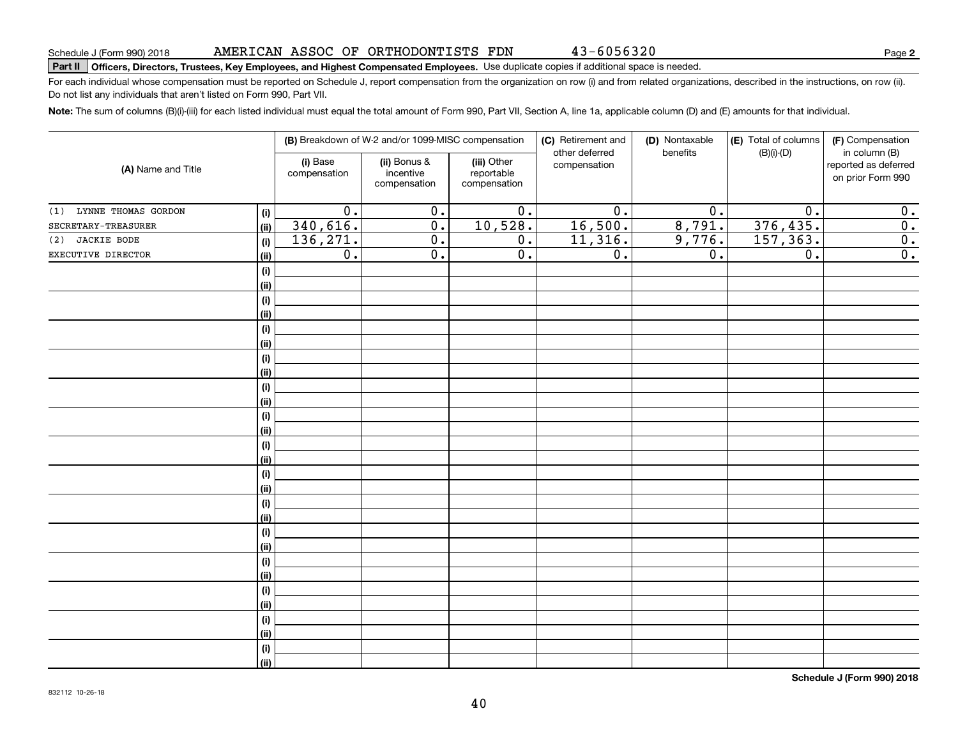43-6056320

# **Part II Officers, Directors, Trustees, Key Employees, and Highest Compensated Employees.**  Schedule J (Form 990) 2018 Page Use duplicate copies if additional space is needed.

For each individual whose compensation must be reported on Schedule J, report compensation from the organization on row (i) and from related organizations, described in the instructions, on row (ii). Do not list any individuals that aren't listed on Form 990, Part VII.

**Note:**  The sum of columns (B)(i)-(iii) for each listed individual must equal the total amount of Form 990, Part VII, Section A, line 1a, applicable column (D) and (E) amounts for that individual.

| (A) Name and Title         |             |                          | (B) Breakdown of W-2 and/or 1099-MISC compensation |                                           | (C) Retirement and<br>(D) Nontaxable |                  | (E) Total of columns | (F) Compensation                                           |
|----------------------------|-------------|--------------------------|----------------------------------------------------|-------------------------------------------|--------------------------------------|------------------|----------------------|------------------------------------------------------------|
|                            |             | (i) Base<br>compensation | (ii) Bonus &<br>incentive<br>compensation          | (iii) Other<br>reportable<br>compensation | other deferred<br>compensation       | benefits         | $(B)(i)-(D)$         | in column (B)<br>reported as deferred<br>on prior Form 990 |
| LYNNE THOMAS GORDON<br>(1) | $(\sf{i})$  | $\overline{0}$ .         | $\overline{0}$ .                                   | $\overline{0}$ .                          | $\overline{0}$ .                     | $\overline{0}$ . | $\overline{0}$ .     | 0.                                                         |
| SECRETARY-TREASURER        | (ii)        | 340,616.                 | $\overline{0}$ .                                   | 10,528.                                   | 16,500.                              | 8,791.           | 376,435.             | $\overline{0}$ .                                           |
| <b>JACKIE BODE</b><br>(2)  | (i)         | 136, 271.                | $\overline{0}$ .                                   | $\overline{0}$ .                          | 11,316.                              | 9,776.           | 157, 363.            | $\overline{0}$ .                                           |
| EXECUTIVE DIRECTOR         | (ii)        | $\overline{0}$ .         | $\overline{0}$ .                                   | $\overline{0}$ .                          | $\overline{0}$ .                     | $\overline{0}$ . | $\overline{0}$ .     | $\overline{0}$ .                                           |
|                            | (i)         |                          |                                                    |                                           |                                      |                  |                      |                                                            |
|                            | (ii)        |                          |                                                    |                                           |                                      |                  |                      |                                                            |
|                            | (i)         |                          |                                                    |                                           |                                      |                  |                      |                                                            |
|                            | (ii)        |                          |                                                    |                                           |                                      |                  |                      |                                                            |
|                            | (i)         |                          |                                                    |                                           |                                      |                  |                      |                                                            |
|                            | (ii)        |                          |                                                    |                                           |                                      |                  |                      |                                                            |
|                            | (i)         |                          |                                                    |                                           |                                      |                  |                      |                                                            |
|                            | (ii)        |                          |                                                    |                                           |                                      |                  |                      |                                                            |
|                            | (i)         |                          |                                                    |                                           |                                      |                  |                      |                                                            |
|                            | (ii)        |                          |                                                    |                                           |                                      |                  |                      |                                                            |
|                            | (i)         |                          |                                                    |                                           |                                      |                  |                      |                                                            |
|                            | (ii)        |                          |                                                    |                                           |                                      |                  |                      |                                                            |
|                            | (i)         |                          |                                                    |                                           |                                      |                  |                      |                                                            |
|                            | (ii)        |                          |                                                    |                                           |                                      |                  |                      |                                                            |
|                            | (i)<br>(ii) |                          |                                                    |                                           |                                      |                  |                      |                                                            |
|                            |             |                          |                                                    |                                           |                                      |                  |                      |                                                            |
|                            | (i)<br>(ii) |                          |                                                    |                                           |                                      |                  |                      |                                                            |
|                            | (i)         |                          |                                                    |                                           |                                      |                  |                      |                                                            |
|                            | (ii)        |                          |                                                    |                                           |                                      |                  |                      |                                                            |
|                            | (i)         |                          |                                                    |                                           |                                      |                  |                      |                                                            |
|                            | (ii)        |                          |                                                    |                                           |                                      |                  |                      |                                                            |
|                            | (i)         |                          |                                                    |                                           |                                      |                  |                      |                                                            |
|                            | (ii)        |                          |                                                    |                                           |                                      |                  |                      |                                                            |
|                            | (i)         |                          |                                                    |                                           |                                      |                  |                      |                                                            |
|                            | (ii)        |                          |                                                    |                                           |                                      |                  |                      |                                                            |
|                            | (i)         |                          |                                                    |                                           |                                      |                  |                      |                                                            |
|                            | (ii)        |                          |                                                    |                                           |                                      |                  |                      |                                                            |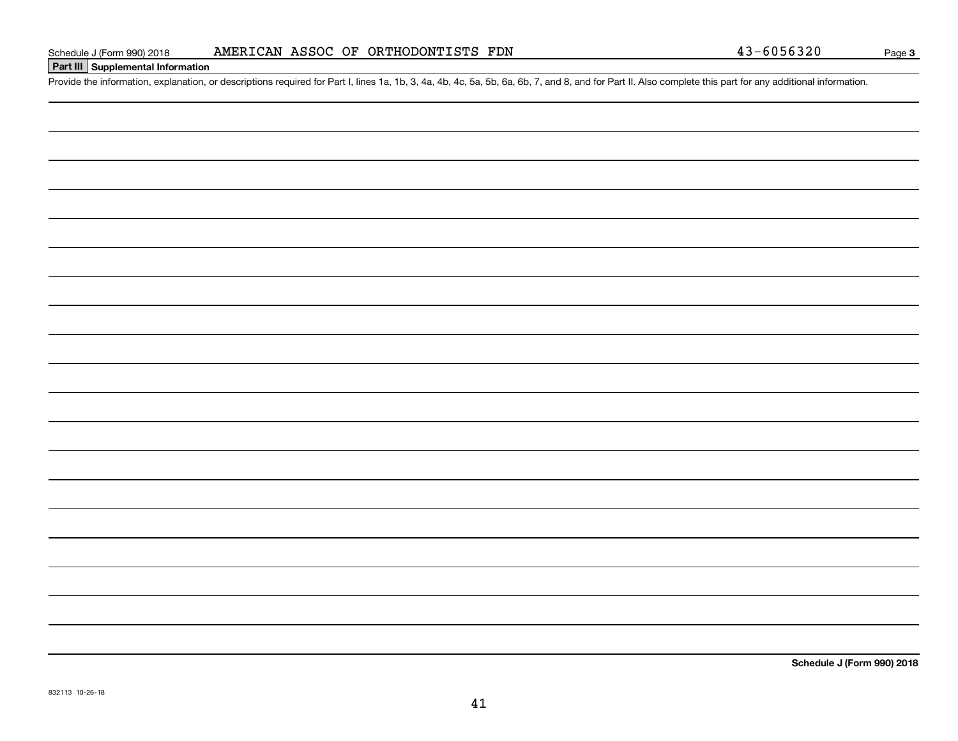# **Part III Supplemental Information**

Schedule J (Form 990) 2018 **AMERICAN ASSOC OF ORTHODONTISTS FDN** 43-6056320<br>**Part III** Supplemental Information<br>Provide the information, explanation, or descriptions required for Part I, lines 1a, 1b, 3, 4a, 4b, 4c, 5a, 5b

**Schedule J (Form 990) 2018**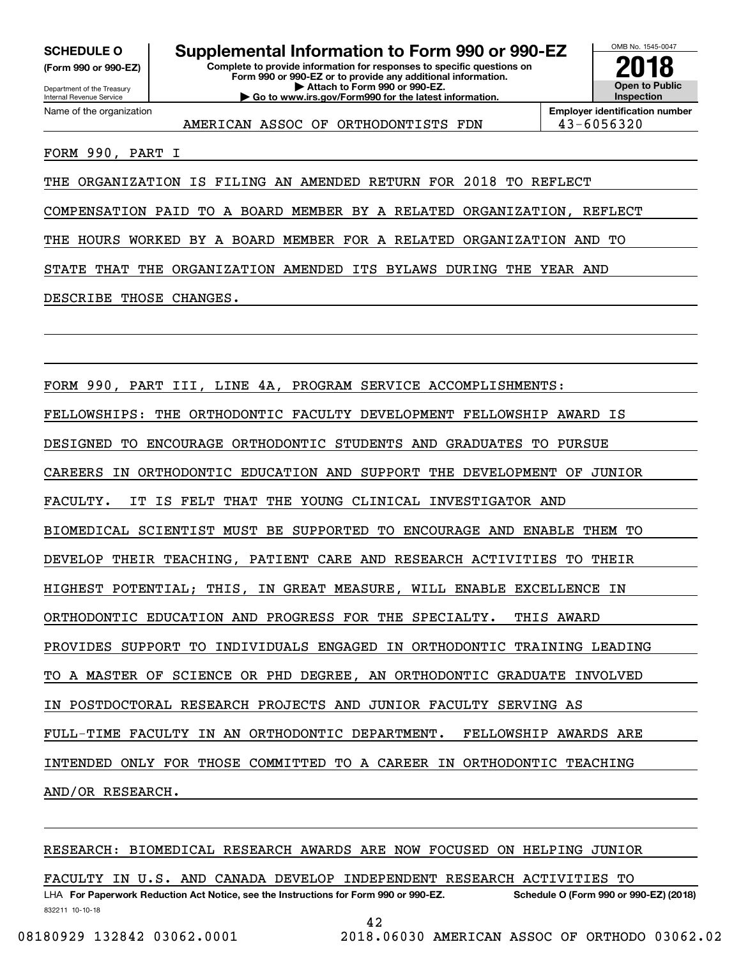**(Form 990 or 990-EZ)**

### Department of the Treasury Internal Revenue Service Name of the organization

**Complete to provide information for responses to specific questions on Form 990 or 990-EZ or to provide any additional information. | Attach to Form 990 or 990-EZ. | Go to www.irs.gov/Form990 for the latest information. SCHEDULE O Supplemental Information to Form 990 or 990-EZ**



AMERICAN ASSOC OF ORTHODONTISTS FDN 143-6056320

**Employer identification number**

FORM 990, PART I

THE ORGANIZATION IS FILING AN AMENDED RETURN FOR 2018 TO REFLECT

COMPENSATION PAID TO A BOARD MEMBER BY A RELATED ORGANIZATION, REFLECT

THE HOURS WORKED BY A BOARD MEMBER FOR A RELATED ORGANIZATION AND TO

STATE THAT THE ORGANIZATION AMENDED ITS BYLAWS DURING THE YEAR AND

DESCRIBE THOSE CHANGES.

FORM 990, PART III, LINE 4A, PROGRAM SERVICE ACCOMPLISHMENTS: FELLOWSHIPS: THE ORTHODONTIC FACULTY DEVELOPMENT FELLOWSHIP AWARD IS DESIGNED TO ENCOURAGE ORTHODONTIC STUDENTS AND GRADUATES TO PURSUE CAREERS IN ORTHODONTIC EDUCATION AND SUPPORT THE DEVELOPMENT OF JUNIOR FACULTY. IT IS FELT THAT THE YOUNG CLINICAL INVESTIGATOR AND BIOMEDICAL SCIENTIST MUST BE SUPPORTED TO ENCOURAGE AND ENABLE THEM TO DEVELOP THEIR TEACHING, PATIENT CARE AND RESEARCH ACTIVITIES TO THEIR HIGHEST POTENTIAL; THIS, IN GREAT MEASURE, WILL ENABLE EXCELLENCE IN ORTHODONTIC EDUCATION AND PROGRESS FOR THE SPECIALTY. THIS AWARD PROVIDES SUPPORT TO INDIVIDUALS ENGAGED IN ORTHODONTIC TRAINING LEADING TO A MASTER OF SCIENCE OR PHD DEGREE, AN ORTHODONTIC GRADUATE INVOLVED IN POSTDOCTORAL RESEARCH PROJECTS AND JUNIOR FACULTY SERVING AS FULL-TIME FACULTY IN AN ORTHODONTIC DEPARTMENT. FELLOWSHIP AWARDS ARE INTENDED ONLY FOR THOSE COMMITTED TO A CAREER IN ORTHODONTIC TEACHING AND/OR RESEARCH.

# RESEARCH: BIOMEDICAL RESEARCH AWARDS ARE NOW FOCUSED ON HELPING JUNIOR

FACULTY IN U.S. AND CANADA DEVELOP INDEPENDENT RESEARCH ACTIVITIES TO

832211 10-10-18 LHA For Paperwork Reduction Act Notice, see the Instructions for Form 990 or 990-EZ. Schedule O (Form 990 or 990-EZ) (2018)

42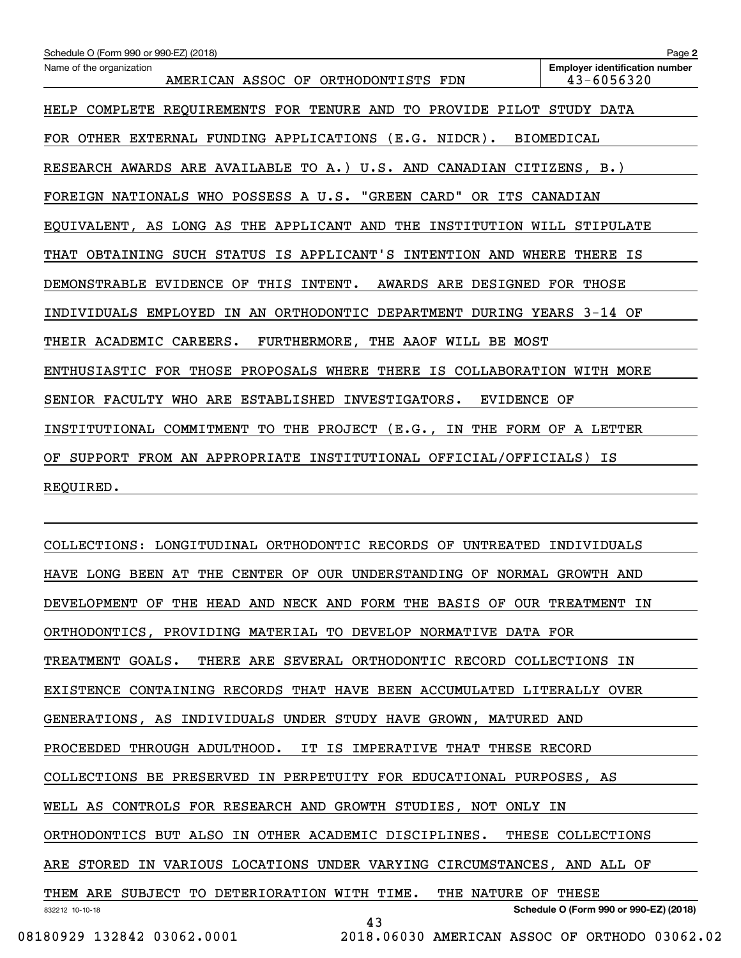| Schedule O (Form 990 or 990-EZ) (2018)                                          | Page 2                                              |
|---------------------------------------------------------------------------------|-----------------------------------------------------|
| Name of the organization<br>AMERICAN ASSOC OF ORTHODONTISTS FDN                 | <b>Employer identification number</b><br>43-6056320 |
| COMPLETE REQUIREMENTS FOR TENURE AND TO PROVIDE PILOT STUDY DATA<br><b>HELP</b> |                                                     |
| FOR OTHER EXTERNAL FUNDING APPLICATIONS (E.G. NIDCR).                           | <b>BIOMEDICAL</b>                                   |
| RESEARCH AWARDS ARE AVAILABLE TO A.) U.S. AND CANADIAN CITIZENS, B.)            |                                                     |
| FOREIGN NATIONALS WHO POSSESS A U.S. "GREEN CARD"<br>OR ITS CANADIAN            |                                                     |
| EQUIVALENT, AS LONG AS THE APPLICANT AND THE<br>INSTITUTION WILL STIPULATE      |                                                     |
| THAT OBTAINING SUCH STATUS IS APPLICANT'S INTENTION AND WHERE                   | THERE IS                                            |
| DEMONSTRABLE EVIDENCE<br>THIS<br>INTENT.<br>AWARDS ARE DESIGNED FOR THOSE<br>OF |                                                     |
| IN AN ORTHODONTIC DEPARTMENT DURING YEARS 3-14 OF<br>INDIVIDUALS EMPLOYED       |                                                     |
| THEIR ACADEMIC CAREERS.<br>FURTHERMORE, THE AAOF WILL BE MOST                   |                                                     |
| ENTHUSIASTIC FOR THOSE PROPOSALS WHERE THERE<br>IS COLLABORATION WITH MORE      |                                                     |
| SENIOR FACULTY<br>WHO ARE ESTABLISHED INVESTIGATORS.<br>EVIDENCE OF             |                                                     |
| THE PROJECT (E.G.,<br>THE FORM OF<br>INSTITUTIONAL COMMITMENT TO<br>IN          | A LETTER                                            |
| SUPPORT FROM AN APPROPRIATE INSTITUTIONAL OFFICIAL/OFFICIALS) IS<br>OF.         |                                                     |
| REQUIRED.                                                                       |                                                     |
|                                                                                 |                                                     |

832212 10-10-18 **Schedule O (Form 990 or 990-EZ) (2018)** COLLECTIONS: LONGITUDINAL ORTHODONTIC RECORDS OF UNTREATED INDIVIDUALS HAVE LONG BEEN AT THE CENTER OF OUR UNDERSTANDING OF NORMAL GROWTH AND DEVELOPMENT OF THE HEAD AND NECK AND FORM THE BASIS OF OUR TREATMENT IN ORTHODONTICS, PROVIDING MATERIAL TO DEVELOP NORMATIVE DATA FOR TREATMENT GOALS. THERE ARE SEVERAL ORTHODONTIC RECORD COLLECTIONS IN EXISTENCE CONTAINING RECORDS THAT HAVE BEEN ACCUMULATED LITERALLY OVER GENERATIONS, AS INDIVIDUALS UNDER STUDY HAVE GROWN, MATURED AND PROCEEDED THROUGH ADULTHOOD. IT IS IMPERATIVE THAT THESE RECORD COLLECTIONS BE PRESERVED IN PERPETUITY FOR EDUCATIONAL PURPOSES, AS WELL AS CONTROLS FOR RESEARCH AND GROWTH STUDIES, NOT ONLY IN ORTHODONTICS BUT ALSO IN OTHER ACADEMIC DISCIPLINES. THESE COLLECTIONS ARE STORED IN VARIOUS LOCATIONS UNDER VARYING CIRCUMSTANCES, AND ALL OF THEM ARE SUBJECT TO DETERIORATION WITH TIME. THE NATURE OF THESE 43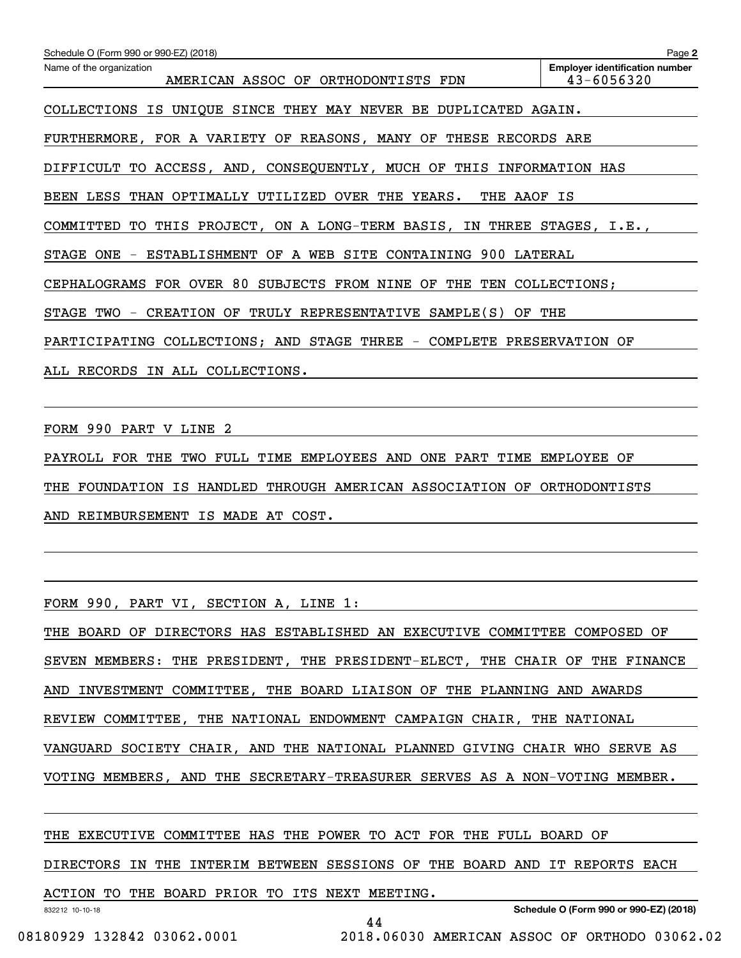| Schedule O (Form 990 or 990-EZ) (2018)                                  | Page 2                                                  |
|-------------------------------------------------------------------------|---------------------------------------------------------|
| Name of the organization<br>AMERICAN ASSOC OF ORTHODONTISTS FDN         | <b>Employer identification number</b><br>$43 - 6056320$ |
| COLLECTIONS IS UNIQUE SINCE THEY MAY NEVER BE DUPLICATED AGAIN.         |                                                         |
| FURTHERMORE, FOR A VARIETY OF REASONS, MANY OF THESE RECORDS ARE        |                                                         |
| DIFFICULT TO ACCESS, AND, CONSEQUENTLY, MUCH OF THIS INFORMATION HAS    |                                                         |
| BEEN LESS THAN OPTIMALLY UTILIZED OVER THE YEARS.<br>THE AAOF IS        |                                                         |
| COMMITTED TO THIS PROJECT, ON A LONG-TERM BASIS, IN THREE STAGES, I.E., |                                                         |
| STAGE ONE - ESTABLISHMENT OF A WEB SITE CONTAINING 900 LATERAL          |                                                         |
| CEPHALOGRAMS FOR OVER 80 SUBJECTS FROM NINE OF THE TEN COLLECTIONS;     |                                                         |
| STAGE TWO - CREATION OF TRULY REPRESENTATIVE SAMPLE(S) OF THE           |                                                         |
| PARTICIPATING COLLECTIONS; AND STAGE THREE - COMPLETE PRESERVATION OF   |                                                         |
| ALL RECORDS IN ALL COLLECTIONS.                                         |                                                         |

FORM 990 PART V LINE 2

PAYROLL FOR THE TWO FULL TIME EMPLOYEES AND ONE PART TIME EMPLOYEE OF THE FOUNDATION IS HANDLED THROUGH AMERICAN ASSOCIATION OF ORTHODONTISTS AND REIMBURSEMENT IS MADE AT COST.

FORM 990, PART VI, SECTION A, LINE 1:

THE BOARD OF DIRECTORS HAS ESTABLISHED AN EXECUTIVE COMMITTEE COMPOSED OF SEVEN MEMBERS: THE PRESIDENT, THE PRESIDENT-ELECT, THE CHAIR OF THE FINANCE AND INVESTMENT COMMITTEE, THE BOARD LIAISON OF THE PLANNING AND AWARDS REVIEW COMMITTEE, THE NATIONAL ENDOWMENT CAMPAIGN CHAIR, THE NATIONAL VANGUARD SOCIETY CHAIR, AND THE NATIONAL PLANNED GIVING CHAIR WHO SERVE AS VOTING MEMBERS, AND THE SECRETARY-TREASURER SERVES AS A NON-VOTING MEMBER.

THE EXECUTIVE COMMITTEE HAS THE POWER TO ACT FOR THE FULL BOARD OF

DIRECTORS IN THE INTERIM BETWEEN SESSIONS OF THE BOARD AND IT REPORTS EACH

ACTION TO THE BOARD PRIOR TO ITS NEXT MEETING.

832212 10-10-18

**Schedule O (Form 990 or 990-EZ) (2018)**

44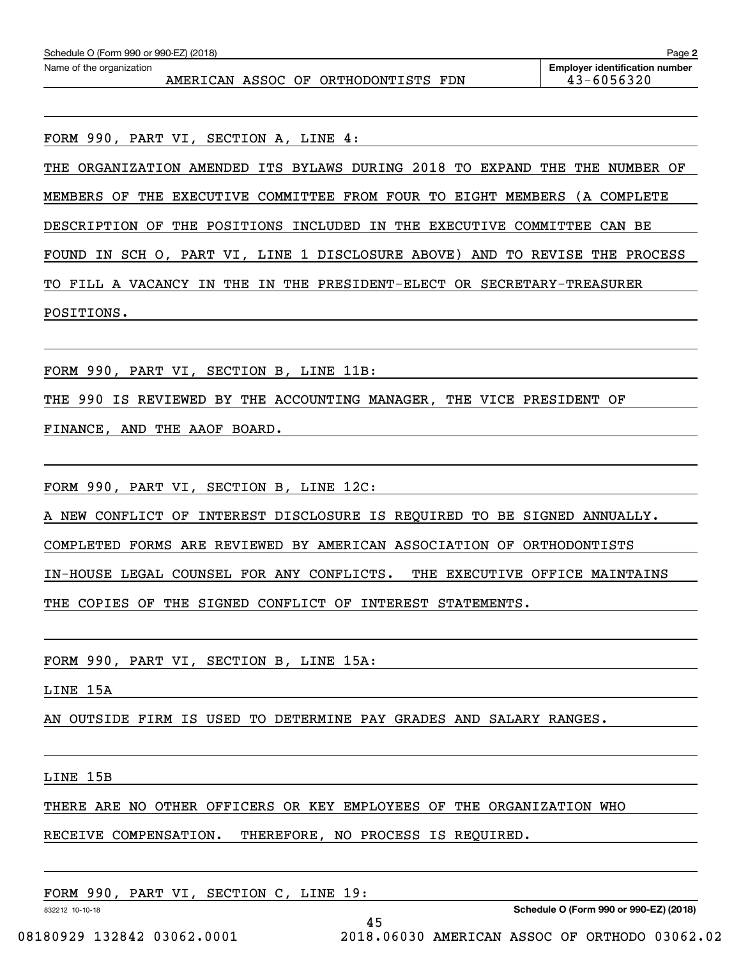| Schedule O (Form 990 or 990-EZ) (2018) | Page 2 |                                     |  |                                                     |
|----------------------------------------|--------|-------------------------------------|--|-----------------------------------------------------|
| Name of the organization               |        | AMERICAN ASSOC OF ORTHODONTISTS FDN |  | <b>Employer identification number</b><br>43-6056320 |
|                                        |        |                                     |  |                                                     |

FORM 990, PART VI, SECTION A, LINE 4:

THE ORGANIZATION AMENDED ITS BYLAWS DURING 2018 TO EXPAND THE THE NUMBER OF MEMBERS OF THE EXECUTIVE COMMITTEE FROM FOUR TO EIGHT MEMBERS (A COMPLETE DESCRIPTION OF THE POSITIONS INCLUDED IN THE EXECUTIVE COMMITTEE CAN BE FOUND IN SCH O, PART VI, LINE 1 DISCLOSURE ABOVE) AND TO REVISE THE PROCESS TO FILL A VACANCY IN THE IN THE PRESIDENT-ELECT OR SECRETARY-TREASURER POSITIONS.

FORM 990, PART VI, SECTION B, LINE 11B:

THE 990 IS REVIEWED BY THE ACCOUNTING MANAGER, THE VICE PRESIDENT OF

FINANCE, AND THE AAOF BOARD.

FORM 990, PART VI, SECTION B, LINE 12C:

A NEW CONFLICT OF INTEREST DISCLOSURE IS REQUIRED TO BE SIGNED ANNUALLY.

COMPLETED FORMS ARE REVIEWED BY AMERICAN ASSOCIATION OF ORTHODONTISTS

IN-HOUSE LEGAL COUNSEL FOR ANY CONFLICTS. THE EXECUTIVE OFFICE MAINTAINS

THE COPIES OF THE SIGNED CONFLICT OF INTEREST STATEMENTS.

FORM 990, PART VI, SECTION B, LINE 15A:

LINE 15A

AN OUTSIDE FIRM IS USED TO DETERMINE PAY GRADES AND SALARY RANGES.

LINE 15B

THERE ARE NO OTHER OFFICERS OR KEY EMPLOYEES OF THE ORGANIZATION WHO

45

RECEIVE COMPENSATION. THEREFORE, NO PROCESS IS REQUIRED.

FORM 990, PART VI, SECTION C, LINE 19:

832212 10-10-18

**Schedule O (Form 990 or 990-EZ) (2018)**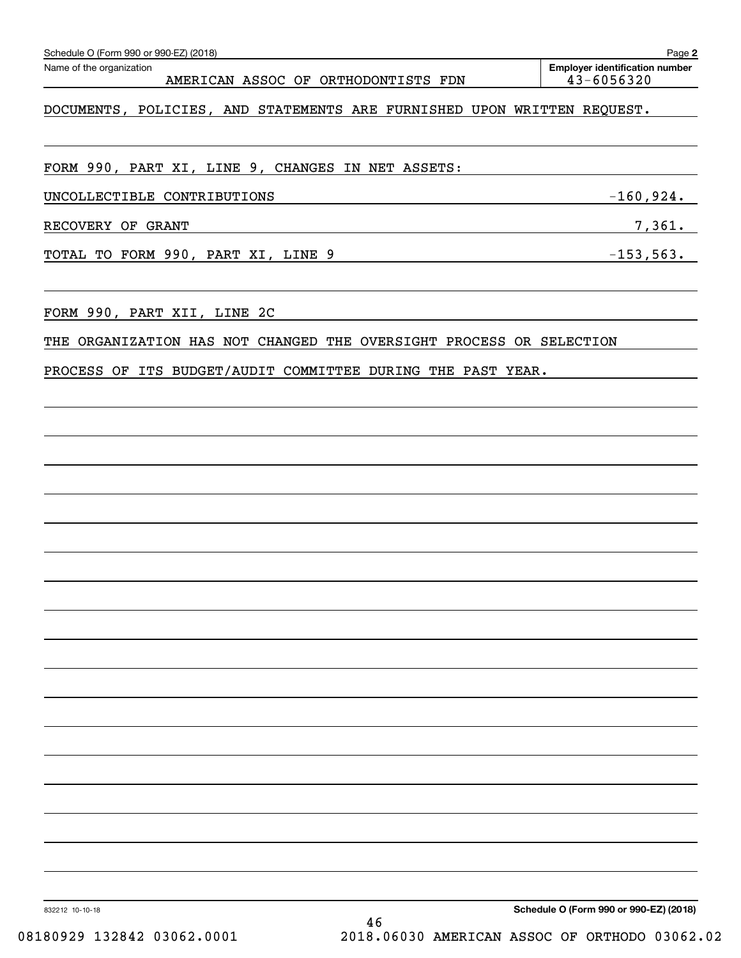| UNCOLLECTIBLE CONTRIBUTIONS -160,924.                                        |                                                     |                                        |  |
|------------------------------------------------------------------------------|-----------------------------------------------------|----------------------------------------|--|
| RECOVERY OF GRANT                                                            | 7,361.                                              |                                        |  |
| TOTAL TO FORM 990, PART XI, LINE 9 - - - - - - - - - - - - - - - - 153, 563. |                                                     |                                        |  |
|                                                                              |                                                     |                                        |  |
| THE ORGANIZATION HAS NOT CHANGED THE OVERSIGHT PROCESS OR SELECTION          |                                                     |                                        |  |
| PROCESS OF ITS BUDGET/AUDIT COMMITTEE DURING THE PAST YEAR.                  |                                                     |                                        |  |
|                                                                              |                                                     |                                        |  |
|                                                                              |                                                     |                                        |  |
|                                                                              |                                                     |                                        |  |
|                                                                              |                                                     |                                        |  |
|                                                                              |                                                     |                                        |  |
|                                                                              |                                                     |                                        |  |
|                                                                              |                                                     |                                        |  |
|                                                                              |                                                     |                                        |  |
|                                                                              |                                                     |                                        |  |
|                                                                              |                                                     |                                        |  |
|                                                                              |                                                     |                                        |  |
|                                                                              |                                                     |                                        |  |
|                                                                              |                                                     |                                        |  |
|                                                                              |                                                     |                                        |  |
|                                                                              |                                                     |                                        |  |
|                                                                              |                                                     |                                        |  |
|                                                                              |                                                     |                                        |  |
|                                                                              |                                                     |                                        |  |
|                                                                              |                                                     |                                        |  |
| 832212 10-10-18                                                              |                                                     | Schedule O (Form 990 or 990-EZ) (2018) |  |
| 08180929 132842 03062.0001                                                   | 46<br>2018.06030 AMERICAN ASSOC OF ORTHODO 03062.02 |                                        |  |
|                                                                              |                                                     |                                        |  |

| Form 990 or 990-F7) (2018) |  |
|----------------------------|--|

# AMERICAN ASSOC OF ORTHODONTISTS FDN 43-6056320

Echedule O (Form 990 or 990-EZ) (2018)<br>Name of the organization **number** Name of the organization **page Name of the organization number** 

DOCUMENTS, POLICIES, AND STATEMENTS ARE FURNISHED UPON WRITTEN REQUEST.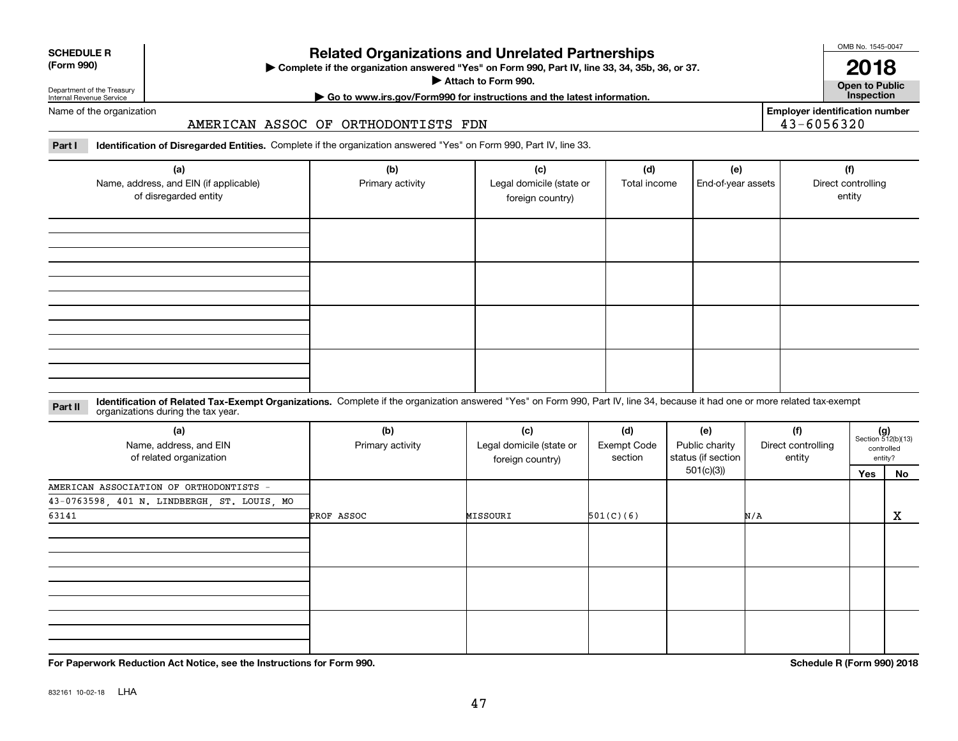| ---------- |  |
|------------|--|
| (Form 990) |  |

**SCHEDULE R**

# **Related Organizations and Unrelated Partnerships**

**Complete if the organization answered "Yes" on Form 990, Part IV, line 33, 34, 35b, 36, or 37.** |

**Attach to Form 990.**  |

OMB No. 1545-0047

**Open to Public**

**2018**

**| Go to www.irs.gov/Form990 for instructions and the latest information. Inspection**

**Employer identification number** 43-6056320

Department of the Treasury Internal Revenue Service Name of the organization

## AMERICAN ASSOC OF ORTHODONTISTS FDN

**Part I Identification of Disregarded Entities.**  Complete if the organization answered "Yes" on Form 990, Part IV, line 33.

| (a)<br>Name, address, and EIN (if applicable)<br>of disregarded entity | (b)<br>Primary activity | (c)<br>Legal domicile (state or<br>foreign country) | (d)<br>Total income | (e)<br>End-of-year assets | (f)<br>Direct controlling<br>entity |
|------------------------------------------------------------------------|-------------------------|-----------------------------------------------------|---------------------|---------------------------|-------------------------------------|
|                                                                        |                         |                                                     |                     |                           |                                     |
|                                                                        |                         |                                                     |                     |                           |                                     |
|                                                                        |                         |                                                     |                     |                           |                                     |
|                                                                        |                         |                                                     |                     |                           |                                     |

### **Identification of Related Tax-Exempt Organizations.** Complete if the organization answered "Yes" on Form 990, Part IV, line 34, because it had one or more related tax-exempt **Part II** organizations during the tax year.

| (a)<br>Name, address, and EIN<br>of related organization | (b)<br>Primary activity | (c)<br>Legal domicile (state or<br>foreign country) | (d)<br><b>Exempt Code</b><br>section |            | (f)<br>Direct controlling<br>status (if section  <br>entity |     | $(g)$<br>Section 512(b)(13)<br>controlled<br>entity? |
|----------------------------------------------------------|-------------------------|-----------------------------------------------------|--------------------------------------|------------|-------------------------------------------------------------|-----|------------------------------------------------------|
|                                                          |                         |                                                     |                                      | 501(c)(3)) |                                                             | Yes | No                                                   |
| AMERICAN ASSOCIATION OF ORTHODONTISTS -                  |                         |                                                     |                                      |            |                                                             |     |                                                      |
| 43-0763598, 401 N. LINDBERGH, ST. LOUIS, MO              |                         |                                                     |                                      |            |                                                             |     |                                                      |
| 63141                                                    | PROF ASSOC              | MISSOURI                                            | 501(C)(6)                            |            | N/A                                                         |     | $\mathbf{x}$                                         |
|                                                          |                         |                                                     |                                      |            |                                                             |     |                                                      |
|                                                          |                         |                                                     |                                      |            |                                                             |     |                                                      |
|                                                          |                         |                                                     |                                      |            |                                                             |     |                                                      |
|                                                          |                         |                                                     |                                      |            |                                                             |     |                                                      |
|                                                          |                         |                                                     |                                      |            |                                                             |     |                                                      |
|                                                          |                         |                                                     |                                      |            |                                                             |     |                                                      |
|                                                          |                         |                                                     |                                      |            |                                                             |     |                                                      |
|                                                          |                         |                                                     |                                      |            |                                                             |     |                                                      |
|                                                          |                         |                                                     |                                      |            |                                                             |     |                                                      |

**For Paperwork Reduction Act Notice, see the Instructions for Form 990. Schedule R (Form 990) 2018**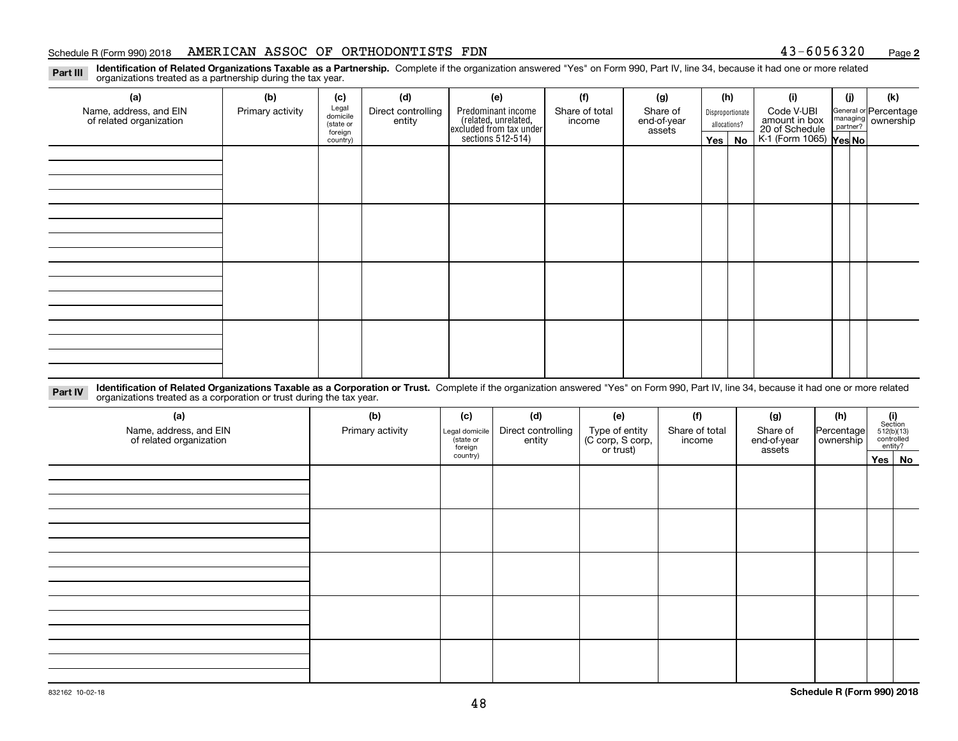## Schedule R (Form 990) 2018 Page AMERICAN ASSOC OF ORTHODONTISTS FDN 43-6056320

**2**

**Identification of Related Organizations Taxable as a Partnership.** Complete if the organization answered "Yes" on Form 990, Part IV, line 34, because it had one or more related organizations treated as a partnership during the tax year.

| (a)                     | (b)              | (c)                  | (d)                | (e)                                                                 | (f)            | (g)                   | (h)              | (i)                                      | (j) | (k)                                                       |
|-------------------------|------------------|----------------------|--------------------|---------------------------------------------------------------------|----------------|-----------------------|------------------|------------------------------------------|-----|-----------------------------------------------------------|
| Name, address, and EIN  | Primary activity | Legal<br>domicile    | Direct controlling | Predominant income                                                  | Share of total | Share of              | Disproportionate | Code V-UBI<br>amount in box              |     | General or Percentage<br>managing<br>partner?<br>partner? |
| of related organization |                  | (state or<br>foreign | entity             | related, unrelated,<br>excluded from tax under<br>sections 512-514) | income         | end-of-year<br>assets | allocations?     | 20 of Schedule<br>K-1 (Form 1065) Yes No |     |                                                           |
|                         |                  | country)             |                    |                                                                     |                |                       | Yes   No         |                                          |     |                                                           |
|                         |                  |                      |                    |                                                                     |                |                       |                  |                                          |     |                                                           |
|                         |                  |                      |                    |                                                                     |                |                       |                  |                                          |     |                                                           |
|                         |                  |                      |                    |                                                                     |                |                       |                  |                                          |     |                                                           |
|                         |                  |                      |                    |                                                                     |                |                       |                  |                                          |     |                                                           |
|                         |                  |                      |                    |                                                                     |                |                       |                  |                                          |     |                                                           |
|                         |                  |                      |                    |                                                                     |                |                       |                  |                                          |     |                                                           |
|                         |                  |                      |                    |                                                                     |                |                       |                  |                                          |     |                                                           |
|                         |                  |                      |                    |                                                                     |                |                       |                  |                                          |     |                                                           |
|                         |                  |                      |                    |                                                                     |                |                       |                  |                                          |     |                                                           |
|                         |                  |                      |                    |                                                                     |                |                       |                  |                                          |     |                                                           |
|                         |                  |                      |                    |                                                                     |                |                       |                  |                                          |     |                                                           |
|                         |                  |                      |                    |                                                                     |                |                       |                  |                                          |     |                                                           |
|                         |                  |                      |                    |                                                                     |                |                       |                  |                                          |     |                                                           |
|                         |                  |                      |                    |                                                                     |                |                       |                  |                                          |     |                                                           |
|                         |                  |                      |                    |                                                                     |                |                       |                  |                                          |     |                                                           |
|                         |                  |                      |                    |                                                                     |                |                       |                  |                                          |     |                                                           |
|                         |                  |                      |                    |                                                                     |                |                       |                  |                                          |     |                                                           |

**Identification of Related Organizations Taxable as a Corporation or Trust.** Complete if the organization answered "Yes" on Form 990, Part IV, line 34, because it had one or more related **Part IV** organizations treated as a corporation or trust during the tax year.

| (a)<br>Name, address, and EIN<br>of related organization | (b)<br>Primary activity | (c)<br>Legal domicile<br>(state or<br>foreign | (d)<br>Direct controlling<br>entity | (f)<br>(e)<br>Type of entity<br>(C corp, S corp,<br>Share of total<br>income<br>or trust) |  | (g)<br>Share of<br>end-of-year<br>assets | (h)<br>Percentage<br>ownership | $\begin{array}{c} \textbf{(i)}\\ \text{Section}\\ 512 \text{(b)} \text{(13)}\\ \text{controlled}\\ \text{entity?} \end{array}$ |  |
|----------------------------------------------------------|-------------------------|-----------------------------------------------|-------------------------------------|-------------------------------------------------------------------------------------------|--|------------------------------------------|--------------------------------|--------------------------------------------------------------------------------------------------------------------------------|--|
|                                                          |                         | country)                                      |                                     |                                                                                           |  |                                          |                                | Yes No                                                                                                                         |  |
|                                                          |                         |                                               |                                     |                                                                                           |  |                                          |                                |                                                                                                                                |  |
|                                                          |                         |                                               |                                     |                                                                                           |  |                                          |                                |                                                                                                                                |  |
|                                                          |                         |                                               |                                     |                                                                                           |  |                                          |                                |                                                                                                                                |  |
|                                                          |                         |                                               |                                     |                                                                                           |  |                                          |                                |                                                                                                                                |  |
|                                                          |                         |                                               |                                     |                                                                                           |  |                                          |                                |                                                                                                                                |  |

**Part III**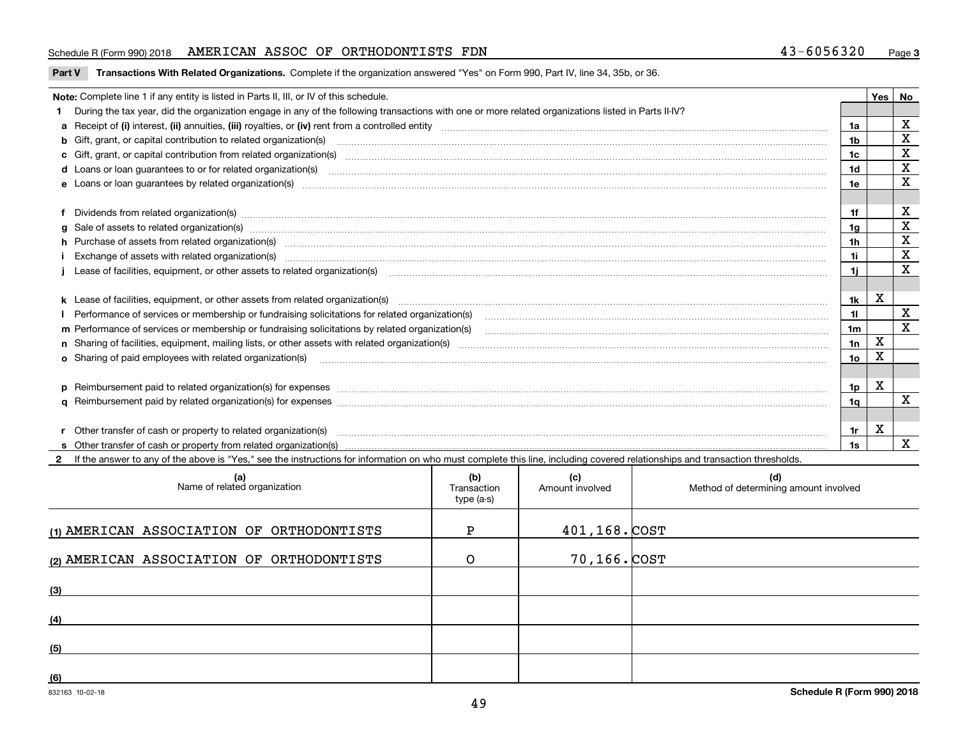## Schedule R (Form 990) 2018 Page AMERICAN ASSOC OF ORTHODONTISTS FDN 43-6056320

**Part V** T**ransactions With Related Organizations.** Complete if the organization answered "Yes" on Form 990, Part IV, line 34, 35b, or 36.

| Note: Complete line 1 if any entity is listed in Parts II, III, or IV of this schedule. |                                                                                                                                                                                                                                |                      |   |              |  |
|-----------------------------------------------------------------------------------------|--------------------------------------------------------------------------------------------------------------------------------------------------------------------------------------------------------------------------------|----------------------|---|--------------|--|
|                                                                                         | During the tax year, did the organization engage in any of the following transactions with one or more related organizations listed in Parts II-IV?                                                                            |                      |   |              |  |
|                                                                                         |                                                                                                                                                                                                                                | 1a                   |   | х            |  |
|                                                                                         | b Gift, grant, or capital contribution to related organization(s) manufaction contracts and contribution to related organization(s)                                                                                            | 1b                   |   | $\mathbf X$  |  |
|                                                                                         | c Gift, grant, or capital contribution from related organization(s) manufaction contains and contribution from related organization(s) manufaction contribution from related organization(s) manufaction contains and contribu | 1c                   |   | X            |  |
|                                                                                         | d Loans or loan guarantees to or for related organization(s) material content to consume the content of the state of the content of the content of the state or for related organization(s) materials are consumed and content | 1 <sub>d</sub>       |   | X            |  |
|                                                                                         |                                                                                                                                                                                                                                | 1e                   |   | $\mathbf X$  |  |
|                                                                                         |                                                                                                                                                                                                                                | 1f                   |   | X            |  |
|                                                                                         | f Dividends from related organization(s) manufactured contains and contained and contained contained and contained and contained and contained and contained and contained and contained and contained and contained and conta |                      |   | X            |  |
|                                                                                         |                                                                                                                                                                                                                                | 1a<br>1 <sub>h</sub> |   | $\mathbf X$  |  |
|                                                                                         | h Purchase of assets from related organization(s) manufactured and content to content and content and content and content and content and content and content and content and content and content and content and content and  |                      |   | $\mathbf X$  |  |
|                                                                                         | Exchange of assets with related organization(s) www.andron.com/www.andron.com/www.andron.com/www.andron.com/www.andron.com/www.andron.com/www.andron.com/www.andron.com/www.andron.com/www.andron.com/www.andron.com/www.andro | 1i                   |   | X            |  |
|                                                                                         | Lease of facilities, equipment, or other assets to related organization(s) manufactured content and content and content and content and content and content and content and content and content and content and content and co | 11                   |   |              |  |
|                                                                                         | k Lease of facilities, equipment, or other assets from related organization(s) manufaction content and content to the assets from related organization(s) manufaction content and content and content and content and content  | 1k                   | x |              |  |
|                                                                                         | Performance of services or membership or fundraising solicitations for related organization(s) manufaction manufaction and the service of services or membership or fundraising solicitations for related organization(s) manu | 11                   |   | $\mathbf X$  |  |
|                                                                                         | m Performance of services or membership or fundraising solicitations by related organization(s)                                                                                                                                | 1 <sub>m</sub>       |   | $\mathbf{x}$ |  |
|                                                                                         |                                                                                                                                                                                                                                | 1n                   | X |              |  |
|                                                                                         |                                                                                                                                                                                                                                |                      | х |              |  |
|                                                                                         | <b>o</b> Sharing of paid employees with related organization(s)                                                                                                                                                                | 10                   |   |              |  |
|                                                                                         | p Reimbursement paid to related organization(s) for expenses [11111] [12] manufacture manufacture manufacture manufacture manufacture manufacture manufacture manufacture manufacture manufacture manufacture manufacture manu | 1p.                  | x |              |  |
|                                                                                         |                                                                                                                                                                                                                                | 1q                   |   | X            |  |
|                                                                                         |                                                                                                                                                                                                                                |                      |   |              |  |
|                                                                                         | r Other transfer of cash or property to related organization(s)                                                                                                                                                                | 1r                   | х |              |  |
|                                                                                         |                                                                                                                                                                                                                                | 1s                   |   | X            |  |
|                                                                                         | 2 If the answer to any of the above is "Yes," see the instructions for information on who must complete this line, including covered relationships and transaction thresholds.                                                 |                      |   |              |  |

| (a)<br>Name of related organization       | (b)<br>Transaction<br>type (a-s) | (c)<br>Amount involved | (d)<br>Method of determining amount involved |
|-------------------------------------------|----------------------------------|------------------------|----------------------------------------------|
| (1) AMERICAN ASSOCIATION OF ORTHODONTISTS | P                                | $401, 168.$ $COST$     |                                              |
| (2) AMERICAN ASSOCIATION OF ORTHODONTISTS | O                                | 70,166.COST            |                                              |
| (3)                                       |                                  |                        |                                              |
| (4)                                       |                                  |                        |                                              |
| (5)                                       |                                  |                        |                                              |
| (6)                                       |                                  |                        |                                              |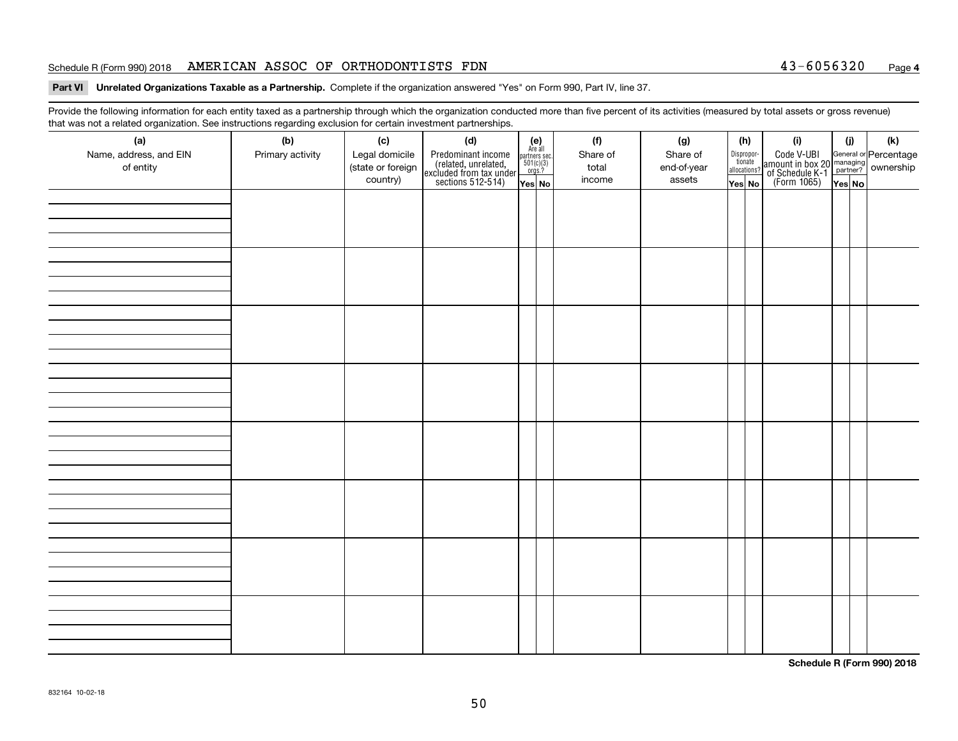## Schedule R (Form 990) 2018 Page AMERICAN ASSOC OF ORTHODONTISTS FDN 43-6056320

### **Part VI Unrelated Organizations Taxable as a Partnership. Complete if the organization answered "Yes" on Form 990, Part IV, line 37.**

Provide the following information for each entity taxed as a partnership through which the organization conducted more than five percent of its activities (measured by total assets or gross revenue) that was not a related organization. See instructions regarding exclusion for certain investment partnerships.

| (a)<br>Name, address, and EIN<br>of entity | $\tilde{}$<br>(b)<br>Primary activity | (c)<br>Legal domicile<br>(state or foreign<br>country) | (d)<br>Predominant income<br>(related, unrelated,<br>excluded from tax under<br>sections 512-514) | $(e)$<br>Are all<br>$\begin{array}{c}\n\text{partners} \sec.\n\\ \n501(c)(3)\n\\ \n0rgs.?\n\end{array}$<br>Yes No | (f)<br>Share of<br>total<br>income | (g)<br>Share of<br>end-of-year<br>assets | (h)<br>Dispropor-<br>tionate<br>allocations?<br>Yes No | (i)<br>Code V-UBI<br>amount in box 20 managing<br>of Schedule K-1<br>(Form 1065)<br>$\overline{Yes}$ No | (i)<br>Yes No | (k) |
|--------------------------------------------|---------------------------------------|--------------------------------------------------------|---------------------------------------------------------------------------------------------------|-------------------------------------------------------------------------------------------------------------------|------------------------------------|------------------------------------------|--------------------------------------------------------|---------------------------------------------------------------------------------------------------------|---------------|-----|
|                                            |                                       |                                                        |                                                                                                   |                                                                                                                   |                                    |                                          |                                                        |                                                                                                         |               |     |
|                                            |                                       |                                                        |                                                                                                   |                                                                                                                   |                                    |                                          |                                                        |                                                                                                         |               |     |
|                                            |                                       |                                                        |                                                                                                   |                                                                                                                   |                                    |                                          |                                                        |                                                                                                         |               |     |
|                                            |                                       |                                                        |                                                                                                   |                                                                                                                   |                                    |                                          |                                                        |                                                                                                         |               |     |
|                                            |                                       |                                                        |                                                                                                   |                                                                                                                   |                                    |                                          |                                                        |                                                                                                         |               |     |
|                                            |                                       |                                                        |                                                                                                   |                                                                                                                   |                                    |                                          |                                                        |                                                                                                         |               |     |
|                                            |                                       |                                                        |                                                                                                   |                                                                                                                   |                                    |                                          |                                                        |                                                                                                         |               |     |
|                                            |                                       |                                                        |                                                                                                   |                                                                                                                   |                                    |                                          |                                                        |                                                                                                         |               |     |

**Schedule R (Form 990) 2018**